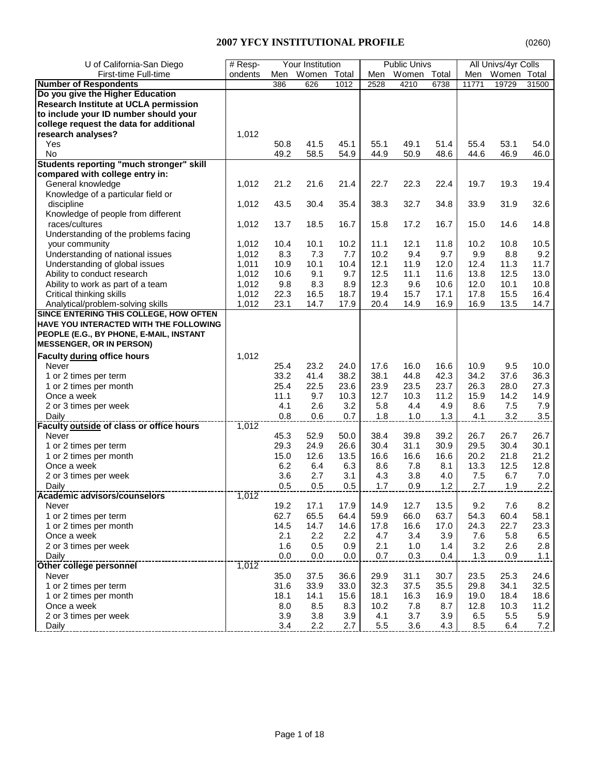| U of California-San Diego                | $#$ Resp- |      | Your Institution |       |         | <b>Public Univs</b> |      |       | All Univs/4yr Colls |       |
|------------------------------------------|-----------|------|------------------|-------|---------|---------------------|------|-------|---------------------|-------|
| First-time Full-time                     | ondents   | Men  | Women            | Total | Men     | Women Total         |      | Men   | Women Total         |       |
| <b>Number of Respondents</b>             |           | 386  | 626              | 1012  | 2528    | 4210                | 6738 | 11771 | 19729               | 31500 |
| Do you give the Higher Education         |           |      |                  |       |         |                     |      |       |                     |       |
| Research Institute at UCLA permission    |           |      |                  |       |         |                     |      |       |                     |       |
| to include your ID number should your    |           |      |                  |       |         |                     |      |       |                     |       |
| college request the data for additional  |           |      |                  |       |         |                     |      |       |                     |       |
| research analyses?                       | 1,012     |      |                  |       |         |                     |      |       |                     |       |
| Yes                                      |           | 50.8 | 41.5             | 45.1  | 55.1    | 49.1                | 51.4 | 55.4  | 53.1                | 54.0  |
| No                                       |           | 49.2 | 58.5             | 54.9  | 44.9    | 50.9                | 48.6 | 44.6  | 46.9                | 46.0  |
| Students reporting "much stronger" skill |           |      |                  |       |         |                     |      |       |                     |       |
| compared with college entry in:          |           |      |                  |       |         |                     |      |       |                     |       |
| General knowledge                        | 1,012     | 21.2 | 21.6             | 21.4  | 22.7    | 22.3                | 22.4 | 19.7  | 19.3                | 19.4  |
| Knowledge of a particular field or       |           |      |                  |       |         |                     |      |       |                     |       |
| discipline                               | 1,012     | 43.5 | 30.4             | 35.4  | 38.3    | 32.7                | 34.8 | 33.9  | 31.9                | 32.6  |
| Knowledge of people from different       |           |      |                  |       |         |                     |      |       |                     |       |
| races/cultures                           | 1,012     | 13.7 | 18.5             | 16.7  | 15.8    | 17.2                | 16.7 | 15.0  | 14.6                | 14.8  |
| Understanding of the problems facing     |           |      |                  |       |         |                     |      |       |                     |       |
| your community                           | 1,012     | 10.4 | 10.1             | 10.2  | 11.1    | 12.1                | 11.8 | 10.2  | 10.8                | 10.5  |
| Understanding of national issues         | 1,012     | 8.3  | 7.3              | 7.7   | 10.2    | 9.4                 | 9.7  | 9.9   | 8.8                 | 9.2   |
| Understanding of global issues           | 1,011     | 10.9 | 10.1             | 10.4  | 12.1    | 11.9                | 12.0 | 12.4  | 11.3                | 11.7  |
| Ability to conduct research              | 1,012     | 10.6 | 9.1              | 9.7   | 12.5    | 11.1                | 11.6 | 13.8  | 12.5                | 13.0  |
| Ability to work as part of a team        | 1,012     | 9.8  | 8.3              | 8.9   | 12.3    | 9.6                 | 10.6 | 12.0  | 10.1                | 10.8  |
| Critical thinking skills                 | 1,012     | 22.3 | 16.5             | 18.7  | 19.4    | 15.7                | 17.1 | 17.8  | 15.5                | 16.4  |
| Analytical/problem-solving skills        | 1,012     | 23.1 | 14.7             | 17.9  | 20.4    | 14.9                | 16.9 | 16.9  | 13.5                | 14.7  |
| SINCE ENTERING THIS COLLEGE, HOW OFTEN   |           |      |                  |       |         |                     |      |       |                     |       |
| HAVE YOU INTERACTED WITH THE FOLLOWING   |           |      |                  |       |         |                     |      |       |                     |       |
| PEOPLE (E.G., BY PHONE, E-MAIL, INSTANT  |           |      |                  |       |         |                     |      |       |                     |       |
| <b>MESSENGER, OR IN PERSON)</b>          |           |      |                  |       |         |                     |      |       |                     |       |
| Faculty during office hours              | 1,012     |      |                  |       |         |                     |      |       |                     |       |
| Never                                    |           | 25.4 | 23.2             | 24.0  | 17.6    | 16.0                | 16.6 | 10.9  | 9.5                 | 10.0  |
| 1 or 2 times per term                    |           | 33.2 | 41.4             | 38.2  | 38.1    | 44.8                | 42.3 | 34.2  | 37.6                | 36.3  |
| 1 or 2 times per month                   |           | 25.4 | 22.5             | 23.6  | 23.9    | 23.5                | 23.7 | 26.3  | 28.0                | 27.3  |
| Once a week                              |           | 11.1 | 9.7              | 10.3  | 12.7    | 10.3                | 11.2 | 15.9  | 14.2                | 14.9  |
| 2 or 3 times per week                    |           | 4.1  | 2.6              | 3.2   | 5.8     | 4.4                 | 4.9  | 8.6   | 7.5                 | 7.9   |
| Daily                                    |           | 0.8  | 0.6              | 0.7   | 1.8     | 1.0                 | 1.3  | 4.1   | 3.2                 | 3.5   |
| Faculty outside of class or office hours | 1,012     |      |                  |       |         |                     |      |       |                     |       |
| Never                                    |           | 45.3 | 52.9             | 50.0  | 38.4    | 39.8                | 39.2 | 26.7  | 26.7                | 26.7  |
| 1 or 2 times per term                    |           | 29.3 | 24.9             | 26.6  | 30.4    | 31.1                | 30.9 | 29.5  | 30.4                | 30.1  |
| 1 or 2 times per month                   |           | 15.0 | 12.6             | 13.5  | 16.6    | 16.6                | 16.6 | 20.2  | 21.8                | 21.2  |
| Once a week                              |           | 6.2  | 6.4              | 6.3   | 8.6     | 7.8                 | 8.1  | 13.3  | 12.5                | 12.8  |
| 2 or 3 times per week                    |           | 3.6  | 2.7              | 3.1   | 4.3     | 3.8                 | 4.0  | 7.5   | 6.7                 | 7.0   |
| Daily                                    |           | 0.5  | 0.5              | 0.5   | 1.7     | 0.9                 | 1.2  | 2.7   | 1.9                 | 2.2   |
| Academic advisors/counselors             | 1,012     |      |                  |       |         |                     |      |       |                     |       |
| Never                                    |           | 19.2 | 17.1             | 17.9  | 14.9    | 12.7                | 13.5 | 9.2   | 7.6                 | 8.2   |
| 1 or 2 times per term                    |           | 62.7 | 65.5             | 64.4  | 59.9    | 66.0                | 63.7 | 54.3  | 60.4                | 58.1  |
| 1 or 2 times per month                   |           | 14.5 | 14.7             | 14.6  | 17.8    | 16.6                | 17.0 | 24.3  | 22.7                | 23.3  |
| Once a week                              |           | 2.1  | 2.2              | 2.2   | 4.7     | 3.4                 | 3.9  | 7.6   | 5.8                 | 6.5   |
| 2 or 3 times per week                    |           | 1.6  | 0.5              | 0.9   | 2.1     | 1.0                 | 1.4  | 3.2   | 2.6                 | 2.8   |
| Daily                                    |           | 0.0  | $0.0\,$          | 0.0   | 0.7     | 0.3                 | 0.4  | 1.3   | 0.9                 | 1.1   |
| Other college personnel                  | 1,012     |      |                  |       |         |                     |      |       |                     |       |
| Never                                    |           | 35.0 | 37.5             | 36.6  | 29.9    | 31.1                | 30.7 | 23.5  | 25.3                | 24.6  |
| 1 or 2 times per term                    |           | 31.6 | 33.9             | 33.0  | 32.3    | 37.5                | 35.5 | 29.8  | 34.1                | 32.5  |
| 1 or 2 times per month                   |           | 18.1 | 14.1             | 15.6  | 18.1    | 16.3                | 16.9 | 19.0  | 18.4                | 18.6  |
| Once a week                              |           | 8.0  | 8.5              | 8.3   | 10.2    | 7.8                 | 8.7  | 12.8  | 10.3                | 11.2  |
| 2 or 3 times per week                    |           | 3.9  | 3.8              | 3.9   | 4.1     | 3.7                 | 3.9  | 6.5   | 5.5                 | 5.9   |
| Daily                                    |           | 3.4  | 2.2              | 2.7   | $5.5\,$ | 3.6                 | 4.3  | 8.5   | 6.4                 | 7.2   |
|                                          |           |      |                  |       |         |                     |      |       |                     |       |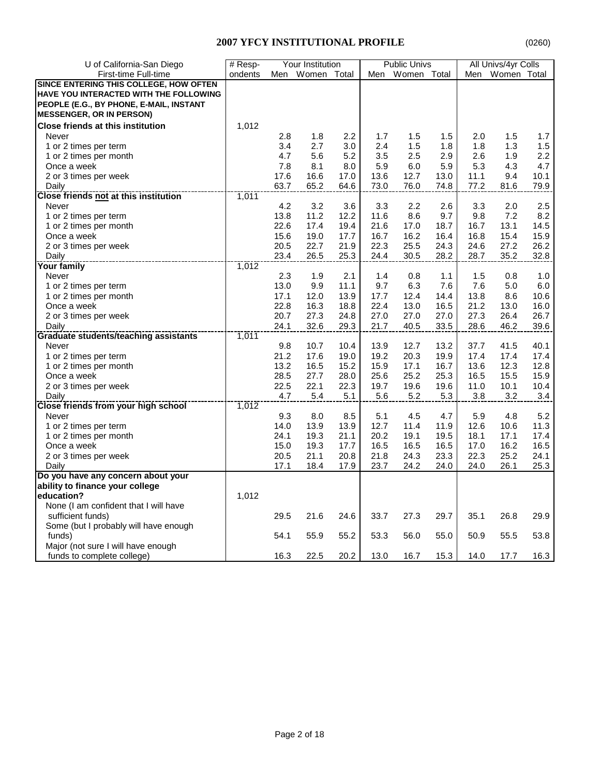| U of California-San Diego                | $#$ Resp- |      | Your Institution |         |      | <b>Public Univs</b> |      |      | All Univs/4yr Colls |      |
|------------------------------------------|-----------|------|------------------|---------|------|---------------------|------|------|---------------------|------|
| First-time Full-time                     | ondents   | Men  | Women Total      |         | Men  | Women Total         |      |      | Men Women Total     |      |
| SINCE ENTERING THIS COLLEGE, HOW OFTEN   |           |      |                  |         |      |                     |      |      |                     |      |
| HAVE YOU INTERACTED WITH THE FOLLOWING   |           |      |                  |         |      |                     |      |      |                     |      |
| PEOPLE (E.G., BY PHONE, E-MAIL, INSTANT  |           |      |                  |         |      |                     |      |      |                     |      |
| <b>MESSENGER, OR IN PERSON)</b>          |           |      |                  |         |      |                     |      |      |                     |      |
| <b>Close friends at this institution</b> | 1,012     |      |                  |         |      |                     |      |      |                     |      |
| Never                                    |           | 2.8  | 1.8              | $2.2\,$ | 1.7  | 1.5                 | 1.5  | 2.0  | 1.5                 | 1.7  |
| 1 or 2 times per term                    |           | 3.4  | 2.7              | 3.0     | 2.4  | 1.5                 | 1.8  | 1.8  | 1.3                 | 1.5  |
| 1 or 2 times per month                   |           | 4.7  | 5.6              | 5.2     | 3.5  | 2.5                 | 2.9  | 2.6  | 1.9                 | 2.2  |
| Once a week                              |           | 7.8  | 8.1              | 8.0     | 5.9  | 6.0                 | 5.9  | 5.3  | 4.3                 | 4.7  |
| 2 or 3 times per week                    |           | 17.6 | 16.6             | 17.0    | 13.6 | 12.7                | 13.0 | 11.1 | 9.4                 | 10.1 |
| Daily                                    |           | 63.7 | 65.2             | 64.6    | 73.0 | 76.0                | 74.8 | 77.2 | 81.6                | 79.9 |
| Close friends not at this institution    | 1,011     |      |                  |         |      |                     |      |      |                     |      |
| Never                                    |           | 4.2  | 3.2              | 3.6     | 3.3  | 2.2                 | 2.6  | 3.3  | 2.0                 | 2.5  |
| 1 or 2 times per term                    |           | 13.8 | 11.2             | 12.2    | 11.6 | 8.6                 | 9.7  | 9.8  | 7.2                 | 8.2  |
| 1 or 2 times per month                   |           | 22.6 | 17.4             | 19.4    | 21.6 | 17.0                | 18.7 | 16.7 | 13.1                | 14.5 |
| Once a week                              |           | 15.6 | 19.0             | 17.7    | 16.7 | 16.2                | 16.4 | 16.8 | 15.4                | 15.9 |
| 2 or 3 times per week                    |           | 20.5 | 22.7             | 21.9    | 22.3 | 25.5                | 24.3 | 24.6 | 27.2                | 26.2 |
| Daily                                    |           | 23.4 | 26.5             | 25.3    | 24.4 | 30.5                | 28.2 | 28.7 | 35.2                | 32.8 |
| Your family                              | 1,012     |      |                  |         |      |                     |      |      |                     |      |
| Never                                    |           | 2.3  | 1.9              | 2.1     | 1.4  | 0.8                 | 1.1  | 1.5  | 0.8                 | 1.0  |
| 1 or 2 times per term                    |           | 13.0 | 9.9              | 11.1    | 9.7  | 6.3                 | 7.6  | 7.6  | 5.0                 | 6.0  |
| 1 or 2 times per month                   |           | 17.1 | 12.0             | 13.9    | 17.7 | 12.4                | 14.4 | 13.8 | 8.6                 | 10.6 |
| Once a week                              |           | 22.8 | 16.3             | 18.8    | 22.4 | 13.0                | 16.5 | 21.2 | 13.0                | 16.0 |
| 2 or 3 times per week                    |           | 20.7 | 27.3             | 24.8    | 27.0 | 27.0                | 27.0 | 27.3 | 26.4                | 26.7 |
| Daily                                    |           | 24.1 | 32.6             | 29.3    | 21.7 | 40.5                | 33.5 | 28.6 | 46.2                | 39.6 |
| Graduate students/teaching assistants    | 1,011     |      |                  |         |      |                     |      |      |                     |      |
| Never                                    |           | 9.8  | 10.7             | 10.4    | 13.9 | 12.7                | 13.2 | 37.7 | 41.5                | 40.1 |
| 1 or 2 times per term                    |           | 21.2 | 17.6             | 19.0    | 19.2 | 20.3                | 19.9 | 17.4 | 17.4                | 17.4 |
| 1 or 2 times per month                   |           | 13.2 | 16.5             | 15.2    | 15.9 | 17.1                | 16.7 | 13.6 | 12.3                | 12.8 |
| Once a week                              |           | 28.5 | 27.7             | 28.0    | 25.6 | 25.2                | 25.3 | 16.5 | 15.5                | 15.9 |
| 2 or 3 times per week                    |           | 22.5 | 22.1             | 22.3    | 19.7 | 19.6                | 19.6 | 11.0 | 10.1                | 10.4 |
| Daily                                    |           | 4.7  | $5.4$            | 5.1     | 5.6  | 5.2                 | 5.3  | 3.8  | 3.2                 | 3.4  |
| Close friends from your high school      | 1,012     |      |                  |         |      |                     |      |      |                     |      |
| Never                                    |           | 9.3  | 8.0              | 8.5     | 5.1  | 4.5                 | 4.7  | 5.9  | 4.8                 | 5.2  |
| 1 or 2 times per term                    |           | 14.0 | 13.9             | 13.9    | 12.7 | 11.4                | 11.9 | 12.6 | 10.6                | 11.3 |
| 1 or 2 times per month                   |           | 24.1 | 19.3             | 21.1    | 20.2 | 19.1                | 19.5 | 18.1 | 17.1                | 17.4 |
| Once a week                              |           | 15.0 | 19.3             | 17.7    | 16.5 | 16.5                | 16.5 | 17.0 | 16.2                | 16.5 |
| 2 or 3 times per week                    |           | 20.5 | 21.1             | 20.8    | 21.8 | 24.3                | 23.3 | 22.3 | 25.2                | 24.1 |
| Daily                                    |           | 17.1 | 18.4             | 17.9    | 23.7 | 24.2                | 24.0 | 24.0 | 26.1                | 25.3 |
| Do you have any concern about your       |           |      |                  |         |      |                     |      |      |                     |      |
| ability to finance your college          |           |      |                  |         |      |                     |      |      |                     |      |
| education?                               | 1,012     |      |                  |         |      |                     |      |      |                     |      |
| None (I am confident that I will have    |           |      |                  |         |      |                     |      |      |                     |      |
| sufficient funds)                        |           | 29.5 | 21.6             | 24.6    | 33.7 | 27.3                | 29.7 | 35.1 | 26.8                | 29.9 |
| Some (but I probably will have enough    |           |      |                  |         |      |                     |      |      |                     |      |
| funds)                                   |           | 54.1 | 55.9             | 55.2    | 53.3 | 56.0                | 55.0 | 50.9 | 55.5                | 53.8 |
| Major (not sure I will have enough       |           |      |                  |         |      |                     |      |      |                     |      |
| funds to complete college)               |           | 16.3 | 22.5             | 20.2    | 13.0 | 16.7                | 15.3 | 14.0 | 17.7                | 16.3 |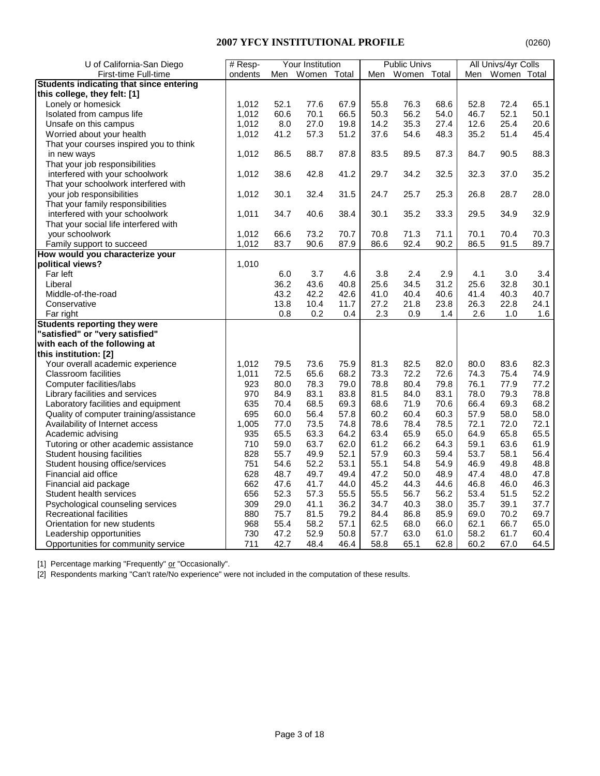| U of California-San Diego               | # Resp- |      | Your Institution |      |      | <b>Public Univs</b> |      |      | All Univs/4yr Colls |      |
|-----------------------------------------|---------|------|------------------|------|------|---------------------|------|------|---------------------|------|
| First-time Full-time                    | ondents |      | Men Women Total  |      |      | Men Women Total     |      |      | Men Women Total     |      |
| Students indicating that since entering |         |      |                  |      |      |                     |      |      |                     |      |
| this college, they felt: [1]            |         |      |                  |      |      |                     |      |      |                     |      |
| Lonely or homesick                      | 1,012   | 52.1 | 77.6             | 67.9 | 55.8 | 76.3                | 68.6 | 52.8 | 72.4                | 65.1 |
| Isolated from campus life               | 1,012   | 60.6 | 70.1             | 66.5 | 50.3 | 56.2                | 54.0 | 46.7 | 52.1                | 50.1 |
| Unsafe on this campus                   | 1,012   | 8.0  | 27.0             | 19.8 | 14.2 | 35.3                | 27.4 | 12.6 | 25.4                | 20.6 |
| Worried about your health               | 1,012   | 41.2 | 57.3             | 51.2 | 37.6 | 54.6                | 48.3 | 35.2 | 51.4                | 45.4 |
| That your courses inspired you to think |         |      |                  |      |      |                     |      |      |                     |      |
| in new ways                             | 1,012   | 86.5 | 88.7             | 87.8 | 83.5 | 89.5                | 87.3 | 84.7 | 90.5                | 88.3 |
| That your job responsibilities          |         |      |                  |      |      |                     |      |      |                     |      |
| interfered with your schoolwork         | 1,012   | 38.6 | 42.8             | 41.2 | 29.7 | 34.2                | 32.5 | 32.3 | 37.0                | 35.2 |
| That your schoolwork interfered with    |         |      |                  |      |      |                     |      |      |                     |      |
| your job responsibilities               | 1,012   | 30.1 | 32.4             | 31.5 | 24.7 | 25.7                | 25.3 | 26.8 | 28.7                | 28.0 |
| That your family responsibilities       |         |      |                  |      |      |                     |      |      |                     |      |
| interfered with your schoolwork         | 1,011   | 34.7 | 40.6             | 38.4 | 30.1 | 35.2                | 33.3 | 29.5 | 34.9                | 32.9 |
| That your social life interfered with   |         |      |                  |      |      |                     |      |      |                     |      |
| your schoolwork                         | 1,012   | 66.6 | 73.2             | 70.7 | 70.8 | 71.3                | 71.1 | 70.1 | 70.4                | 70.3 |
| Family support to succeed               | 1,012   | 83.7 | 90.6             | 87.9 | 86.6 | 92.4                | 90.2 | 86.5 | 91.5                | 89.7 |
| How would you characterize your         |         |      |                  |      |      |                     |      |      |                     |      |
| political views?                        | 1,010   |      |                  |      |      |                     |      |      |                     |      |
| Far left                                |         | 6.0  | 3.7              | 4.6  | 3.8  | 2.4                 | 2.9  | 4.1  | 3.0                 | 3.4  |
| Liberal                                 |         | 36.2 | 43.6             | 40.8 | 25.6 | 34.5                | 31.2 | 25.6 | 32.8                | 30.1 |
| Middle-of-the-road                      |         | 43.2 | 42.2             | 42.6 | 41.0 | 40.4                | 40.6 | 41.4 | 40.3                | 40.7 |
| Conservative                            |         | 13.8 | 10.4             | 11.7 | 27.2 | 21.8                | 23.8 | 26.3 | 22.8                | 24.1 |
| Far right                               |         | 0.8  | 0.2              | 0.4  | 2.3  | 0.9                 | 1.4  | 2.6  | 1.0                 | 1.6  |
| <b>Students reporting they were</b>     |         |      |                  |      |      |                     |      |      |                     |      |
| "satisfied" or "very satisfied"         |         |      |                  |      |      |                     |      |      |                     |      |
| with each of the following at           |         |      |                  |      |      |                     |      |      |                     |      |
| this institution: [2]                   |         |      |                  |      |      |                     |      |      |                     |      |
| Your overall academic experience        | 1,012   | 79.5 | 73.6             | 75.9 | 81.3 | 82.5                | 82.0 | 80.0 | 83.6                | 82.3 |
| <b>Classroom facilities</b>             | 1,011   | 72.5 | 65.6             | 68.2 | 73.3 | 72.2                | 72.6 | 74.3 | 75.4                | 74.9 |
| Computer facilities/labs                | 923     | 80.0 | 78.3             | 79.0 | 78.8 | 80.4                | 79.8 | 76.1 | 77.9                | 77.2 |
| Library facilities and services         | 970     | 84.9 | 83.1             | 83.8 | 81.5 | 84.0                | 83.1 | 78.0 | 79.3                | 78.8 |
| Laboratory facilities and equipment     | 635     | 70.4 | 68.5             | 69.3 | 68.6 | 71.9                | 70.6 | 66.4 | 69.3                | 68.2 |
| Quality of computer training/assistance | 695     | 60.0 | 56.4             | 57.8 | 60.2 | 60.4                | 60.3 | 57.9 | 58.0                | 58.0 |
| Availability of Internet access         | 1,005   | 77.0 | 73.5             | 74.8 | 78.6 | 78.4                | 78.5 | 72.1 | 72.0                | 72.1 |
| Academic advising                       | 935     | 65.5 | 63.3             | 64.2 | 63.4 | 65.9                | 65.0 | 64.9 | 65.8                | 65.5 |
| Tutoring or other academic assistance   | 710     | 59.0 | 63.7             | 62.0 | 61.2 | 66.2                | 64.3 | 59.1 | 63.6                | 61.9 |
| Student housing facilities              | 828     | 55.7 | 49.9             | 52.1 | 57.9 | 60.3                | 59.4 | 53.7 | 58.1                | 56.4 |
| Student housing office/services         | 751     | 54.6 | 52.2             | 53.1 | 55.1 | 54.8                | 54.9 | 46.9 | 49.8                | 48.8 |
| Financial aid office                    | 628     | 48.7 | 49.7             | 49.4 | 47.2 | 50.0                | 48.9 | 47.4 | 48.0                | 47.8 |
| Financial aid package                   | 662     | 47.6 | 41.7             | 44.0 | 45.2 | 44.3                | 44.6 | 46.8 | 46.0                | 46.3 |
| Student health services                 | 656     | 52.3 | 57.3             | 55.5 | 55.5 | 56.7                | 56.2 | 53.4 | 51.5                | 52.2 |
| Psychological counseling services       | 309     | 29.0 | 41.1             | 36.2 | 34.7 | 40.3                | 38.0 | 35.7 | 39.1                | 37.7 |
| Recreational facilities                 | 880     | 75.7 | 81.5             | 79.2 | 84.4 | 86.8                | 85.9 | 69.0 | 70.2                | 69.7 |
| Orientation for new students            | 968     | 55.4 | 58.2             | 57.1 | 62.5 | 68.0                | 66.0 | 62.1 | 66.7                | 65.0 |
| Leadership opportunities                | 730     | 47.2 | 52.9             | 50.8 | 57.7 | 63.0                | 61.0 | 58.2 | 61.7                | 60.4 |
| Opportunities for community service     | 711     | 42.7 | 48.4             | 46.4 | 58.8 | 65.1                | 62.8 | 60.2 | 67.0                | 64.5 |

[1] Percentage marking "Frequently" or "Occasionally".

[2] Respondents marking "Can't rate/No experience" were not included in the computation of these results.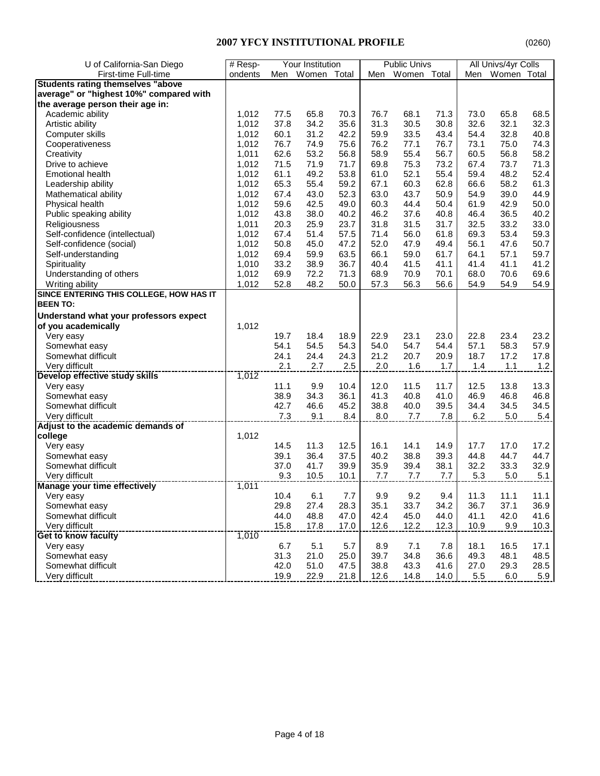| U of California-San Diego                | $#$ Resp- |      | <b>Your Institution</b> |      |      | <b>Public Univs</b> |      |      | All Univs/4yr Colls |       |
|------------------------------------------|-----------|------|-------------------------|------|------|---------------------|------|------|---------------------|-------|
| First-time Full-time                     | ondents   |      | Men Women Total         |      |      | Men Women Total     |      | Men  | Women Total         |       |
| <b>Students rating themselves "above</b> |           |      |                         |      |      |                     |      |      |                     |       |
| average" or "highest 10%" compared with  |           |      |                         |      |      |                     |      |      |                     |       |
| the average person their age in:         |           |      |                         |      |      |                     |      |      |                     |       |
| Academic ability                         | 1.012     | 77.5 | 65.8                    | 70.3 | 76.7 | 68.1                | 71.3 | 73.0 | 65.8                | 68.5  |
| Artistic ability                         | 1,012     | 37.8 | 34.2                    | 35.6 | 31.3 | 30.5                | 30.8 | 32.6 | 32.1                | 32.3  |
| Computer skills                          | 1,012     | 60.1 | 31.2                    | 42.2 | 59.9 | 33.5                | 43.4 | 54.4 | 32.8                | 40.8  |
| Cooperativeness                          | 1,012     | 76.7 | 74.9                    | 75.6 | 76.2 | 77.1                | 76.7 | 73.1 | 75.0                | 74.3  |
| Creativity                               | 1,011     | 62.6 | 53.2                    | 56.8 | 58.9 | 55.4                | 56.7 | 60.5 | 56.8                | 58.2  |
| Drive to achieve                         | 1,012     | 71.5 | 71.9                    | 71.7 | 69.8 | 75.3                | 73.2 | 67.4 | 73.7                | 71.3  |
| <b>Emotional health</b>                  | 1,012     | 61.1 | 49.2                    | 53.8 | 61.0 | 52.1                | 55.4 | 59.4 | 48.2                | 52.4  |
| Leadership ability                       | 1,012     | 65.3 | 55.4                    | 59.2 | 67.1 | 60.3                | 62.8 | 66.6 | 58.2                | 61.3  |
| Mathematical ability                     | 1,012     | 67.4 | 43.0                    | 52.3 | 63.0 | 43.7                | 50.9 | 54.9 | 39.0                | 44.9  |
| Physical health                          | 1,012     | 59.6 | 42.5                    | 49.0 | 60.3 | 44.4                | 50.4 | 61.9 | 42.9                | 50.0  |
| Public speaking ability                  | 1,012     | 43.8 | 38.0                    | 40.2 | 46.2 | 37.6                | 40.8 | 46.4 | 36.5                | 40.2  |
|                                          | 1,011     |      |                         |      | 31.8 |                     |      | 32.5 |                     | 33.0  |
| Religiousness                            |           | 20.3 | 25.9                    | 23.7 |      | 31.5                | 31.7 |      | 33.2                |       |
| Self-confidence (intellectual)           | 1,012     | 67.4 | 51.4                    | 57.5 | 71.4 | 56.0                | 61.8 | 69.3 | 53.4                | 59.3  |
| Self-confidence (social)                 | 1,012     | 50.8 | 45.0                    | 47.2 | 52.0 | 47.9                | 49.4 | 56.1 | 47.6                | 50.7  |
| Self-understanding                       | 1,012     | 69.4 | 59.9                    | 63.5 | 66.1 | 59.0                | 61.7 | 64.1 | 57.1                | 59.7  |
| Spirituality                             | 1,010     | 33.2 | 38.9                    | 36.7 | 40.4 | 41.5                | 41.1 | 41.4 | 41.1                | 41.2  |
| Understanding of others                  | 1,012     | 69.9 | 72.2                    | 71.3 | 68.9 | 70.9                | 70.1 | 68.0 | 70.6                | 69.6  |
| Writing ability                          | 1,012     | 52.8 | 48.2                    | 50.0 | 57.3 | 56.3                | 56.6 | 54.9 | 54.9                | 54.9  |
| SINCE ENTERING THIS COLLEGE, HOW HAS IT  |           |      |                         |      |      |                     |      |      |                     |       |
| <b>BEEN TO:</b>                          |           |      |                         |      |      |                     |      |      |                     |       |
| Understand what your professors expect   |           |      |                         |      |      |                     |      |      |                     |       |
| of you academically                      | 1,012     |      |                         |      |      |                     |      |      |                     |       |
| Very easy                                |           | 19.7 | 18.4                    | 18.9 | 22.9 | 23.1                | 23.0 | 22.8 | 23.4                | 23.2  |
| Somewhat easy                            |           | 54.1 | 54.5                    | 54.3 | 54.0 | 54.7                | 54.4 | 57.1 | 58.3                | 57.9  |
| Somewhat difficult                       |           | 24.1 | 24.4                    | 24.3 | 21.2 | 20.7                | 20.9 | 18.7 | 17.2                | 17.8  |
| Very difficult                           |           | 2.1  | 2.7                     | 2.5  | 2.0  | 1.6                 | 1.7  | 1.4  | 1.1                 | $1.2$ |
| Develop effective study skills           | 1,012     |      |                         |      |      |                     |      |      |                     |       |
| Very easy                                |           | 11.1 | 9.9                     | 10.4 | 12.0 | 11.5                | 11.7 | 12.5 | 13.8                | 13.3  |
| Somewhat easy                            |           | 38.9 | 34.3                    | 36.1 | 41.3 | 40.8                | 41.0 | 46.9 | 46.8                | 46.8  |
| Somewhat difficult                       |           | 42.7 | 46.6                    | 45.2 | 38.8 | 40.0                | 39.5 | 34.4 | 34.5                | 34.5  |
| Very difficult                           |           | 7.3  | 9.1                     | 8.4  | 8.0  | 7.7                 | 7.8  | 6.2  | 5.0                 | 5.4   |
| Adjust to the academic demands of        |           |      |                         |      |      |                     |      |      |                     |       |
| college                                  | 1,012     |      |                         |      |      |                     |      |      |                     |       |
| Very easy                                |           | 14.5 | 11.3                    | 12.5 | 16.1 | 14.1                | 14.9 | 17.7 | 17.0                | 17.2  |
| Somewhat easy                            |           | 39.1 | 36.4                    | 37.5 | 40.2 | 38.8                | 39.3 | 44.8 | 44.7                | 44.7  |
| Somewhat difficult                       |           | 37.0 | 41.7                    | 39.9 | 35.9 | 39.4                | 38.1 | 32.2 | 33.3                | 32.9  |
| Very difficult                           |           | 9.3  | 10.5                    | 10.1 | 7.7  | 7.7                 | 7.7  | 5.3  | $5.0$               | 5.1   |
| <b>Manage your time effectively</b>      | 1,011     |      |                         |      |      |                     |      |      |                     |       |
| Very easy                                |           | 10.4 | 6.1                     | 7.7  | 9.9  | 9.2                 | 9.4  | 11.3 | 11.1                | 11.1  |
| Somewhat easy                            |           | 29.8 | 27.4                    | 28.3 | 35.1 | 33.7                | 34.2 | 36.7 | 37.1                | 36.9  |
| Somewhat difficult                       |           | 44.0 | 48.8                    | 47.0 | 42.4 | 45.0                | 44.0 | 41.1 | 42.0                | 41.6  |
| Very difficult                           |           | 15.8 | 17.8                    | 17.0 | 12.6 | 12.2                | 12.3 | 10.9 | 9.9                 | 10.3  |
| Get to know faculty                      | 1,010     |      |                         |      |      |                     |      |      |                     |       |
| Very easy                                |           | 6.7  | 5.1                     | 5.7  | 8.9  | 7.1                 | 7.8  | 18.1 | 16.5                | 17.1  |
| Somewhat easy                            |           | 31.3 | 21.0                    | 25.0 | 39.7 | 34.8                | 36.6 | 49.3 | 48.1                | 48.5  |
| Somewhat difficult                       |           | 42.0 | 51.0                    | 47.5 | 38.8 | 43.3                | 41.6 | 27.0 | 29.3                | 28.5  |
| Very difficult                           |           | 19.9 | 22.9                    | 21.8 | 12.6 | 14.8                | 14.0 | 5.5  | 6.0                 | 5.9   |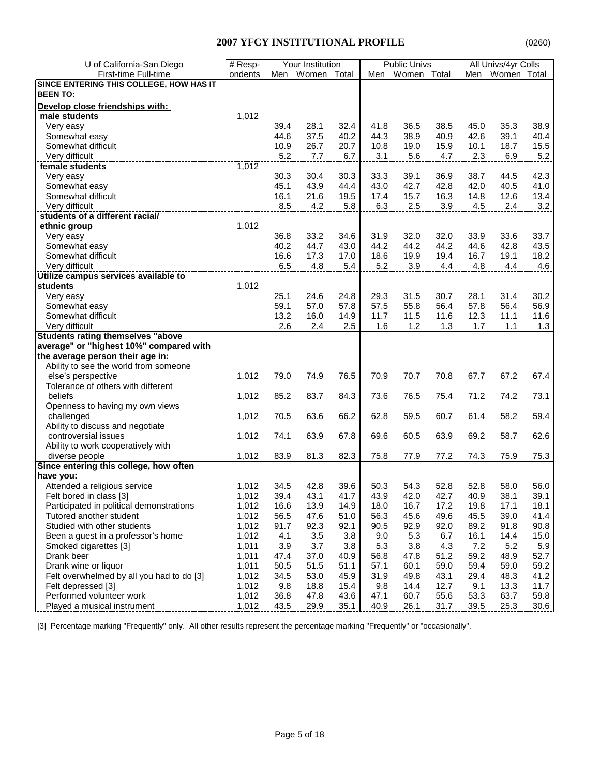| U of California-San Diego                                  | # Resp- |      | Your Institution |             |              | <b>Public Univs</b> |      |              | All Univs/4yr Colls |         |
|------------------------------------------------------------|---------|------|------------------|-------------|--------------|---------------------|------|--------------|---------------------|---------|
| First-time Full-time                                       | ondents |      | Men Women Total  |             |              | Men Women Total     |      |              | Men Women Total     |         |
| SINCE ENTERING THIS COLLEGE, HOW HAS IT                    |         |      |                  |             |              |                     |      |              |                     |         |
| <b>BEEN TO:</b>                                            |         |      |                  |             |              |                     |      |              |                     |         |
| Develop close friendships with:                            |         |      |                  |             |              |                     |      |              |                     |         |
| male students                                              | 1,012   |      |                  |             |              |                     |      |              |                     |         |
| Very easy                                                  |         | 39.4 | 28.1             | 32.4        | 41.8         | 36.5                | 38.5 | 45.0         | 35.3                | 38.9    |
|                                                            |         | 44.6 | 37.5             | 40.2        | 44.3         | 38.9                | 40.9 | 42.6         | 39.1                | 40.4    |
| Somewhat easy<br>Somewhat difficult                        |         | 10.9 | 26.7             |             | 10.8         | 19.0                | 15.9 | 10.1         | 18.7                | 15.5    |
|                                                            |         | 5.2  | 7.7              | 20.7<br>6.7 | 3.1          | 5.6                 | 4.7  | 2.3          | 6.9                 |         |
| Very difficult<br>---------------------<br>female students | 1,012   |      |                  |             |              |                     |      |              |                     | $5.2\,$ |
|                                                            |         | 30.3 | 30.4             | 30.3        | 33.3         | 39.1                | 36.9 | 38.7         | 44.5                | 42.3    |
| Very easy                                                  |         |      |                  |             |              |                     |      |              |                     |         |
| Somewhat easy                                              |         | 45.1 | 43.9             | 44.4        | 43.0<br>17.4 | 42.7                | 42.8 | 42.0<br>14.8 | 40.5                | 41.0    |
| Somewhat difficult                                         |         | 16.1 | 21.6             | 19.5        |              | 15.7                | 16.3 |              | 12.6                | 13.4    |
| Very difficult                                             |         | 8.5  | 4.2              | 5.8         | 6.3          | 2.5                 | 3.9  | 4.5          | 2.4                 | 3.2     |
| students of a different racial/                            |         |      |                  |             |              |                     |      |              |                     |         |
| ethnic group                                               | 1,012   |      |                  |             |              |                     |      |              |                     |         |
| Very easy                                                  |         | 36.8 | 33.2             | 34.6        | 31.9         | 32.0                | 32.0 | 33.9         | 33.6                | 33.7    |
| Somewhat easy                                              |         | 40.2 | 44.7             | 43.0        | 44.2         | 44.2                | 44.2 | 44.6         | 42.8                | 43.5    |
| Somewhat difficult                                         |         | 16.6 | 17.3             | 17.0        | 18.6         | 19.9                | 19.4 | 16.7         | 19.1                | 18.2    |
| Very difficult                                             |         | 6.5  | 4.8              | 5.4         | 5.2          | 3.9                 | 4.4  | 4.8          | 4.4                 | 4.6     |
| Utilize campus services available to<br>students           |         |      |                  |             |              |                     |      |              |                     |         |
|                                                            | 1,012   |      |                  |             |              |                     |      |              |                     |         |
| Very easy                                                  |         | 25.1 | 24.6             | 24.8        | 29.3         | 31.5                | 30.7 | 28.1         | 31.4                | 30.2    |
| Somewhat easy                                              |         | 59.1 | 57.0             | 57.8        | 57.5         | 55.8                | 56.4 | 57.8         | 56.4                | 56.9    |
| Somewhat difficult                                         |         | 13.2 | 16.0             | 14.9        | 11.7         | 11.5                | 11.6 | 12.3         | 11.1                | 11.6    |
| Very difficult                                             |         | 2.6  | 2.4              | 2.5         | 1.6          | 1.2                 | 1.3  | 1.7          | 1.1                 | 1.3     |
| <b>Students rating themselves "above</b>                   |         |      |                  |             |              |                     |      |              |                     |         |
| average" or "highest 10%" compared with                    |         |      |                  |             |              |                     |      |              |                     |         |
| the average person their age in:                           |         |      |                  |             |              |                     |      |              |                     |         |
| Ability to see the world from someone                      |         |      |                  |             |              |                     |      |              |                     |         |
| else's perspective                                         | 1,012   | 79.0 | 74.9             | 76.5        | 70.9         | 70.7                | 70.8 | 67.7         | 67.2                | 67.4    |
| Tolerance of others with different                         |         |      |                  |             |              |                     |      |              |                     |         |
| beliefs                                                    | 1,012   | 85.2 | 83.7             | 84.3        | 73.6         | 76.5                | 75.4 | 71.2         | 74.2                | 73.1    |
| Openness to having my own views                            |         |      |                  |             |              |                     |      |              |                     |         |
| challenged                                                 | 1,012   | 70.5 | 63.6             | 66.2        | 62.8         | 59.5                | 60.7 | 61.4         | 58.2                | 59.4    |
| Ability to discuss and negotiate                           |         |      |                  |             |              |                     |      |              |                     |         |
| controversial issues                                       | 1,012   | 74.1 | 63.9             | 67.8        | 69.6         | 60.5                | 63.9 | 69.2         | 58.7                | 62.6    |
| Ability to work cooperatively with                         |         |      |                  |             |              |                     |      |              |                     |         |
| diverse people<br>Since entering this college, how often   | 1,012   | 83.9 | 81.3             | 82.3        | 75.8         | 77.9                | 77.2 | 74.3         | 75.9                | 75.3    |
|                                                            |         |      |                  |             |              |                     |      |              |                     |         |
| have you:                                                  |         |      |                  |             |              |                     |      |              |                     |         |
| Attended a religious service                               | 1,012   | 34.5 | 42.8             | 39.6        | 50.3         | 54.3                | 52.8 | 52.8         | 58.0                | 56.0    |
| Felt bored in class [3]                                    | 1,012   | 39.4 | 43.1             | 41.7        | 43.9         | 42.0                | 42.7 | 40.9         | 38.1                | 39.1    |
| Participated in political demonstrations                   | 1,012   | 16.6 | 13.9             | 14.9        | 18.0         | 16.7                | 17.2 | 19.8         | 17.1                | 18.1    |
| Tutored another student                                    | 1,012   | 56.5 | 47.6             | 51.0        | 56.3         | 45.6                | 49.6 | 45.5         | 39.0                | 41.4    |
| Studied with other students                                | 1,012   | 91.7 | 92.3             | 92.1        | 90.5         | 92.9                | 92.0 | 89.2         | 91.8                | 90.8    |
| Been a guest in a professor's home                         | 1,012   | 4.1  | 3.5              | 3.8         | 9.0          | 5.3                 | 6.7  | 16.1         | 14.4                | 15.0    |
| Smoked cigarettes [3]                                      | 1,011   | 3.9  | 3.7              | 3.8         | 5.3          | 3.8                 | 4.3  | 7.2          | 5.2                 | 5.9     |
| Drank beer                                                 | 1,011   | 47.4 | 37.0             | 40.9        | 56.8         | 47.8                | 51.2 | 59.2         | 48.9                | 52.7    |
| Drank wine or liquor                                       | 1,011   | 50.5 | 51.5             | 51.1        | 57.1         | 60.1                | 59.0 | 59.4         | 59.0                | 59.2    |
| Felt overwhelmed by all you had to do [3]                  | 1,012   | 34.5 | 53.0             | 45.9        | 31.9         | 49.8                | 43.1 | 29.4         | 48.3                | 41.2    |
| Felt depressed [3]                                         | 1,012   | 9.8  | 18.8             | 15.4        | 9.8          | 14.4                | 12.7 | 9.1          | 13.3                | 11.7    |
| Performed volunteer work                                   | 1,012   | 36.8 | 47.8             | 43.6        | 47.1         | 60.7                | 55.6 | 53.3         | 63.7                | 59.8    |
| Played a musical instrument                                | 1,012   | 43.5 | 29.9             | 35.1        | 40.9         | 26.1                | 31.7 | 39.5         | 25.3                | 30.6    |

[3] Percentage marking "Frequently" only. All other results represent the percentage marking "Frequently" or "occasionally".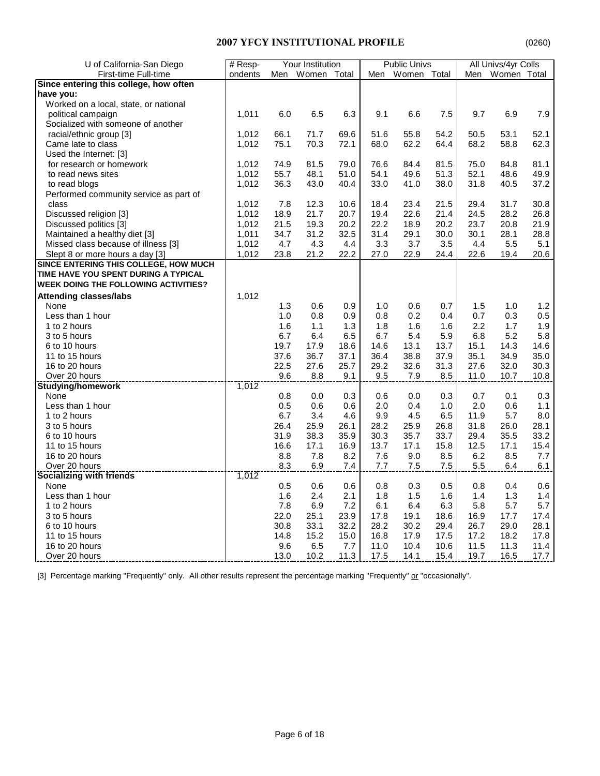| U of California-San Diego                   | # Resp- |      | Your Institution |      |      | <b>Public Univs</b> |      |      | All Univs/4yr Colls |      |
|---------------------------------------------|---------|------|------------------|------|------|---------------------|------|------|---------------------|------|
| First-time Full-time                        | ondents | Men  | Women Total      |      | Men  | Women Total         |      | Men  | Women Total         |      |
| Since entering this college, how often      |         |      |                  |      |      |                     |      |      |                     |      |
| have you:                                   |         |      |                  |      |      |                     |      |      |                     |      |
| Worked on a local, state, or national       |         |      |                  |      |      |                     |      |      |                     |      |
| political campaign                          | 1,011   | 6.0  | 6.5              | 6.3  | 9.1  | 6.6                 | 7.5  | 9.7  | 6.9                 | 7.9  |
| Socialized with someone of another          |         |      |                  |      |      |                     |      |      |                     |      |
| racial/ethnic group [3]                     | 1,012   | 66.1 | 71.7             | 69.6 | 51.6 | 55.8                | 54.2 | 50.5 | 53.1                | 52.1 |
| Came late to class                          | 1,012   | 75.1 | 70.3             | 72.1 | 68.0 | 62.2                | 64.4 | 68.2 | 58.8                | 62.3 |
| Used the Internet: [3]                      |         |      |                  |      |      |                     |      |      |                     |      |
| for research or homework                    | 1,012   | 74.9 | 81.5             | 79.0 | 76.6 | 84.4                | 81.5 | 75.0 | 84.8                | 81.1 |
| to read news sites                          | 1,012   | 55.7 | 48.1             | 51.0 | 54.1 | 49.6                | 51.3 | 52.1 | 48.6                | 49.9 |
| to read blogs                               | 1,012   | 36.3 | 43.0             | 40.4 | 33.0 | 41.0                | 38.0 | 31.8 | 40.5                | 37.2 |
| Performed community service as part of      |         |      |                  |      |      |                     |      |      |                     |      |
| class                                       | 1,012   | 7.8  | 12.3             | 10.6 | 18.4 | 23.4                | 21.5 | 29.4 | 31.7                | 30.8 |
| Discussed religion [3]                      | 1,012   | 18.9 | 21.7             | 20.7 | 19.4 | 22.6                | 21.4 | 24.5 | 28.2                | 26.8 |
| Discussed politics [3]                      | 1,012   | 21.5 | 19.3             | 20.2 | 22.2 | 18.9                | 20.2 | 23.7 | 20.8                | 21.9 |
| Maintained a healthy diet [3]               | 1,011   | 34.7 | 31.2             | 32.5 | 31.4 | 29.1                | 30.0 | 30.1 | 28.1                | 28.8 |
| Missed class because of illness [3]         | 1,012   | 4.7  | 4.3              | 4.4  | 3.3  | 3.7                 | 3.5  | 4.4  | 5.5                 | 5.1  |
| Slept 8 or more hours a day [3]             | 1,012   | 23.8 | 21.2             | 22.2 | 27.0 | 22.9                | 24.4 | 22.6 | 19.4                | 20.6 |
| SINCE ENTERING THIS COLLEGE, HOW MUCH       |         |      |                  |      |      |                     |      |      |                     |      |
| TIME HAVE YOU SPENT DURING A TYPICAL        |         |      |                  |      |      |                     |      |      |                     |      |
| <b>WEEK DOING THE FOLLOWING ACTIVITIES?</b> |         |      |                  |      |      |                     |      |      |                     |      |
| <b>Attending classes/labs</b>               | 1,012   |      |                  |      |      |                     |      |      |                     |      |
| None                                        |         | 1.3  | 0.6              | 0.9  | 1.0  | 0.6                 | 0.7  | 1.5  | 1.0                 | 1.2  |
| Less than 1 hour                            |         | 1.0  | 0.8              | 0.9  | 0.8  | 0.2                 | 0.4  | 0.7  | 0.3                 | 0.5  |
| 1 to 2 hours                                |         | 1.6  | 1.1              | 1.3  | 1.8  | 1.6                 | 1.6  | 2.2  | 1.7                 | 1.9  |
| 3 to 5 hours                                |         | 6.7  | 6.4              | 6.5  | 6.7  | 5.4                 | 5.9  | 6.8  | 5.2                 | 5.8  |
| 6 to 10 hours                               |         | 19.7 | 17.9             | 18.6 | 14.6 | 13.1                | 13.7 | 15.1 | 14.3                | 14.6 |
| 11 to 15 hours                              |         | 37.6 | 36.7             | 37.1 | 36.4 | 38.8                | 37.9 | 35.1 | 34.9                | 35.0 |
| 16 to 20 hours                              |         | 22.5 | 27.6             | 25.7 | 29.2 | 32.6                | 31.3 | 27.6 | 32.0                | 30.3 |
| Over 20 hours                               |         | 9.6  | 8.8              | 9.1  | 9.5  | 7.9                 | 8.5  | 11.0 | 10.7                | 10.8 |
| <b>Studying/homework</b>                    | 1,012   |      |                  |      |      |                     |      |      |                     |      |
| None                                        |         | 0.8  | 0.0              | 0.3  | 0.6  | 0.0                 | 0.3  | 0.7  | 0.1                 | 0.3  |
| Less than 1 hour                            |         | 0.5  | 0.6              | 0.6  | 2.0  | 0.4                 | 1.0  | 2.0  | 0.6                 | 1.1  |
| 1 to 2 hours                                |         | 6.7  | 3.4              | 4.6  | 9.9  | 4.5                 | 6.5  | 11.9 | 5.7                 | 8.0  |
| 3 to 5 hours                                |         | 26.4 | 25.9             | 26.1 | 28.2 | 25.9                | 26.8 | 31.8 | 26.0                | 28.1 |
| 6 to 10 hours                               |         | 31.9 | 38.3             | 35.9 | 30.3 | 35.7                | 33.7 | 29.4 | 35.5                | 33.2 |
| 11 to 15 hours                              |         | 16.6 | 17.1             | 16.9 | 13.7 | 17.1                | 15.8 | 12.5 | 17.1                | 15.4 |
| 16 to 20 hours                              |         | 8.8  | 7.8              | 8.2  | 7.6  | 9.0                 | 8.5  | 6.2  | 8.5                 | 7.7  |
| Over 20 hours                               |         | 8.3  | 6.9              | 7.4  | 7.7  | 7.5                 | 7.5  | 5.5  | 6.4                 | 6.1  |
| <b>Socializing with friends</b>             | 1,012   |      |                  |      |      |                     |      |      |                     |      |
| None                                        |         | 0.5  | 0.6              | 0.6  | 0.8  | 0.3                 | 0.5  | 0.8  | 0.4                 | 0.6  |
| Less than 1 hour                            |         | 1.6  | 2.4              | 2.1  | 1.8  | 1.5                 | 1.6  | 1.4  | 1.3                 | 1.4  |
| 1 to 2 hours                                |         | 7.8  | 6.9              | 7.2  | 6.1  | 6.4                 | 6.3  | 5.8  | 5.7                 | 5.7  |
| 3 to 5 hours                                |         | 22.0 | 25.1             | 23.9 | 17.8 | 19.1                | 18.6 | 16.9 | 17.7                | 17.4 |
| 6 to 10 hours                               |         | 30.8 | 33.1             | 32.2 | 28.2 | 30.2                | 29.4 | 26.7 | 29.0                | 28.1 |
| 11 to 15 hours                              |         | 14.8 | 15.2             | 15.0 | 16.8 | 17.9                | 17.5 | 17.2 | 18.2                | 17.8 |
| 16 to 20 hours                              |         | 9.6  | 6.5              | 7.7  | 11.0 | 10.4                | 10.6 | 11.5 | 11.3                | 11.4 |
| Over 20 hours                               |         | 13.0 | 10.2             | 11.3 | 17.5 | 14.1                | 15.4 | 19.7 | 16.5                | 17.7 |
|                                             |         |      |                  |      |      |                     |      |      |                     |      |

[3] Percentage marking "Frequently" only. All other results represent the percentage marking "Frequently" or "occasionally".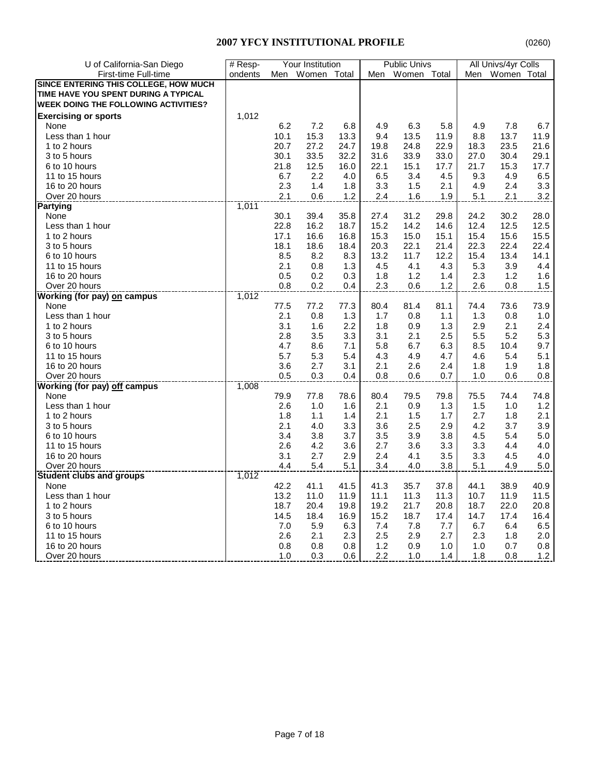| U of California-San Diego                   | # Resp- |            | Your Institution |      |      | <b>Public Univs</b> |      |       | All Univs/4yr Colls |         |
|---------------------------------------------|---------|------------|------------------|------|------|---------------------|------|-------|---------------------|---------|
| First-time Full-time                        | ondents | Men        | Women Total      |      | Men  | Women Total         |      | Men   | Women Total         |         |
| SINCE ENTERING THIS COLLEGE, HOW MUCH       |         |            |                  |      |      |                     |      |       |                     |         |
| TIME HAVE YOU SPENT DURING A TYPICAL        |         |            |                  |      |      |                     |      |       |                     |         |
| <b>WEEK DOING THE FOLLOWING ACTIVITIES?</b> |         |            |                  |      |      |                     |      |       |                     |         |
| <b>Exercising or sports</b>                 | 1,012   |            |                  |      |      |                     |      |       |                     |         |
| None                                        |         | 6.2        | 7.2              | 6.8  | 4.9  | 6.3                 | 5.8  | 4.9   | 7.8                 | 6.7     |
| Less than 1 hour                            |         | 10.1       | 15.3             | 13.3 | 9.4  | 13.5                | 11.9 | 8.8   | 13.7                | 11.9    |
| 1 to 2 hours                                |         | 20.7       | 27.2             | 24.7 | 19.8 | 24.8                | 22.9 | 18.3  | 23.5                | 21.6    |
| 3 to 5 hours                                |         | 30.1       | 33.5             | 32.2 | 31.6 | 33.9                | 33.0 | 27.0  | 30.4                | 29.1    |
| 6 to 10 hours                               |         | 21.8       | 12.5             | 16.0 | 22.1 | 15.1                | 17.7 | 21.7  | 15.3                | 17.7    |
| 11 to 15 hours                              |         | 6.7        | 2.2              | 4.0  | 6.5  | 3.4                 | 4.5  | 9.3   | 4.9                 | 6.5     |
| 16 to 20 hours                              |         | 2.3        | 1.4              | 1.8  | 3.3  | 1.5                 | 2.1  | 4.9   | 2.4                 | 3.3     |
| Over 20 hours                               |         | 2.1        | 0.6              | 1.2  | 2.4  | 1.6                 | 1.9  | 5.1   | 2.1                 | 3.2     |
| <b>Partying</b>                             | 7,011   |            |                  |      |      |                     |      |       |                     |         |
| None                                        |         | 30.1       | 39.4             | 35.8 | 27.4 | 31.2                | 29.8 | 24.2  | 30.2                | 28.0    |
| Less than 1 hour                            |         | 22.8       | 16.2             | 18.7 | 15.2 | 14.2                | 14.6 | 12.4  | 12.5                | 12.5    |
| 1 to 2 hours                                |         | 17.1       | 16.6             | 16.8 | 15.3 | 15.0                | 15.1 | 15.4  | 15.6                | 15.5    |
|                                             |         |            |                  |      |      |                     |      |       |                     |         |
| 3 to 5 hours                                |         | 18.1       | 18.6             | 18.4 | 20.3 | 22.1                | 21.4 | 22.3  | 22.4                | 22.4    |
| 6 to 10 hours                               |         | 8.5<br>2.1 | 8.2              | 8.3  | 13.2 | 11.7                | 12.2 | 15.4  | 13.4                | 14.1    |
| 11 to 15 hours                              |         |            | 0.8              | 1.3  | 4.5  | 4.1                 | 4.3  | 5.3   | 3.9                 | 4.4     |
| 16 to 20 hours                              |         | 0.5        | 0.2              | 0.3  | 1.8  | 1.2                 | 1.4  | 2.3   | 1.2                 | 1.6     |
| Over 20 hours                               |         | 0.8        | 0.2              | 0.4  | 2.3  | 0.6                 | 1.2  | 2.6   | 0.8                 | 1.5     |
| <b>Working (for pay) on campus</b>          | 1,012   |            |                  |      |      |                     |      |       |                     |         |
| None                                        |         | 77.5       | 77.2             | 77.3 | 80.4 | 81.4                | 81.1 | 74.4  | 73.6                | 73.9    |
| Less than 1 hour                            |         | 2.1        | 0.8              | 1.3  | 1.7  | 0.8                 | 1.1  | 1.3   | 0.8                 | 1.0     |
| 1 to 2 hours                                |         | 3.1        | 1.6              | 2.2  | 1.8  | 0.9                 | 1.3  | 2.9   | 2.1                 | 2.4     |
| 3 to 5 hours                                |         | 2.8        | 3.5              | 3.3  | 3.1  | 2.1                 | 2.5  | 5.5   | 5.2                 | 5.3     |
| 6 to 10 hours                               |         | 4.7        | 8.6              | 7.1  | 5.8  | 6.7                 | 6.3  | 8.5   | 10.4                | 9.7     |
| 11 to 15 hours                              |         | 5.7        | 5.3              | 5.4  | 4.3  | 4.9                 | 4.7  | 4.6   | 5.4                 | 5.1     |
| 16 to 20 hours                              |         | 3.6        | 2.7              | 3.1  | 2.1  | 2.6                 | 2.4  | 1.8   | 1.9                 | 1.8     |
| Over 20 hours                               |         | 0.5        | 0.3              | 0.4  | 0.8  | 0.6                 | 0.7  | $1.0$ | 0.6                 | 0.8     |
| <b>Working (for pay) off campus</b>         | 1,008   |            |                  |      |      |                     |      |       |                     |         |
| None                                        |         | 79.9       | 77.8             | 78.6 | 80.4 | 79.5                | 79.8 | 75.5  | 74.4                | 74.8    |
| Less than 1 hour                            |         | 2.6        | 1.0              | 1.6  | 2.1  | 0.9                 | 1.3  | 1.5   | 1.0                 | 1.2     |
| 1 to 2 hours                                |         | 1.8        | 1.1              | 1.4  | 2.1  | 1.5                 | 1.7  | 2.7   | 1.8                 | 2.1     |
| 3 to 5 hours                                |         | 2.1        | 4.0              | 3.3  | 3.6  | 2.5                 | 2.9  | 4.2   | 3.7                 | 3.9     |
| 6 to 10 hours                               |         | 3.4        | 3.8              | 3.7  | 3.5  | 3.9                 | 3.8  | 4.5   | 5.4                 | $5.0\,$ |
| 11 to 15 hours                              |         | 2.6        | 4.2              | 3.6  | 2.7  | 3.6                 | 3.3  | 3.3   | 4.4                 | 4.0     |
| 16 to 20 hours                              |         | 3.1        | 2.7              | 2.9  | 2.4  | 4.1                 | 3.5  | 3.3   | 4.5                 | 4.0     |
| Over 20 hours                               |         | 4.4        | 5.4              | 5.1  | 3.4  | 4.0                 | 3.8  | 5.1   | 4.9                 | 5.0     |
| <b>Student clubs and groups</b>             | 1,012   |            |                  |      |      |                     |      |       |                     |         |
| None                                        |         | 42.2       | 41.1             | 41.5 | 41.3 | 35.7                | 37.8 | 44.1  | 38.9                | 40.9    |
| Less than 1 hour                            |         | 13.2       | 11.0             | 11.9 | 11.1 | 11.3                | 11.3 | 10.7  | 11.9                | 11.5    |
| 1 to 2 hours                                |         | 18.7       | 20.4             | 19.8 | 19.2 | 21.7                | 20.8 | 18.7  | 22.0                | 20.8    |
| 3 to 5 hours                                |         | 14.5       | 18.4             | 16.9 | 15.2 | 18.7                | 17.4 | 14.7  | 17.4                | 16.4    |
| 6 to 10 hours                               |         | 7.0        | 5.9              | 6.3  | 7.4  | 7.8                 | 7.7  | 6.7   | 6.4                 | 6.5     |
| 11 to 15 hours                              |         | 2.6        | 2.1              | 2.3  | 2.5  | 2.9                 | 2.7  | 2.3   | 1.8                 | 2.0     |
| 16 to 20 hours                              |         | 0.8        | 0.8              | 0.8  | 1.2  | 0.9                 | 1.0  | 1.0   | 0.7                 | 0.8     |
| Over 20 hours                               |         | 1.0        | 0.3              | 0.6  | 2.2  | 1.0                 | 1.4  | 1.8   | 0.8                 | $1.2$   |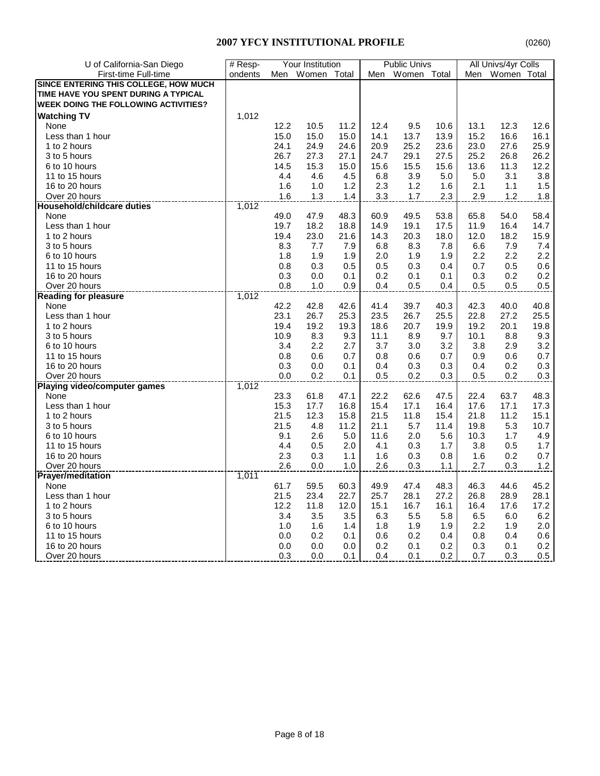| U of California-San Diego                   | # Resp- |      | Your Institution |      |      | <b>Public Univs</b> |      |      | All Univs/4yr Colls |         |
|---------------------------------------------|---------|------|------------------|------|------|---------------------|------|------|---------------------|---------|
| First-time Full-time                        | ondents | Men  | Women Total      |      | Men  | Women Total         |      | Men  | Women Total         |         |
| SINCE ENTERING THIS COLLEGE, HOW MUCH       |         |      |                  |      |      |                     |      |      |                     |         |
| TIME HAVE YOU SPENT DURING A TYPICAL        |         |      |                  |      |      |                     |      |      |                     |         |
| <b>WEEK DOING THE FOLLOWING ACTIVITIES?</b> |         |      |                  |      |      |                     |      |      |                     |         |
| <b>Watching TV</b>                          | 1,012   |      |                  |      |      |                     |      |      |                     |         |
| None                                        |         | 12.2 | 10.5             | 11.2 | 12.4 | 9.5                 | 10.6 | 13.1 | 12.3                | 12.6    |
| Less than 1 hour                            |         | 15.0 | 15.0             | 15.0 | 14.1 | 13.7                | 13.9 | 15.2 | 16.6                | 16.1    |
| 1 to 2 hours                                |         | 24.1 | 24.9             | 24.6 | 20.9 | 25.2                | 23.6 | 23.0 | 27.6                | 25.9    |
| 3 to 5 hours                                |         | 26.7 | 27.3             | 27.1 | 24.7 | 29.1                | 27.5 | 25.2 | 26.8                | 26.2    |
|                                             |         |      |                  |      |      |                     |      | 13.6 |                     | 12.2    |
| 6 to 10 hours                               |         | 14.5 | 15.3             | 15.0 | 15.6 | 15.5                | 15.6 |      | 11.3                |         |
| 11 to 15 hours                              |         | 4.4  | 4.6              | 4.5  | 6.8  | 3.9                 | 5.0  | 5.0  | 3.1                 | 3.8     |
| 16 to 20 hours                              |         | 1.6  | 1.0              | 1.2  | 2.3  | 1.2                 | 1.6  | 2.1  | 1.1                 | 1.5     |
| Over 20 hours                               | 1,012   | 1.6  | 1.3              | 1.4  | 3.3  | 1.7                 | 2.3  | 2.9  | 1.2                 | 1.8     |
| <b>Household/childcare duties</b>           |         |      |                  |      |      |                     |      |      |                     |         |
| None                                        |         | 49.0 | 47.9<br>18.2     | 48.3 | 60.9 | 49.5<br>19.1        | 53.8 | 65.8 | 54.0                | 58.4    |
| Less than 1 hour                            |         | 19.7 |                  | 18.8 | 14.9 |                     | 17.5 | 11.9 | 16.4                | 14.7    |
| 1 to 2 hours                                |         | 19.4 | 23.0             | 21.6 | 14.3 | 20.3                | 18.0 | 12.0 | 18.2                | 15.9    |
| 3 to 5 hours                                |         | 8.3  | 7.7              | 7.9  | 6.8  | 8.3                 | 7.8  | 6.6  | 7.9                 | 7.4     |
| 6 to 10 hours                               |         | 1.8  | 1.9              | 1.9  | 2.0  | 1.9                 | 1.9  | 2.2  | 2.2                 | 2.2     |
| 11 to 15 hours                              |         | 0.8  | 0.3              | 0.5  | 0.5  | 0.3                 | 0.4  | 0.7  | 0.5                 | 0.6     |
| 16 to 20 hours                              |         | 0.3  | 0.0              | 0.1  | 0.2  | 0.1                 | 0.1  | 0.3  | 0.2                 | 0.2     |
| Over 20 hours                               |         | 0.8  | 1.0              | 0.9  | 0.4  | 0.5                 | 0.4  | 0.5  | 0.5                 | 0.5     |
| <b>Reading for pleasure</b>                 | 1,012   |      |                  |      |      |                     |      |      |                     |         |
| None                                        |         | 42.2 | 42.8             | 42.6 | 41.4 | 39.7                | 40.3 | 42.3 | 40.0                | 40.8    |
| Less than 1 hour                            |         | 23.1 | 26.7             | 25.3 | 23.5 | 26.7                | 25.5 | 22.8 | 27.2                | 25.5    |
| 1 to 2 hours                                |         | 19.4 | 19.2             | 19.3 | 18.6 | 20.7                | 19.9 | 19.2 | 20.1                | 19.8    |
| 3 to 5 hours                                |         | 10.9 | 8.3              | 9.3  | 11.1 | 8.9                 | 9.7  | 10.1 | 8.8                 | 9.3     |
| 6 to 10 hours                               |         | 3.4  | 2.2              | 2.7  | 3.7  | 3.0                 | 3.2  | 3.8  | 2.9                 | 3.2     |
| 11 to 15 hours                              |         | 0.8  | 0.6              | 0.7  | 0.8  | 0.6                 | 0.7  | 0.9  | 0.6                 | 0.7     |
| 16 to 20 hours                              |         | 0.3  | 0.0              | 0.1  | 0.4  | 0.3                 | 0.3  | 0.4  | 0.2                 | 0.3     |
| Over 20 hours                               |         | 0.0  | 0.2              | 0.1  | 0.5  | 0.2                 | 0.3  | 0.5  | 0.2                 | 0.3     |
| <b>Playing video/computer games</b>         | 1,012   |      |                  |      |      |                     |      |      |                     |         |
| None                                        |         | 23.3 | 61.8             | 47.1 | 22.2 | 62.6                | 47.5 | 22.4 | 63.7                | 48.3    |
| Less than 1 hour                            |         | 15.3 | 17.7             | 16.8 | 15.4 | 17.1                | 16.4 | 17.6 | 17.1                | 17.3    |
| 1 to 2 hours                                |         | 21.5 | 12.3             | 15.8 | 21.5 | 11.8                | 15.4 | 21.8 | 11.2                | 15.1    |
| 3 to 5 hours                                |         | 21.5 | 4.8              | 11.2 | 21.1 | 5.7                 | 11.4 | 19.8 | 5.3                 | 10.7    |
| 6 to 10 hours                               |         | 9.1  | 2.6              | 5.0  | 11.6 | 2.0                 | 5.6  | 10.3 | 1.7                 | 4.9     |
| 11 to 15 hours                              |         | 4.4  | 0.5              | 2.0  | 4.1  | 0.3                 | 1.7  | 3.8  | 0.5                 | 1.7     |
| 16 to 20 hours                              |         | 2.3  | 0.3              | 1.1  | 1.6  | 0.3                 | 0.8  | 1.6  | 0.2                 | 0.7     |
| Over 20 hours                               |         | 2.6  | 0.0              | 1.0  | 2.6  | 0.3                 | 1.1  | 2.7  | 0.3                 | 1.2     |
| <b>Prayer/meditation</b>                    | 1,011   |      |                  |      |      |                     |      |      |                     |         |
| None                                        |         | 61.7 | 59.5             | 60.3 | 49.9 | 47.4                | 48.3 | 46.3 | 44.6                | 45.2    |
| Less than 1 hour                            |         | 21.5 | 23.4             | 22.7 | 25.7 | 28.1                | 27.2 | 26.8 | 28.9                | 28.1    |
| 1 to 2 hours                                |         | 12.2 | 11.8             | 12.0 | 15.1 | 16.7                | 16.1 | 16.4 | 17.6                | 17.2    |
| 3 to 5 hours                                |         | 3.4  | 3.5              | 3.5  | 6.3  | 5.5                 | 5.8  | 6.5  | 6.0                 | 6.2     |
| 6 to 10 hours                               |         | 1.0  | 1.6              | 1.4  | 1.8  | 1.9                 | 1.9  | 2.2  | 1.9                 | 2.0     |
| 11 to 15 hours                              |         | 0.0  | 0.2              | 0.1  | 0.6  | 0.2                 | 0.4  | 0.8  | 0.4                 | 0.6     |
| 16 to 20 hours                              |         | 0.0  | 0.0              | 0.0  | 0.2  | 0.1                 | 0.2  | 0.3  | 0.1                 | 0.2     |
| Over 20 hours                               |         | 0.3  | 0.0              | 0.1  | 0.4  | 0.1                 | 0.2  | 0.7  | 0.3                 | $0.5\,$ |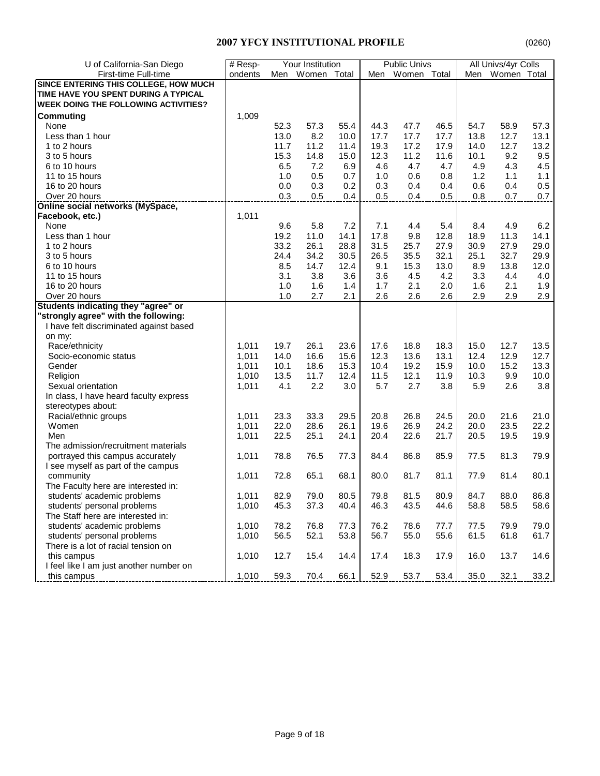| U of California-San Diego                   | $#$ Resp- |      | Your Institution |      |      | <b>Public Univs</b> |      |      | All Univs/4yr Colls |      |
|---------------------------------------------|-----------|------|------------------|------|------|---------------------|------|------|---------------------|------|
| First-time Full-time                        | ondents   | Men  | Women Total      |      |      | Men Women Total     |      | Men  | Women Total         |      |
| SINCE ENTERING THIS COLLEGE, HOW MUCH       |           |      |                  |      |      |                     |      |      |                     |      |
| TIME HAVE YOU SPENT DURING A TYPICAL        |           |      |                  |      |      |                     |      |      |                     |      |
| <b>WEEK DOING THE FOLLOWING ACTIVITIES?</b> |           |      |                  |      |      |                     |      |      |                     |      |
| Commuting                                   | 1,009     |      |                  |      |      |                     |      |      |                     |      |
| None                                        |           | 52.3 | 57.3             | 55.4 | 44.3 | 47.7                | 46.5 | 54.7 | 58.9                | 57.3 |
|                                             |           |      | 8.2              |      |      |                     |      |      |                     |      |
| Less than 1 hour                            |           | 13.0 |                  | 10.0 | 17.7 | 17.7                | 17.7 | 13.8 | 12.7<br>12.7        | 13.1 |
| 1 to 2 hours                                |           | 11.7 | 11.2             | 11.4 | 19.3 | 17.2                | 17.9 | 14.0 |                     | 13.2 |
| 3 to 5 hours                                |           | 15.3 | 14.8             | 15.0 | 12.3 | 11.2                | 11.6 | 10.1 | 9.2                 | 9.5  |
| 6 to 10 hours                               |           | 6.5  | 7.2              | 6.9  | 4.6  | 4.7                 | 4.7  | 4.9  | 4.3                 | 4.5  |
| 11 to 15 hours                              |           | 1.0  | 0.5              | 0.7  | 1.0  | 0.6                 | 0.8  | 1.2  | 1.1                 | 1.1  |
| 16 to 20 hours                              |           | 0.0  | 0.3              | 0.2  | 0.3  | 0.4                 | 0.4  | 0.6  | 0.4                 | 0.5  |
| Over 20 hours                               |           | 0.3  | 0.5              | 0.4  | 0.5  | 0.4                 | 0.5  | 0.8  | 0.7                 | 0.7  |
| <b>Online social networks (MySpace,</b>     |           |      |                  |      |      |                     |      |      |                     |      |
| Facebook, etc.)                             | 1,011     |      |                  |      |      |                     |      |      |                     |      |
| None                                        |           | 9.6  | 5.8              | 7.2  | 7.1  | 4.4                 | 5.4  | 8.4  | 4.9                 | 6.2  |
| Less than 1 hour                            |           | 19.2 | 11.0             | 14.1 | 17.8 | 9.8                 | 12.8 | 18.9 | 11.3                | 14.1 |
| 1 to 2 hours                                |           | 33.2 | 26.1             | 28.8 | 31.5 | 25.7                | 27.9 | 30.9 | 27.9                | 29.0 |
| 3 to 5 hours                                |           | 24.4 | 34.2             | 30.5 | 26.5 | 35.5                | 32.1 | 25.1 | 32.7                | 29.9 |
| 6 to 10 hours                               |           | 8.5  | 14.7             | 12.4 | 9.1  | 15.3                | 13.0 | 8.9  | 13.8                | 12.0 |
| 11 to 15 hours                              |           | 3.1  | 3.8              | 3.6  | 3.6  | 4.5                 | 4.2  | 3.3  | 4.4                 | 4.0  |
| 16 to 20 hours                              |           | 1.0  | 1.6              | 1.4  | 1.7  | 2.1                 | 2.0  | 1.6  | 2.1                 | 1.9  |
| Over 20 hours                               |           | 1.0  | 2.7              | 2.1  | 2.6  | 2.6                 | 2.6  | 2.9  | 2.9                 | 2.9  |
| Students indicating they "agree" or         |           |      |                  |      |      |                     |      |      |                     |      |
| "strongly agree" with the following:        |           |      |                  |      |      |                     |      |      |                     |      |
| I have felt discriminated against based     |           |      |                  |      |      |                     |      |      |                     |      |
| on my:                                      |           |      |                  |      |      |                     |      |      |                     |      |
| Race/ethnicity                              | 1,011     | 19.7 | 26.1             | 23.6 | 17.6 | 18.8                | 18.3 | 15.0 | 12.7                | 13.5 |
| Socio-economic status                       | 1,011     | 14.0 | 16.6             | 15.6 | 12.3 | 13.6                | 13.1 | 12.4 | 12.9                | 12.7 |
| Gender                                      | 1,011     | 10.1 | 18.6             | 15.3 | 10.4 | 19.2                | 15.9 | 10.0 | 15.2                | 13.3 |
| Religion                                    | 1,010     | 13.5 | 11.7             | 12.4 | 11.5 | 12.1                | 11.9 | 10.3 | 9.9                 | 10.0 |
| Sexual orientation                          | 1,011     | 4.1  | 2.2              | 3.0  | 5.7  | 2.7                 | 3.8  | 5.9  | 2.6                 | 3.8  |
| In class, I have heard faculty express      |           |      |                  |      |      |                     |      |      |                     |      |
| stereotypes about:                          |           |      |                  |      |      |                     |      |      |                     |      |
| Racial/ethnic groups                        | 1,011     | 23.3 | 33.3             | 29.5 | 20.8 | 26.8                | 24.5 | 20.0 | 21.6                | 21.0 |
| Women                                       | 1,011     | 22.0 | 28.6             | 26.1 | 19.6 | 26.9                | 24.2 | 20.0 | 23.5                | 22.2 |
| Men                                         | 1,011     | 22.5 | 25.1             | 24.1 | 20.4 | 22.6                | 21.7 | 20.5 | 19.5                | 19.9 |
| The admission/recruitment materials         |           |      |                  |      |      |                     |      |      |                     |      |
| portrayed this campus accurately            | 1,011     | 78.8 | 76.5             | 77.3 | 84.4 | 86.8                | 85.9 | 77.5 | 81.3                | 79.9 |
| I see myself as part of the campus          |           |      |                  |      |      |                     |      |      |                     |      |
| community                                   | 1,011     | 72.8 | 65.1             | 68.1 | 80.0 | 81.7                | 81.1 | 77.9 | 81.4                | 80.1 |
| The Faculty here are interested in:         |           |      |                  |      |      |                     |      |      |                     |      |
| students' academic problems                 | 1,011     | 82.9 | 79.0             | 80.5 | 79.8 | 81.5                | 80.9 | 84.7 | 88.0                | 86.8 |
| students' personal problems                 | 1,010     | 45.3 | 37.3             | 40.4 | 46.3 | 43.5                | 44.6 | 58.8 | 58.5                | 58.6 |
| The Staff here are interested in:           |           |      |                  |      |      |                     |      |      |                     |      |
| students' academic problems                 | 1,010     | 78.2 | 76.8             | 77.3 | 76.2 | 78.6                | 77.7 | 77.5 | 79.9                | 79.0 |
| students' personal problems                 | 1,010     | 56.5 | 52.1             | 53.8 | 56.7 | 55.0                | 55.6 | 61.5 | 61.8                | 61.7 |
| There is a lot of racial tension on         |           |      |                  |      |      |                     |      |      |                     |      |
| this campus                                 | 1,010     | 12.7 | 15.4             | 14.4 | 17.4 | 18.3                | 17.9 | 16.0 | 13.7                | 14.6 |
| I feel like I am just another number on     |           |      |                  |      |      |                     |      |      |                     |      |
| this campus                                 | 1,010     | 59.3 | 70.4             | 66.1 | 52.9 | 53.7                | 53.4 | 35.0 | 32.1                | 33.2 |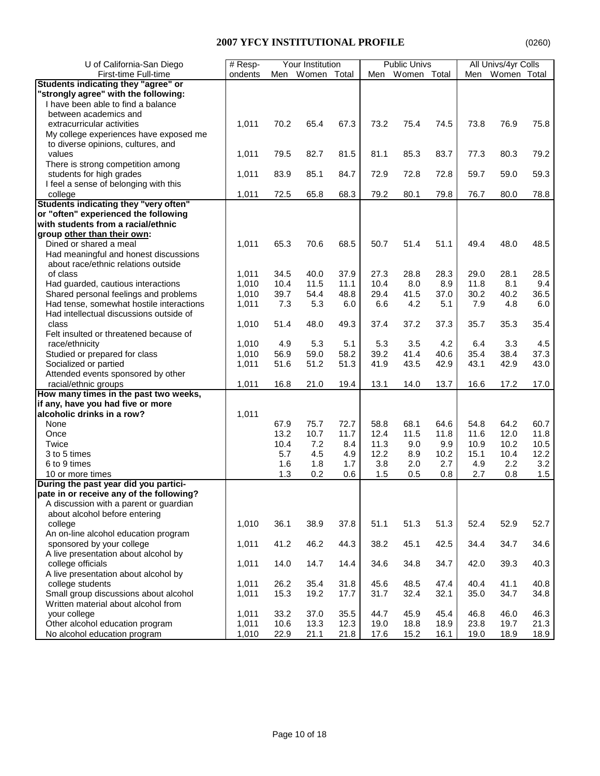| U of California-San Diego                | # Resp- |      | Your Institution |      |      | <b>Public Univs</b> |      |      | All Univs/4yr Colls |      |
|------------------------------------------|---------|------|------------------|------|------|---------------------|------|------|---------------------|------|
| First-time Full-time                     | ondents | Men  | Women Total      |      | Men  | Women Total         |      | Men  | Women Total         |      |
| Students indicating they "agree" or      |         |      |                  |      |      |                     |      |      |                     |      |
| "strongly agree" with the following:     |         |      |                  |      |      |                     |      |      |                     |      |
| I have been able to find a balance       |         |      |                  |      |      |                     |      |      |                     |      |
| between academics and                    |         |      |                  |      |      |                     |      |      |                     |      |
| extracurricular activities               | 1,011   | 70.2 | 65.4             | 67.3 | 73.2 | 75.4                | 74.5 | 73.8 | 76.9                | 75.8 |
| My college experiences have exposed me   |         |      |                  |      |      |                     |      |      |                     |      |
| to diverse opinions, cultures, and       |         |      |                  |      |      |                     |      |      |                     |      |
| values                                   | 1,011   | 79.5 | 82.7             | 81.5 | 81.1 | 85.3                | 83.7 | 77.3 | 80.3                | 79.2 |
| There is strong competition among        |         |      |                  |      |      |                     |      |      |                     |      |
| students for high grades                 | 1,011   | 83.9 | 85.1             | 84.7 | 72.9 | 72.8                | 72.8 | 59.7 | 59.0                | 59.3 |
| I feel a sense of belonging with this    |         |      |                  |      |      |                     |      |      |                     |      |
| college                                  | 1,011   | 72.5 | 65.8             | 68.3 | 79.2 | 80.1                | 79.8 | 76.7 | 80.0                | 78.8 |
| Students indicating they "very often"    |         |      |                  |      |      |                     |      |      |                     |      |
| or "often" experienced the following     |         |      |                  |      |      |                     |      |      |                     |      |
| with students from a racial/ethnic       |         |      |                  |      |      |                     |      |      |                     |      |
| group other than their own:              |         |      |                  |      |      |                     |      |      |                     |      |
| Dined or shared a meal                   | 1,011   | 65.3 | 70.6             | 68.5 | 50.7 | 51.4                | 51.1 | 49.4 | 48.0                | 48.5 |
| Had meaningful and honest discussions    |         |      |                  |      |      |                     |      |      |                     |      |
| about race/ethnic relations outside      |         |      |                  |      |      |                     |      |      |                     |      |
| of class                                 | 1,011   | 34.5 | 40.0             | 37.9 | 27.3 | 28.8                | 28.3 | 29.0 | 28.1                | 28.5 |
| Had guarded, cautious interactions       | 1,010   | 10.4 | 11.5             | 11.1 | 10.4 | 8.0                 | 8.9  | 11.8 | 8.1                 | 9.4  |
| Shared personal feelings and problems    | 1,010   | 39.7 | 54.4             | 48.8 | 29.4 | 41.5                | 37.0 | 30.2 | 40.2                | 36.5 |
| Had tense, somewhat hostile interactions | 1,011   | 7.3  | 5.3              | 6.0  | 6.6  | 4.2                 | 5.1  | 7.9  | 4.8                 | 6.0  |
| Had intellectual discussions outside of  |         |      |                  |      |      |                     |      |      |                     |      |
| class                                    | 1,010   | 51.4 | 48.0             | 49.3 | 37.4 | 37.2                | 37.3 | 35.7 | 35.3                | 35.4 |
| Felt insulted or threatened because of   |         |      |                  |      |      |                     |      |      |                     |      |
| race/ethnicity                           | 1,010   | 4.9  | 5.3              | 5.1  | 5.3  | 3.5                 | 4.2  | 6.4  | 3.3                 | 4.5  |
| Studied or prepared for class            | 1,010   | 56.9 | 59.0             | 58.2 | 39.2 | 41.4                | 40.6 | 35.4 | 38.4                | 37.3 |
| Socialized or partied                    | 1,011   | 51.6 | 51.2             | 51.3 | 41.9 | 43.5                | 42.9 | 43.1 | 42.9                | 43.0 |
| Attended events sponsored by other       |         |      |                  |      |      |                     |      |      |                     |      |
| racial/ethnic groups                     | 1,011   | 16.8 | 21.0             | 19.4 | 13.1 | 14.0                | 13.7 | 16.6 | 17.2                | 17.0 |
| How many times in the past two weeks,    |         |      |                  |      |      |                     |      |      |                     |      |
| if any, have you had five or more        |         |      |                  |      |      |                     |      |      |                     |      |
| alcoholic drinks in a row?               | 1,011   |      |                  |      |      |                     |      |      |                     |      |
| None                                     |         | 67.9 | 75.7             | 72.7 | 58.8 | 68.1                | 64.6 | 54.8 | 64.2                | 60.7 |
| Once                                     |         | 13.2 | 10.7             | 11.7 | 12.4 | 11.5                | 11.8 | 11.6 | 12.0                | 11.8 |
| Twice                                    |         | 10.4 | 7.2              | 8.4  | 11.3 | 9.0                 | 9.9  | 10.9 | 10.2                | 10.5 |
| 3 to 5 times                             |         | 5.7  | 4.5              | 4.9  | 12.2 | 8.9                 | 10.2 | 15.1 | 10.4                | 12.2 |
| 6 to 9 times                             |         | 1.6  | 1.8              | 1.7  | 3.8  | 2.0                 | 2.7  | 4.9  | 2.2                 | 3.2  |
| 10 or more times                         |         | 1.3  | 0.2              | 0.6  | 1.5  | 0.5                 | 0.8  | 2.7  | 0.8                 | 1.5  |
| During the past year did you partici-    |         |      |                  |      |      |                     |      |      |                     |      |
| pate in or receive any of the following? |         |      |                  |      |      |                     |      |      |                     |      |
| A discussion with a parent or guardian   |         |      |                  |      |      |                     |      |      |                     |      |
| about alcohol before entering            |         |      |                  |      |      |                     |      |      |                     |      |
| college                                  | 1,010   | 36.1 | 38.9             | 37.8 | 51.1 | 51.3                | 51.3 | 52.4 | 52.9                | 52.7 |
| An on-line alcohol education program     |         |      |                  |      |      |                     |      |      |                     |      |
| sponsored by your college                | 1,011   | 41.2 | 46.2             | 44.3 | 38.2 | 45.1                | 42.5 | 34.4 | 34.7                | 34.6 |
| A live presentation about alcohol by     |         |      |                  |      |      |                     |      |      |                     |      |
| college officials                        | 1,011   | 14.0 | 14.7             | 14.4 | 34.6 | 34.8                | 34.7 | 42.0 | 39.3                | 40.3 |
| A live presentation about alcohol by     |         |      |                  |      |      |                     |      |      |                     |      |
| college students                         | 1,011   | 26.2 | 35.4             | 31.8 | 45.6 | 48.5                | 47.4 | 40.4 | 41.1                | 40.8 |
| Small group discussions about alcohol    | 1,011   | 15.3 | 19.2             | 17.7 | 31.7 | 32.4                | 32.1 | 35.0 | 34.7                | 34.8 |
| Written material about alcohol from      |         |      |                  |      |      |                     |      |      |                     |      |
| your college                             | 1,011   | 33.2 | 37.0             | 35.5 | 44.7 | 45.9                | 45.4 | 46.8 | 46.0                | 46.3 |
| Other alcohol education program          | 1,011   | 10.6 | 13.3             | 12.3 | 19.0 | 18.8                | 18.9 | 23.8 | 19.7                | 21.3 |
| No alcohol education program             | 1,010   | 22.9 | 21.1             | 21.8 | 17.6 | 15.2                | 16.1 | 19.0 | 18.9                | 18.9 |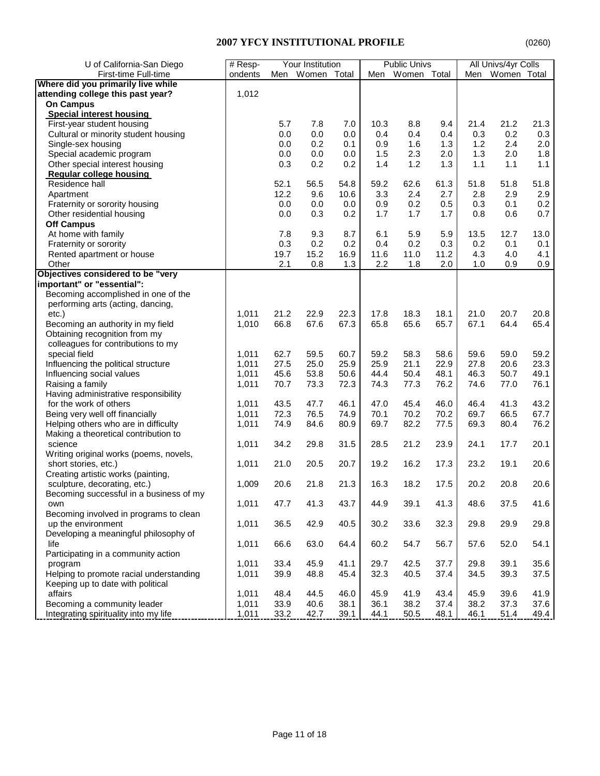| First-time Full-time<br>Women Total<br>Men Women Total<br>ondents<br>Men<br>Women Total<br>Men<br>Where did you primarily live while<br>attending college this past year?<br>1,012<br><b>On Campus</b><br><b>Special interest housing</b><br>First-year student housing<br>7.8<br>7.0<br>10.3<br>9.4<br>21.4<br>21.2<br>21.3<br>5.7<br>8.8<br>Cultural or minority student housing<br>0.0<br>0.0<br>0.4<br>0.3<br>0.2<br>0.3<br>0.0<br>0.4<br>0.4<br>0.2<br>2.0<br>Single-sex housing<br>0.1<br>0.9<br>1.6<br>1.3<br>1.2<br>2.4<br>0.0<br>Special academic program<br>0.0<br>0.0<br>1.5<br>2.3<br>2.0<br>1.3<br>2.0<br>1.8<br>0.0<br>Other special interest housing<br>0.2<br>1.3<br>1.1<br>0.3<br>0.2<br>1.4<br>1.2<br>1.1<br>1.1<br>Regular college housing<br>Residence hall<br>52.1<br>56.5<br>54.8<br>62.6<br>51.8<br>51.8<br>59.2<br>61.3<br>51.8<br>12.2<br>2.4<br>2.9<br>2.9<br>9.6<br>10.6<br>3.3<br>2.7<br>2.8<br>Apartment<br>0.2<br>Fraternity or sorority housing<br>0.0<br>0.0<br>0.9<br>0.2<br>0.5<br>0.1<br>0.0<br>0.3<br>0.7<br>Other residential housing<br>0.0<br>0.3<br>0.2<br>1.7<br>0.6<br>1.7<br>1.7<br>0.8<br><b>Off Campus</b><br>At home with family<br>7.8<br>9.3<br>8.7<br>5.9<br>5.9<br>12.7<br>13.0<br>6.1<br>13.5<br>0.3<br>0.2<br>Fraternity or sorority<br>0.2<br>0.4<br>0.2<br>0.3<br>0.2<br>0.1<br>0.1<br>Rented apartment or house<br>15.2<br>16.9<br>11.6<br>11.2<br>4.1<br>19.7<br>11.0<br>4.3<br>4.0<br>Other<br>2.1<br>0.8<br>1.3<br>2.2<br>1.8<br>2.0<br>1.0<br>0.9<br>0.9<br>Objectives considered to be "very<br>important" or "essential":<br>Becoming accomplished in one of the<br>performing arts (acting, dancing,<br>1,011<br>21.2<br>22.9<br>22.3<br>21.0<br>20.7<br>20.8<br>etc.)<br>17.8<br>18.3<br>18.1<br>Becoming an authority in my field<br>1,010<br>65.6<br>67.1<br>66.8<br>67.6<br>67.3<br>65.8<br>65.7<br>64.4<br>65.4<br>Obtaining recognition from my<br>colleagues for contributions to my<br>special field<br>62.7<br>59.5<br>60.7<br>59.2<br>58.3<br>58.6<br>59.6<br>59.0<br>59.2<br>1,011<br>21.1<br>23.3<br>Influencing the political structure<br>1,011<br>27.5<br>25.0<br>25.9<br>25.9<br>22.9<br>27.8<br>20.6<br>Influencing social values<br>1,011<br>45.6<br>53.8<br>50.6<br>44.4<br>50.4<br>48.1<br>46.3<br>50.7<br>49.1<br>Raising a family<br>1,011<br>72.3<br>77.3<br>76.2<br>77.0<br>76.1<br>70.7<br>73.3<br>74.3<br>74.6<br>Having administrative responsibility<br>for the work of others<br>46.1<br>45.4<br>41.3<br>43.2<br>1,011<br>43.5<br>47.7<br>47.0<br>46.0<br>46.4<br>72.3<br>70.2<br>Being very well off financially<br>1,011<br>76.5<br>74.9<br>70.1<br>70.2<br>69.7<br>66.5<br>67.7<br>82.2<br>Helping others who are in difficulty<br>1,011<br>74.9<br>84.6<br>80.9<br>69.7<br>77.5<br>69.3<br>80.4<br>76.2<br>Making a theoretical contribution to<br>science<br>1,011<br>29.8<br>31.5<br>28.5<br>23.9<br>17.7<br>20.1<br>34.2<br>21.2<br>24.1<br>Writing original works (poems, novels,<br>short stories, etc.)<br>1,011<br>20.7<br>16.2<br>17.3<br>23.2<br>19.1<br>20.6<br>21.0<br>20.5<br>19.2<br>Creating artistic works (painting,<br>sculpture, decorating, etc.)<br>1,009<br>21.8<br>21.3<br>16.3<br>18.2<br>17.5<br>20.2<br>20.8<br>20.6<br>20.6<br>Becoming successful in a business of my<br>1,011<br>41.3<br>44.9<br>39.1<br>37.5<br>41.6<br>47.7<br>43.7<br>41.3<br>48.6<br>own<br>Becoming involved in programs to clean<br>1,011<br>36.5<br>42.9<br>40.5<br>30.2<br>33.6<br>32.3<br>29.8<br>29.9<br>29.8<br>up the environment<br>Developing a meaningful philosophy of<br>63.0<br>52.0<br>54.1<br>life<br>1,011<br>66.6<br>64.4<br>60.2<br>54.7<br>56.7<br>57.6<br>Participating in a community action<br>1,011<br>45.9<br>41.1<br>42.5<br>37.7<br>39.1<br>35.6<br>program<br>33.4<br>29.7<br>29.8<br>1,011<br>39.9<br>32.3<br>40.5<br>34.5<br>39.3<br>Helping to promote racial understanding<br>48.8<br>45.4<br>37.4<br>37.5<br>Keeping up to date with political<br>affairs<br>39.6<br>1,011<br>48.4<br>44.5<br>46.0<br>45.9<br>41.9<br>43.4<br>45.9<br>41.9<br>Becoming a community leader<br>33.9<br>38.2<br>37.3<br>37.6<br>1,011<br>40.6<br>38.1<br>36.1<br>38.2<br>37.4<br>Integrating spirituality into my life<br>1,011<br>33.2<br>42.7<br>50.5<br>51.4<br>39.1<br>44.1<br>48.1<br>46.1<br>49.4 | U of California-San Diego | $#$ Resp- | Your Institution |  | <b>Public Univs</b> |  | All Univs/4yr Colls |  |
|----------------------------------------------------------------------------------------------------------------------------------------------------------------------------------------------------------------------------------------------------------------------------------------------------------------------------------------------------------------------------------------------------------------------------------------------------------------------------------------------------------------------------------------------------------------------------------------------------------------------------------------------------------------------------------------------------------------------------------------------------------------------------------------------------------------------------------------------------------------------------------------------------------------------------------------------------------------------------------------------------------------------------------------------------------------------------------------------------------------------------------------------------------------------------------------------------------------------------------------------------------------------------------------------------------------------------------------------------------------------------------------------------------------------------------------------------------------------------------------------------------------------------------------------------------------------------------------------------------------------------------------------------------------------------------------------------------------------------------------------------------------------------------------------------------------------------------------------------------------------------------------------------------------------------------------------------------------------------------------------------------------------------------------------------------------------------------------------------------------------------------------------------------------------------------------------------------------------------------------------------------------------------------------------------------------------------------------------------------------------------------------------------------------------------------------------------------------------------------------------------------------------------------------------------------------------------------------------------------------------------------------------------------------------------------------------------------------------------------------------------------------------------------------------------------------------------------------------------------------------------------------------------------------------------------------------------------------------------------------------------------------------------------------------------------------------------------------------------------------------------------------------------------------------------------------------------------------------------------------------------------------------------------------------------------------------------------------------------------------------------------------------------------------------------------------------------------------------------------------------------------------------------------------------------------------------------------------------------------------------------------------------------------------------------------------------------------------------------------------------------------------------------------------------------------------------------------------------------------------------------------------------------------------------------------------------------------------------------------------------------------------------------------------------------------------------------------------------------------------------------------------------------------------------------------------------------------------------------------------------------------------------------------------------------------------------|---------------------------|-----------|------------------|--|---------------------|--|---------------------|--|
|                                                                                                                                                                                                                                                                                                                                                                                                                                                                                                                                                                                                                                                                                                                                                                                                                                                                                                                                                                                                                                                                                                                                                                                                                                                                                                                                                                                                                                                                                                                                                                                                                                                                                                                                                                                                                                                                                                                                                                                                                                                                                                                                                                                                                                                                                                                                                                                                                                                                                                                                                                                                                                                                                                                                                                                                                                                                                                                                                                                                                                                                                                                                                                                                                                                                                                                                                                                                                                                                                                                                                                                                                                                                                                                                                                                                                                                                                                                                                                                                                                                                                                                                                                                                                                                                                                                      |                           |           |                  |  |                     |  |                     |  |
|                                                                                                                                                                                                                                                                                                                                                                                                                                                                                                                                                                                                                                                                                                                                                                                                                                                                                                                                                                                                                                                                                                                                                                                                                                                                                                                                                                                                                                                                                                                                                                                                                                                                                                                                                                                                                                                                                                                                                                                                                                                                                                                                                                                                                                                                                                                                                                                                                                                                                                                                                                                                                                                                                                                                                                                                                                                                                                                                                                                                                                                                                                                                                                                                                                                                                                                                                                                                                                                                                                                                                                                                                                                                                                                                                                                                                                                                                                                                                                                                                                                                                                                                                                                                                                                                                                                      |                           |           |                  |  |                     |  |                     |  |
|                                                                                                                                                                                                                                                                                                                                                                                                                                                                                                                                                                                                                                                                                                                                                                                                                                                                                                                                                                                                                                                                                                                                                                                                                                                                                                                                                                                                                                                                                                                                                                                                                                                                                                                                                                                                                                                                                                                                                                                                                                                                                                                                                                                                                                                                                                                                                                                                                                                                                                                                                                                                                                                                                                                                                                                                                                                                                                                                                                                                                                                                                                                                                                                                                                                                                                                                                                                                                                                                                                                                                                                                                                                                                                                                                                                                                                                                                                                                                                                                                                                                                                                                                                                                                                                                                                                      |                           |           |                  |  |                     |  |                     |  |
|                                                                                                                                                                                                                                                                                                                                                                                                                                                                                                                                                                                                                                                                                                                                                                                                                                                                                                                                                                                                                                                                                                                                                                                                                                                                                                                                                                                                                                                                                                                                                                                                                                                                                                                                                                                                                                                                                                                                                                                                                                                                                                                                                                                                                                                                                                                                                                                                                                                                                                                                                                                                                                                                                                                                                                                                                                                                                                                                                                                                                                                                                                                                                                                                                                                                                                                                                                                                                                                                                                                                                                                                                                                                                                                                                                                                                                                                                                                                                                                                                                                                                                                                                                                                                                                                                                                      |                           |           |                  |  |                     |  |                     |  |
|                                                                                                                                                                                                                                                                                                                                                                                                                                                                                                                                                                                                                                                                                                                                                                                                                                                                                                                                                                                                                                                                                                                                                                                                                                                                                                                                                                                                                                                                                                                                                                                                                                                                                                                                                                                                                                                                                                                                                                                                                                                                                                                                                                                                                                                                                                                                                                                                                                                                                                                                                                                                                                                                                                                                                                                                                                                                                                                                                                                                                                                                                                                                                                                                                                                                                                                                                                                                                                                                                                                                                                                                                                                                                                                                                                                                                                                                                                                                                                                                                                                                                                                                                                                                                                                                                                                      |                           |           |                  |  |                     |  |                     |  |
|                                                                                                                                                                                                                                                                                                                                                                                                                                                                                                                                                                                                                                                                                                                                                                                                                                                                                                                                                                                                                                                                                                                                                                                                                                                                                                                                                                                                                                                                                                                                                                                                                                                                                                                                                                                                                                                                                                                                                                                                                                                                                                                                                                                                                                                                                                                                                                                                                                                                                                                                                                                                                                                                                                                                                                                                                                                                                                                                                                                                                                                                                                                                                                                                                                                                                                                                                                                                                                                                                                                                                                                                                                                                                                                                                                                                                                                                                                                                                                                                                                                                                                                                                                                                                                                                                                                      |                           |           |                  |  |                     |  |                     |  |
|                                                                                                                                                                                                                                                                                                                                                                                                                                                                                                                                                                                                                                                                                                                                                                                                                                                                                                                                                                                                                                                                                                                                                                                                                                                                                                                                                                                                                                                                                                                                                                                                                                                                                                                                                                                                                                                                                                                                                                                                                                                                                                                                                                                                                                                                                                                                                                                                                                                                                                                                                                                                                                                                                                                                                                                                                                                                                                                                                                                                                                                                                                                                                                                                                                                                                                                                                                                                                                                                                                                                                                                                                                                                                                                                                                                                                                                                                                                                                                                                                                                                                                                                                                                                                                                                                                                      |                           |           |                  |  |                     |  |                     |  |
|                                                                                                                                                                                                                                                                                                                                                                                                                                                                                                                                                                                                                                                                                                                                                                                                                                                                                                                                                                                                                                                                                                                                                                                                                                                                                                                                                                                                                                                                                                                                                                                                                                                                                                                                                                                                                                                                                                                                                                                                                                                                                                                                                                                                                                                                                                                                                                                                                                                                                                                                                                                                                                                                                                                                                                                                                                                                                                                                                                                                                                                                                                                                                                                                                                                                                                                                                                                                                                                                                                                                                                                                                                                                                                                                                                                                                                                                                                                                                                                                                                                                                                                                                                                                                                                                                                                      |                           |           |                  |  |                     |  |                     |  |
|                                                                                                                                                                                                                                                                                                                                                                                                                                                                                                                                                                                                                                                                                                                                                                                                                                                                                                                                                                                                                                                                                                                                                                                                                                                                                                                                                                                                                                                                                                                                                                                                                                                                                                                                                                                                                                                                                                                                                                                                                                                                                                                                                                                                                                                                                                                                                                                                                                                                                                                                                                                                                                                                                                                                                                                                                                                                                                                                                                                                                                                                                                                                                                                                                                                                                                                                                                                                                                                                                                                                                                                                                                                                                                                                                                                                                                                                                                                                                                                                                                                                                                                                                                                                                                                                                                                      |                           |           |                  |  |                     |  |                     |  |
|                                                                                                                                                                                                                                                                                                                                                                                                                                                                                                                                                                                                                                                                                                                                                                                                                                                                                                                                                                                                                                                                                                                                                                                                                                                                                                                                                                                                                                                                                                                                                                                                                                                                                                                                                                                                                                                                                                                                                                                                                                                                                                                                                                                                                                                                                                                                                                                                                                                                                                                                                                                                                                                                                                                                                                                                                                                                                                                                                                                                                                                                                                                                                                                                                                                                                                                                                                                                                                                                                                                                                                                                                                                                                                                                                                                                                                                                                                                                                                                                                                                                                                                                                                                                                                                                                                                      |                           |           |                  |  |                     |  |                     |  |
|                                                                                                                                                                                                                                                                                                                                                                                                                                                                                                                                                                                                                                                                                                                                                                                                                                                                                                                                                                                                                                                                                                                                                                                                                                                                                                                                                                                                                                                                                                                                                                                                                                                                                                                                                                                                                                                                                                                                                                                                                                                                                                                                                                                                                                                                                                                                                                                                                                                                                                                                                                                                                                                                                                                                                                                                                                                                                                                                                                                                                                                                                                                                                                                                                                                                                                                                                                                                                                                                                                                                                                                                                                                                                                                                                                                                                                                                                                                                                                                                                                                                                                                                                                                                                                                                                                                      |                           |           |                  |  |                     |  |                     |  |
|                                                                                                                                                                                                                                                                                                                                                                                                                                                                                                                                                                                                                                                                                                                                                                                                                                                                                                                                                                                                                                                                                                                                                                                                                                                                                                                                                                                                                                                                                                                                                                                                                                                                                                                                                                                                                                                                                                                                                                                                                                                                                                                                                                                                                                                                                                                                                                                                                                                                                                                                                                                                                                                                                                                                                                                                                                                                                                                                                                                                                                                                                                                                                                                                                                                                                                                                                                                                                                                                                                                                                                                                                                                                                                                                                                                                                                                                                                                                                                                                                                                                                                                                                                                                                                                                                                                      |                           |           |                  |  |                     |  |                     |  |
|                                                                                                                                                                                                                                                                                                                                                                                                                                                                                                                                                                                                                                                                                                                                                                                                                                                                                                                                                                                                                                                                                                                                                                                                                                                                                                                                                                                                                                                                                                                                                                                                                                                                                                                                                                                                                                                                                                                                                                                                                                                                                                                                                                                                                                                                                                                                                                                                                                                                                                                                                                                                                                                                                                                                                                                                                                                                                                                                                                                                                                                                                                                                                                                                                                                                                                                                                                                                                                                                                                                                                                                                                                                                                                                                                                                                                                                                                                                                                                                                                                                                                                                                                                                                                                                                                                                      |                           |           |                  |  |                     |  |                     |  |
|                                                                                                                                                                                                                                                                                                                                                                                                                                                                                                                                                                                                                                                                                                                                                                                                                                                                                                                                                                                                                                                                                                                                                                                                                                                                                                                                                                                                                                                                                                                                                                                                                                                                                                                                                                                                                                                                                                                                                                                                                                                                                                                                                                                                                                                                                                                                                                                                                                                                                                                                                                                                                                                                                                                                                                                                                                                                                                                                                                                                                                                                                                                                                                                                                                                                                                                                                                                                                                                                                                                                                                                                                                                                                                                                                                                                                                                                                                                                                                                                                                                                                                                                                                                                                                                                                                                      |                           |           |                  |  |                     |  |                     |  |
|                                                                                                                                                                                                                                                                                                                                                                                                                                                                                                                                                                                                                                                                                                                                                                                                                                                                                                                                                                                                                                                                                                                                                                                                                                                                                                                                                                                                                                                                                                                                                                                                                                                                                                                                                                                                                                                                                                                                                                                                                                                                                                                                                                                                                                                                                                                                                                                                                                                                                                                                                                                                                                                                                                                                                                                                                                                                                                                                                                                                                                                                                                                                                                                                                                                                                                                                                                                                                                                                                                                                                                                                                                                                                                                                                                                                                                                                                                                                                                                                                                                                                                                                                                                                                                                                                                                      |                           |           |                  |  |                     |  |                     |  |
|                                                                                                                                                                                                                                                                                                                                                                                                                                                                                                                                                                                                                                                                                                                                                                                                                                                                                                                                                                                                                                                                                                                                                                                                                                                                                                                                                                                                                                                                                                                                                                                                                                                                                                                                                                                                                                                                                                                                                                                                                                                                                                                                                                                                                                                                                                                                                                                                                                                                                                                                                                                                                                                                                                                                                                                                                                                                                                                                                                                                                                                                                                                                                                                                                                                                                                                                                                                                                                                                                                                                                                                                                                                                                                                                                                                                                                                                                                                                                                                                                                                                                                                                                                                                                                                                                                                      |                           |           |                  |  |                     |  |                     |  |
|                                                                                                                                                                                                                                                                                                                                                                                                                                                                                                                                                                                                                                                                                                                                                                                                                                                                                                                                                                                                                                                                                                                                                                                                                                                                                                                                                                                                                                                                                                                                                                                                                                                                                                                                                                                                                                                                                                                                                                                                                                                                                                                                                                                                                                                                                                                                                                                                                                                                                                                                                                                                                                                                                                                                                                                                                                                                                                                                                                                                                                                                                                                                                                                                                                                                                                                                                                                                                                                                                                                                                                                                                                                                                                                                                                                                                                                                                                                                                                                                                                                                                                                                                                                                                                                                                                                      |                           |           |                  |  |                     |  |                     |  |
|                                                                                                                                                                                                                                                                                                                                                                                                                                                                                                                                                                                                                                                                                                                                                                                                                                                                                                                                                                                                                                                                                                                                                                                                                                                                                                                                                                                                                                                                                                                                                                                                                                                                                                                                                                                                                                                                                                                                                                                                                                                                                                                                                                                                                                                                                                                                                                                                                                                                                                                                                                                                                                                                                                                                                                                                                                                                                                                                                                                                                                                                                                                                                                                                                                                                                                                                                                                                                                                                                                                                                                                                                                                                                                                                                                                                                                                                                                                                                                                                                                                                                                                                                                                                                                                                                                                      |                           |           |                  |  |                     |  |                     |  |
|                                                                                                                                                                                                                                                                                                                                                                                                                                                                                                                                                                                                                                                                                                                                                                                                                                                                                                                                                                                                                                                                                                                                                                                                                                                                                                                                                                                                                                                                                                                                                                                                                                                                                                                                                                                                                                                                                                                                                                                                                                                                                                                                                                                                                                                                                                                                                                                                                                                                                                                                                                                                                                                                                                                                                                                                                                                                                                                                                                                                                                                                                                                                                                                                                                                                                                                                                                                                                                                                                                                                                                                                                                                                                                                                                                                                                                                                                                                                                                                                                                                                                                                                                                                                                                                                                                                      |                           |           |                  |  |                     |  |                     |  |
|                                                                                                                                                                                                                                                                                                                                                                                                                                                                                                                                                                                                                                                                                                                                                                                                                                                                                                                                                                                                                                                                                                                                                                                                                                                                                                                                                                                                                                                                                                                                                                                                                                                                                                                                                                                                                                                                                                                                                                                                                                                                                                                                                                                                                                                                                                                                                                                                                                                                                                                                                                                                                                                                                                                                                                                                                                                                                                                                                                                                                                                                                                                                                                                                                                                                                                                                                                                                                                                                                                                                                                                                                                                                                                                                                                                                                                                                                                                                                                                                                                                                                                                                                                                                                                                                                                                      |                           |           |                  |  |                     |  |                     |  |
|                                                                                                                                                                                                                                                                                                                                                                                                                                                                                                                                                                                                                                                                                                                                                                                                                                                                                                                                                                                                                                                                                                                                                                                                                                                                                                                                                                                                                                                                                                                                                                                                                                                                                                                                                                                                                                                                                                                                                                                                                                                                                                                                                                                                                                                                                                                                                                                                                                                                                                                                                                                                                                                                                                                                                                                                                                                                                                                                                                                                                                                                                                                                                                                                                                                                                                                                                                                                                                                                                                                                                                                                                                                                                                                                                                                                                                                                                                                                                                                                                                                                                                                                                                                                                                                                                                                      |                           |           |                  |  |                     |  |                     |  |
|                                                                                                                                                                                                                                                                                                                                                                                                                                                                                                                                                                                                                                                                                                                                                                                                                                                                                                                                                                                                                                                                                                                                                                                                                                                                                                                                                                                                                                                                                                                                                                                                                                                                                                                                                                                                                                                                                                                                                                                                                                                                                                                                                                                                                                                                                                                                                                                                                                                                                                                                                                                                                                                                                                                                                                                                                                                                                                                                                                                                                                                                                                                                                                                                                                                                                                                                                                                                                                                                                                                                                                                                                                                                                                                                                                                                                                                                                                                                                                                                                                                                                                                                                                                                                                                                                                                      |                           |           |                  |  |                     |  |                     |  |
|                                                                                                                                                                                                                                                                                                                                                                                                                                                                                                                                                                                                                                                                                                                                                                                                                                                                                                                                                                                                                                                                                                                                                                                                                                                                                                                                                                                                                                                                                                                                                                                                                                                                                                                                                                                                                                                                                                                                                                                                                                                                                                                                                                                                                                                                                                                                                                                                                                                                                                                                                                                                                                                                                                                                                                                                                                                                                                                                                                                                                                                                                                                                                                                                                                                                                                                                                                                                                                                                                                                                                                                                                                                                                                                                                                                                                                                                                                                                                                                                                                                                                                                                                                                                                                                                                                                      |                           |           |                  |  |                     |  |                     |  |
|                                                                                                                                                                                                                                                                                                                                                                                                                                                                                                                                                                                                                                                                                                                                                                                                                                                                                                                                                                                                                                                                                                                                                                                                                                                                                                                                                                                                                                                                                                                                                                                                                                                                                                                                                                                                                                                                                                                                                                                                                                                                                                                                                                                                                                                                                                                                                                                                                                                                                                                                                                                                                                                                                                                                                                                                                                                                                                                                                                                                                                                                                                                                                                                                                                                                                                                                                                                                                                                                                                                                                                                                                                                                                                                                                                                                                                                                                                                                                                                                                                                                                                                                                                                                                                                                                                                      |                           |           |                  |  |                     |  |                     |  |
|                                                                                                                                                                                                                                                                                                                                                                                                                                                                                                                                                                                                                                                                                                                                                                                                                                                                                                                                                                                                                                                                                                                                                                                                                                                                                                                                                                                                                                                                                                                                                                                                                                                                                                                                                                                                                                                                                                                                                                                                                                                                                                                                                                                                                                                                                                                                                                                                                                                                                                                                                                                                                                                                                                                                                                                                                                                                                                                                                                                                                                                                                                                                                                                                                                                                                                                                                                                                                                                                                                                                                                                                                                                                                                                                                                                                                                                                                                                                                                                                                                                                                                                                                                                                                                                                                                                      |                           |           |                  |  |                     |  |                     |  |
|                                                                                                                                                                                                                                                                                                                                                                                                                                                                                                                                                                                                                                                                                                                                                                                                                                                                                                                                                                                                                                                                                                                                                                                                                                                                                                                                                                                                                                                                                                                                                                                                                                                                                                                                                                                                                                                                                                                                                                                                                                                                                                                                                                                                                                                                                                                                                                                                                                                                                                                                                                                                                                                                                                                                                                                                                                                                                                                                                                                                                                                                                                                                                                                                                                                                                                                                                                                                                                                                                                                                                                                                                                                                                                                                                                                                                                                                                                                                                                                                                                                                                                                                                                                                                                                                                                                      |                           |           |                  |  |                     |  |                     |  |
|                                                                                                                                                                                                                                                                                                                                                                                                                                                                                                                                                                                                                                                                                                                                                                                                                                                                                                                                                                                                                                                                                                                                                                                                                                                                                                                                                                                                                                                                                                                                                                                                                                                                                                                                                                                                                                                                                                                                                                                                                                                                                                                                                                                                                                                                                                                                                                                                                                                                                                                                                                                                                                                                                                                                                                                                                                                                                                                                                                                                                                                                                                                                                                                                                                                                                                                                                                                                                                                                                                                                                                                                                                                                                                                                                                                                                                                                                                                                                                                                                                                                                                                                                                                                                                                                                                                      |                           |           |                  |  |                     |  |                     |  |
|                                                                                                                                                                                                                                                                                                                                                                                                                                                                                                                                                                                                                                                                                                                                                                                                                                                                                                                                                                                                                                                                                                                                                                                                                                                                                                                                                                                                                                                                                                                                                                                                                                                                                                                                                                                                                                                                                                                                                                                                                                                                                                                                                                                                                                                                                                                                                                                                                                                                                                                                                                                                                                                                                                                                                                                                                                                                                                                                                                                                                                                                                                                                                                                                                                                                                                                                                                                                                                                                                                                                                                                                                                                                                                                                                                                                                                                                                                                                                                                                                                                                                                                                                                                                                                                                                                                      |                           |           |                  |  |                     |  |                     |  |
|                                                                                                                                                                                                                                                                                                                                                                                                                                                                                                                                                                                                                                                                                                                                                                                                                                                                                                                                                                                                                                                                                                                                                                                                                                                                                                                                                                                                                                                                                                                                                                                                                                                                                                                                                                                                                                                                                                                                                                                                                                                                                                                                                                                                                                                                                                                                                                                                                                                                                                                                                                                                                                                                                                                                                                                                                                                                                                                                                                                                                                                                                                                                                                                                                                                                                                                                                                                                                                                                                                                                                                                                                                                                                                                                                                                                                                                                                                                                                                                                                                                                                                                                                                                                                                                                                                                      |                           |           |                  |  |                     |  |                     |  |
|                                                                                                                                                                                                                                                                                                                                                                                                                                                                                                                                                                                                                                                                                                                                                                                                                                                                                                                                                                                                                                                                                                                                                                                                                                                                                                                                                                                                                                                                                                                                                                                                                                                                                                                                                                                                                                                                                                                                                                                                                                                                                                                                                                                                                                                                                                                                                                                                                                                                                                                                                                                                                                                                                                                                                                                                                                                                                                                                                                                                                                                                                                                                                                                                                                                                                                                                                                                                                                                                                                                                                                                                                                                                                                                                                                                                                                                                                                                                                                                                                                                                                                                                                                                                                                                                                                                      |                           |           |                  |  |                     |  |                     |  |
|                                                                                                                                                                                                                                                                                                                                                                                                                                                                                                                                                                                                                                                                                                                                                                                                                                                                                                                                                                                                                                                                                                                                                                                                                                                                                                                                                                                                                                                                                                                                                                                                                                                                                                                                                                                                                                                                                                                                                                                                                                                                                                                                                                                                                                                                                                                                                                                                                                                                                                                                                                                                                                                                                                                                                                                                                                                                                                                                                                                                                                                                                                                                                                                                                                                                                                                                                                                                                                                                                                                                                                                                                                                                                                                                                                                                                                                                                                                                                                                                                                                                                                                                                                                                                                                                                                                      |                           |           |                  |  |                     |  |                     |  |
|                                                                                                                                                                                                                                                                                                                                                                                                                                                                                                                                                                                                                                                                                                                                                                                                                                                                                                                                                                                                                                                                                                                                                                                                                                                                                                                                                                                                                                                                                                                                                                                                                                                                                                                                                                                                                                                                                                                                                                                                                                                                                                                                                                                                                                                                                                                                                                                                                                                                                                                                                                                                                                                                                                                                                                                                                                                                                                                                                                                                                                                                                                                                                                                                                                                                                                                                                                                                                                                                                                                                                                                                                                                                                                                                                                                                                                                                                                                                                                                                                                                                                                                                                                                                                                                                                                                      |                           |           |                  |  |                     |  |                     |  |
|                                                                                                                                                                                                                                                                                                                                                                                                                                                                                                                                                                                                                                                                                                                                                                                                                                                                                                                                                                                                                                                                                                                                                                                                                                                                                                                                                                                                                                                                                                                                                                                                                                                                                                                                                                                                                                                                                                                                                                                                                                                                                                                                                                                                                                                                                                                                                                                                                                                                                                                                                                                                                                                                                                                                                                                                                                                                                                                                                                                                                                                                                                                                                                                                                                                                                                                                                                                                                                                                                                                                                                                                                                                                                                                                                                                                                                                                                                                                                                                                                                                                                                                                                                                                                                                                                                                      |                           |           |                  |  |                     |  |                     |  |
|                                                                                                                                                                                                                                                                                                                                                                                                                                                                                                                                                                                                                                                                                                                                                                                                                                                                                                                                                                                                                                                                                                                                                                                                                                                                                                                                                                                                                                                                                                                                                                                                                                                                                                                                                                                                                                                                                                                                                                                                                                                                                                                                                                                                                                                                                                                                                                                                                                                                                                                                                                                                                                                                                                                                                                                                                                                                                                                                                                                                                                                                                                                                                                                                                                                                                                                                                                                                                                                                                                                                                                                                                                                                                                                                                                                                                                                                                                                                                                                                                                                                                                                                                                                                                                                                                                                      |                           |           |                  |  |                     |  |                     |  |
|                                                                                                                                                                                                                                                                                                                                                                                                                                                                                                                                                                                                                                                                                                                                                                                                                                                                                                                                                                                                                                                                                                                                                                                                                                                                                                                                                                                                                                                                                                                                                                                                                                                                                                                                                                                                                                                                                                                                                                                                                                                                                                                                                                                                                                                                                                                                                                                                                                                                                                                                                                                                                                                                                                                                                                                                                                                                                                                                                                                                                                                                                                                                                                                                                                                                                                                                                                                                                                                                                                                                                                                                                                                                                                                                                                                                                                                                                                                                                                                                                                                                                                                                                                                                                                                                                                                      |                           |           |                  |  |                     |  |                     |  |
|                                                                                                                                                                                                                                                                                                                                                                                                                                                                                                                                                                                                                                                                                                                                                                                                                                                                                                                                                                                                                                                                                                                                                                                                                                                                                                                                                                                                                                                                                                                                                                                                                                                                                                                                                                                                                                                                                                                                                                                                                                                                                                                                                                                                                                                                                                                                                                                                                                                                                                                                                                                                                                                                                                                                                                                                                                                                                                                                                                                                                                                                                                                                                                                                                                                                                                                                                                                                                                                                                                                                                                                                                                                                                                                                                                                                                                                                                                                                                                                                                                                                                                                                                                                                                                                                                                                      |                           |           |                  |  |                     |  |                     |  |
|                                                                                                                                                                                                                                                                                                                                                                                                                                                                                                                                                                                                                                                                                                                                                                                                                                                                                                                                                                                                                                                                                                                                                                                                                                                                                                                                                                                                                                                                                                                                                                                                                                                                                                                                                                                                                                                                                                                                                                                                                                                                                                                                                                                                                                                                                                                                                                                                                                                                                                                                                                                                                                                                                                                                                                                                                                                                                                                                                                                                                                                                                                                                                                                                                                                                                                                                                                                                                                                                                                                                                                                                                                                                                                                                                                                                                                                                                                                                                                                                                                                                                                                                                                                                                                                                                                                      |                           |           |                  |  |                     |  |                     |  |
|                                                                                                                                                                                                                                                                                                                                                                                                                                                                                                                                                                                                                                                                                                                                                                                                                                                                                                                                                                                                                                                                                                                                                                                                                                                                                                                                                                                                                                                                                                                                                                                                                                                                                                                                                                                                                                                                                                                                                                                                                                                                                                                                                                                                                                                                                                                                                                                                                                                                                                                                                                                                                                                                                                                                                                                                                                                                                                                                                                                                                                                                                                                                                                                                                                                                                                                                                                                                                                                                                                                                                                                                                                                                                                                                                                                                                                                                                                                                                                                                                                                                                                                                                                                                                                                                                                                      |                           |           |                  |  |                     |  |                     |  |
|                                                                                                                                                                                                                                                                                                                                                                                                                                                                                                                                                                                                                                                                                                                                                                                                                                                                                                                                                                                                                                                                                                                                                                                                                                                                                                                                                                                                                                                                                                                                                                                                                                                                                                                                                                                                                                                                                                                                                                                                                                                                                                                                                                                                                                                                                                                                                                                                                                                                                                                                                                                                                                                                                                                                                                                                                                                                                                                                                                                                                                                                                                                                                                                                                                                                                                                                                                                                                                                                                                                                                                                                                                                                                                                                                                                                                                                                                                                                                                                                                                                                                                                                                                                                                                                                                                                      |                           |           |                  |  |                     |  |                     |  |
|                                                                                                                                                                                                                                                                                                                                                                                                                                                                                                                                                                                                                                                                                                                                                                                                                                                                                                                                                                                                                                                                                                                                                                                                                                                                                                                                                                                                                                                                                                                                                                                                                                                                                                                                                                                                                                                                                                                                                                                                                                                                                                                                                                                                                                                                                                                                                                                                                                                                                                                                                                                                                                                                                                                                                                                                                                                                                                                                                                                                                                                                                                                                                                                                                                                                                                                                                                                                                                                                                                                                                                                                                                                                                                                                                                                                                                                                                                                                                                                                                                                                                                                                                                                                                                                                                                                      |                           |           |                  |  |                     |  |                     |  |
|                                                                                                                                                                                                                                                                                                                                                                                                                                                                                                                                                                                                                                                                                                                                                                                                                                                                                                                                                                                                                                                                                                                                                                                                                                                                                                                                                                                                                                                                                                                                                                                                                                                                                                                                                                                                                                                                                                                                                                                                                                                                                                                                                                                                                                                                                                                                                                                                                                                                                                                                                                                                                                                                                                                                                                                                                                                                                                                                                                                                                                                                                                                                                                                                                                                                                                                                                                                                                                                                                                                                                                                                                                                                                                                                                                                                                                                                                                                                                                                                                                                                                                                                                                                                                                                                                                                      |                           |           |                  |  |                     |  |                     |  |
|                                                                                                                                                                                                                                                                                                                                                                                                                                                                                                                                                                                                                                                                                                                                                                                                                                                                                                                                                                                                                                                                                                                                                                                                                                                                                                                                                                                                                                                                                                                                                                                                                                                                                                                                                                                                                                                                                                                                                                                                                                                                                                                                                                                                                                                                                                                                                                                                                                                                                                                                                                                                                                                                                                                                                                                                                                                                                                                                                                                                                                                                                                                                                                                                                                                                                                                                                                                                                                                                                                                                                                                                                                                                                                                                                                                                                                                                                                                                                                                                                                                                                                                                                                                                                                                                                                                      |                           |           |                  |  |                     |  |                     |  |
|                                                                                                                                                                                                                                                                                                                                                                                                                                                                                                                                                                                                                                                                                                                                                                                                                                                                                                                                                                                                                                                                                                                                                                                                                                                                                                                                                                                                                                                                                                                                                                                                                                                                                                                                                                                                                                                                                                                                                                                                                                                                                                                                                                                                                                                                                                                                                                                                                                                                                                                                                                                                                                                                                                                                                                                                                                                                                                                                                                                                                                                                                                                                                                                                                                                                                                                                                                                                                                                                                                                                                                                                                                                                                                                                                                                                                                                                                                                                                                                                                                                                                                                                                                                                                                                                                                                      |                           |           |                  |  |                     |  |                     |  |
|                                                                                                                                                                                                                                                                                                                                                                                                                                                                                                                                                                                                                                                                                                                                                                                                                                                                                                                                                                                                                                                                                                                                                                                                                                                                                                                                                                                                                                                                                                                                                                                                                                                                                                                                                                                                                                                                                                                                                                                                                                                                                                                                                                                                                                                                                                                                                                                                                                                                                                                                                                                                                                                                                                                                                                                                                                                                                                                                                                                                                                                                                                                                                                                                                                                                                                                                                                                                                                                                                                                                                                                                                                                                                                                                                                                                                                                                                                                                                                                                                                                                                                                                                                                                                                                                                                                      |                           |           |                  |  |                     |  |                     |  |
|                                                                                                                                                                                                                                                                                                                                                                                                                                                                                                                                                                                                                                                                                                                                                                                                                                                                                                                                                                                                                                                                                                                                                                                                                                                                                                                                                                                                                                                                                                                                                                                                                                                                                                                                                                                                                                                                                                                                                                                                                                                                                                                                                                                                                                                                                                                                                                                                                                                                                                                                                                                                                                                                                                                                                                                                                                                                                                                                                                                                                                                                                                                                                                                                                                                                                                                                                                                                                                                                                                                                                                                                                                                                                                                                                                                                                                                                                                                                                                                                                                                                                                                                                                                                                                                                                                                      |                           |           |                  |  |                     |  |                     |  |
|                                                                                                                                                                                                                                                                                                                                                                                                                                                                                                                                                                                                                                                                                                                                                                                                                                                                                                                                                                                                                                                                                                                                                                                                                                                                                                                                                                                                                                                                                                                                                                                                                                                                                                                                                                                                                                                                                                                                                                                                                                                                                                                                                                                                                                                                                                                                                                                                                                                                                                                                                                                                                                                                                                                                                                                                                                                                                                                                                                                                                                                                                                                                                                                                                                                                                                                                                                                                                                                                                                                                                                                                                                                                                                                                                                                                                                                                                                                                                                                                                                                                                                                                                                                                                                                                                                                      |                           |           |                  |  |                     |  |                     |  |
|                                                                                                                                                                                                                                                                                                                                                                                                                                                                                                                                                                                                                                                                                                                                                                                                                                                                                                                                                                                                                                                                                                                                                                                                                                                                                                                                                                                                                                                                                                                                                                                                                                                                                                                                                                                                                                                                                                                                                                                                                                                                                                                                                                                                                                                                                                                                                                                                                                                                                                                                                                                                                                                                                                                                                                                                                                                                                                                                                                                                                                                                                                                                                                                                                                                                                                                                                                                                                                                                                                                                                                                                                                                                                                                                                                                                                                                                                                                                                                                                                                                                                                                                                                                                                                                                                                                      |                           |           |                  |  |                     |  |                     |  |
|                                                                                                                                                                                                                                                                                                                                                                                                                                                                                                                                                                                                                                                                                                                                                                                                                                                                                                                                                                                                                                                                                                                                                                                                                                                                                                                                                                                                                                                                                                                                                                                                                                                                                                                                                                                                                                                                                                                                                                                                                                                                                                                                                                                                                                                                                                                                                                                                                                                                                                                                                                                                                                                                                                                                                                                                                                                                                                                                                                                                                                                                                                                                                                                                                                                                                                                                                                                                                                                                                                                                                                                                                                                                                                                                                                                                                                                                                                                                                                                                                                                                                                                                                                                                                                                                                                                      |                           |           |                  |  |                     |  |                     |  |
|                                                                                                                                                                                                                                                                                                                                                                                                                                                                                                                                                                                                                                                                                                                                                                                                                                                                                                                                                                                                                                                                                                                                                                                                                                                                                                                                                                                                                                                                                                                                                                                                                                                                                                                                                                                                                                                                                                                                                                                                                                                                                                                                                                                                                                                                                                                                                                                                                                                                                                                                                                                                                                                                                                                                                                                                                                                                                                                                                                                                                                                                                                                                                                                                                                                                                                                                                                                                                                                                                                                                                                                                                                                                                                                                                                                                                                                                                                                                                                                                                                                                                                                                                                                                                                                                                                                      |                           |           |                  |  |                     |  |                     |  |
|                                                                                                                                                                                                                                                                                                                                                                                                                                                                                                                                                                                                                                                                                                                                                                                                                                                                                                                                                                                                                                                                                                                                                                                                                                                                                                                                                                                                                                                                                                                                                                                                                                                                                                                                                                                                                                                                                                                                                                                                                                                                                                                                                                                                                                                                                                                                                                                                                                                                                                                                                                                                                                                                                                                                                                                                                                                                                                                                                                                                                                                                                                                                                                                                                                                                                                                                                                                                                                                                                                                                                                                                                                                                                                                                                                                                                                                                                                                                                                                                                                                                                                                                                                                                                                                                                                                      |                           |           |                  |  |                     |  |                     |  |
|                                                                                                                                                                                                                                                                                                                                                                                                                                                                                                                                                                                                                                                                                                                                                                                                                                                                                                                                                                                                                                                                                                                                                                                                                                                                                                                                                                                                                                                                                                                                                                                                                                                                                                                                                                                                                                                                                                                                                                                                                                                                                                                                                                                                                                                                                                                                                                                                                                                                                                                                                                                                                                                                                                                                                                                                                                                                                                                                                                                                                                                                                                                                                                                                                                                                                                                                                                                                                                                                                                                                                                                                                                                                                                                                                                                                                                                                                                                                                                                                                                                                                                                                                                                                                                                                                                                      |                           |           |                  |  |                     |  |                     |  |
|                                                                                                                                                                                                                                                                                                                                                                                                                                                                                                                                                                                                                                                                                                                                                                                                                                                                                                                                                                                                                                                                                                                                                                                                                                                                                                                                                                                                                                                                                                                                                                                                                                                                                                                                                                                                                                                                                                                                                                                                                                                                                                                                                                                                                                                                                                                                                                                                                                                                                                                                                                                                                                                                                                                                                                                                                                                                                                                                                                                                                                                                                                                                                                                                                                                                                                                                                                                                                                                                                                                                                                                                                                                                                                                                                                                                                                                                                                                                                                                                                                                                                                                                                                                                                                                                                                                      |                           |           |                  |  |                     |  |                     |  |
|                                                                                                                                                                                                                                                                                                                                                                                                                                                                                                                                                                                                                                                                                                                                                                                                                                                                                                                                                                                                                                                                                                                                                                                                                                                                                                                                                                                                                                                                                                                                                                                                                                                                                                                                                                                                                                                                                                                                                                                                                                                                                                                                                                                                                                                                                                                                                                                                                                                                                                                                                                                                                                                                                                                                                                                                                                                                                                                                                                                                                                                                                                                                                                                                                                                                                                                                                                                                                                                                                                                                                                                                                                                                                                                                                                                                                                                                                                                                                                                                                                                                                                                                                                                                                                                                                                                      |                           |           |                  |  |                     |  |                     |  |
|                                                                                                                                                                                                                                                                                                                                                                                                                                                                                                                                                                                                                                                                                                                                                                                                                                                                                                                                                                                                                                                                                                                                                                                                                                                                                                                                                                                                                                                                                                                                                                                                                                                                                                                                                                                                                                                                                                                                                                                                                                                                                                                                                                                                                                                                                                                                                                                                                                                                                                                                                                                                                                                                                                                                                                                                                                                                                                                                                                                                                                                                                                                                                                                                                                                                                                                                                                                                                                                                                                                                                                                                                                                                                                                                                                                                                                                                                                                                                                                                                                                                                                                                                                                                                                                                                                                      |                           |           |                  |  |                     |  |                     |  |
|                                                                                                                                                                                                                                                                                                                                                                                                                                                                                                                                                                                                                                                                                                                                                                                                                                                                                                                                                                                                                                                                                                                                                                                                                                                                                                                                                                                                                                                                                                                                                                                                                                                                                                                                                                                                                                                                                                                                                                                                                                                                                                                                                                                                                                                                                                                                                                                                                                                                                                                                                                                                                                                                                                                                                                                                                                                                                                                                                                                                                                                                                                                                                                                                                                                                                                                                                                                                                                                                                                                                                                                                                                                                                                                                                                                                                                                                                                                                                                                                                                                                                                                                                                                                                                                                                                                      |                           |           |                  |  |                     |  |                     |  |
|                                                                                                                                                                                                                                                                                                                                                                                                                                                                                                                                                                                                                                                                                                                                                                                                                                                                                                                                                                                                                                                                                                                                                                                                                                                                                                                                                                                                                                                                                                                                                                                                                                                                                                                                                                                                                                                                                                                                                                                                                                                                                                                                                                                                                                                                                                                                                                                                                                                                                                                                                                                                                                                                                                                                                                                                                                                                                                                                                                                                                                                                                                                                                                                                                                                                                                                                                                                                                                                                                                                                                                                                                                                                                                                                                                                                                                                                                                                                                                                                                                                                                                                                                                                                                                                                                                                      |                           |           |                  |  |                     |  |                     |  |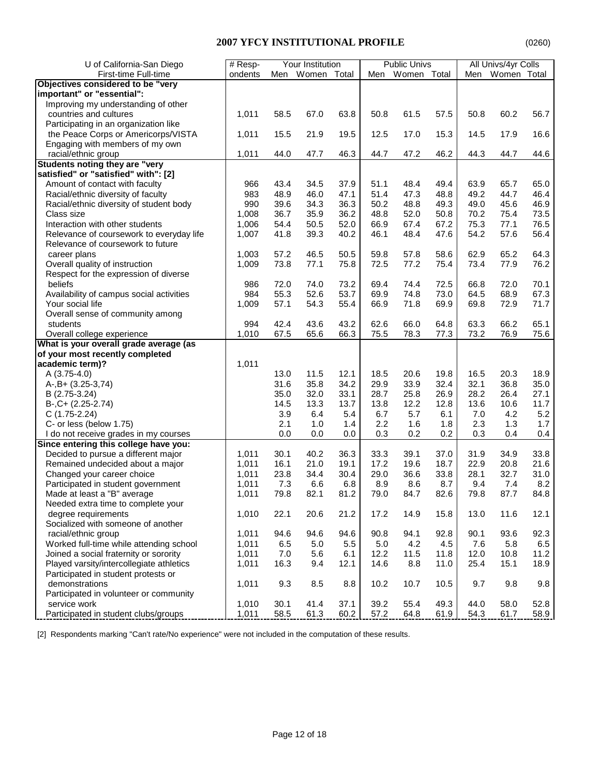| U of California-San Diego                | # Resp- |      | Your Institution |      |      | <b>Public Univs</b> |      |      | All Univs/4yr Colls |      |
|------------------------------------------|---------|------|------------------|------|------|---------------------|------|------|---------------------|------|
| First-time Full-time                     | ondents | Men  | Women Total      |      | Men  | Women Total         |      | Men  | Women Total         |      |
| Objectives considered to be "very        |         |      |                  |      |      |                     |      |      |                     |      |
| important" or "essential":               |         |      |                  |      |      |                     |      |      |                     |      |
| Improving my understanding of other      |         |      |                  |      |      |                     |      |      |                     |      |
| countries and cultures                   | 1,011   | 58.5 | 67.0             | 63.8 | 50.8 | 61.5                | 57.5 | 50.8 | 60.2                | 56.7 |
| Participating in an organization like    |         |      |                  |      |      |                     |      |      |                     |      |
|                                          |         |      | 21.9             |      |      | 17.0                | 15.3 | 14.5 | 17.9                | 16.6 |
| the Peace Corps or Americorps/VISTA      | 1,011   | 15.5 |                  | 19.5 | 12.5 |                     |      |      |                     |      |
| Engaging with members of my own          |         |      |                  |      |      |                     |      |      |                     |      |
| racial/ethnic group                      | 1,011   | 44.0 | 47.7             | 46.3 | 44.7 | 47.2                | 46.2 | 44.3 | 44.7                | 44.6 |
| <b>Students noting they are "very</b>    |         |      |                  |      |      |                     |      |      |                     |      |
| satisfied" or "satisfied" with": [2]     |         |      |                  |      |      |                     |      |      |                     |      |
| Amount of contact with faculty           | 966     | 43.4 | 34.5             | 37.9 | 51.1 | 48.4                | 49.4 | 63.9 | 65.7                | 65.0 |
| Racial/ethnic diversity of faculty       | 983     | 48.9 | 46.0             | 47.1 | 51.4 | 47.3                | 48.8 | 49.2 | 44.7                | 46.4 |
| Racial/ethnic diversity of student body  | 990     | 39.6 | 34.3             | 36.3 | 50.2 | 48.8                | 49.3 | 49.0 | 45.6                | 46.9 |
| Class size                               | 1,008   | 36.7 | 35.9             | 36.2 | 48.8 | 52.0                | 50.8 | 70.2 | 75.4                | 73.5 |
| Interaction with other students          | 1,006   | 54.4 | 50.5             | 52.0 | 66.9 | 67.4                | 67.2 | 75.3 | 77.1                | 76.5 |
| Relevance of coursework to everyday life | 1,007   | 41.8 | 39.3             | 40.2 | 46.1 | 48.4                | 47.6 | 54.2 | 57.6                | 56.4 |
| Relevance of coursework to future        |         |      |                  |      |      |                     |      |      |                     |      |
| career plans                             | 1,003   | 57.2 | 46.5             | 50.5 | 59.8 | 57.8                | 58.6 | 62.9 | 65.2                | 64.3 |
| Overall quality of instruction           | 1,009   | 73.8 | 77.1             | 75.8 | 72.5 | 77.2                | 75.4 | 73.4 | 77.9                | 76.2 |
| Respect for the expression of diverse    |         |      |                  |      |      |                     |      |      |                     |      |
| beliefs                                  | 986     | 72.0 | 74.0             | 73.2 | 69.4 | 74.4                | 72.5 | 66.8 | 72.0                | 70.1 |
| Availability of campus social activities | 984     | 55.3 | 52.6             | 53.7 | 69.9 | 74.8                | 73.0 | 64.5 | 68.9                | 67.3 |
| Your social life                         | 1,009   | 57.1 | 54.3             | 55.4 | 66.9 | 71.8                | 69.9 | 69.8 | 72.9                | 71.7 |
| Overall sense of community among         |         |      |                  |      |      |                     |      |      |                     |      |
| students                                 | 994     | 42.4 | 43.6             | 43.2 | 62.6 | 66.0                | 64.8 | 63.3 | 66.2                | 65.1 |
| Overall college experience               | 1,010   | 67.5 | 65.6             | 66.3 | 75.5 | 78.3                | 77.3 | 73.2 | 76.9                | 75.6 |
| What is your overall grade average (as   |         |      |                  |      |      |                     |      |      |                     |      |
| of your most recently completed          |         |      |                  |      |      |                     |      |      |                     |      |
| academic term)?                          | 1,011   |      |                  |      |      |                     |      |      |                     |      |
| A $(3.75-4.0)$                           |         | 13.0 | 11.5             | 12.1 | 18.5 | 20.6                | 19.8 | 16.5 | 20.3                | 18.9 |
| $A-, B+ (3.25-3.74)$                     |         | 31.6 | 35.8             | 34.2 | 29.9 | 33.9                | 32.4 | 32.1 | 36.8                | 35.0 |
| B (2.75-3.24)                            |         | 35.0 | 32.0             | 33.1 | 28.7 | 25.8                | 26.9 | 28.2 | 26.4                | 27.1 |
| $B-, C+ (2.25-2.74)$                     |         | 14.5 | 13.3             | 13.7 | 13.8 | 12.2                | 12.8 | 13.6 | 10.6                | 11.7 |
| $C(1.75-2.24)$                           |         | 3.9  | 6.4              | 5.4  | 6.7  | 5.7                 | 6.1  | 7.0  | 4.2                 | 5.2  |
| C- or less (below 1.75)                  |         | 2.1  | 1.0              | 1.4  | 2.2  | 1.6                 | 1.8  | 2.3  | 1.3                 | 1.7  |
| I do not receive grades in my courses    |         | 0.0  | 0.0              | 0.0  | 0.3  | 0.2                 | 0.2  | 0.3  | 0.4                 | 0.4  |
| Since entering this college have you:    |         |      |                  |      |      |                     |      |      |                     |      |
| Decided to pursue a different major      | 1,011   | 30.1 | 40.2             | 36.3 | 33.3 | 39.1                | 37.0 | 31.9 | 34.9                | 33.8 |
| Remained undecided about a major         | 1,011   | 16.1 | 21.0             | 19.1 | 17.2 | 19.6                | 18.7 | 22.9 | 20.8                | 21.6 |
| Changed your career choice               | 1,011   | 23.8 | 34.4             | 30.4 | 29.0 | 36.6                | 33.8 | 28.1 | 32.7                | 31.0 |
| Participated in student government       | 1,011   | 7.3  | 6.6              | 6.8  | 8.9  | 8.6                 | 8.7  | 9.4  | 7.4                 | 8.2  |
| Made at least a "B" average              | 1,011   | 79.8 | 82.1             | 81.2 | 79.0 | 84.7                | 82.6 | 79.8 | 87.7                | 84.8 |
| Needed extra time to complete your       |         |      |                  |      |      |                     |      |      |                     |      |
| degree requirements                      | 1,010   | 22.1 | 20.6             | 21.2 | 17.2 | 14.9                | 15.8 | 13.0 | 11.6                | 12.1 |
| Socialized with someone of another       |         |      |                  |      |      |                     |      |      |                     |      |
| racial/ethnic group                      | 1,011   | 94.6 | 94.6             | 94.6 | 90.8 | 94.1                | 92.8 | 90.1 | 93.6                | 92.3 |
| Worked full-time while attending school  | 1,011   | 6.5  | 5.0              | 5.5  | 5.0  | 4.2                 | 4.5  | 7.6  | 5.8                 | 6.5  |
| Joined a social fraternity or sorority   | 1,011   | 7.0  | 5.6              | 6.1  | 12.2 | 11.5                | 11.8 | 12.0 | 10.8                | 11.2 |
| Played varsity/intercollegiate athletics | 1,011   | 16.3 | 9.4              | 12.1 | 14.6 | 8.8                 | 11.0 | 25.4 | 15.1                | 18.9 |
| Participated in student protests or      |         |      |                  |      |      |                     |      |      |                     |      |
| demonstrations                           | 1,011   | 9.3  | 8.5              | 8.8  | 10.2 | 10.7                | 10.5 | 9.7  | 9.8                 | 9.8  |
| Participated in volunteer or community   |         |      |                  |      |      |                     |      |      |                     |      |
| service work                             | 1,010   | 30.1 | 41.4             | 37.1 | 39.2 | 55.4                | 49.3 | 44.0 | 58.0                | 52.8 |
| Participated in student clubs/groups     | 1,011   | 58.5 | 61.3             | 60.2 | 57.2 | 64.8                | 61.9 | 54.3 | 61.7                | 58.9 |

[2] Respondents marking "Can't rate/No experience" were not included in the computation of these results.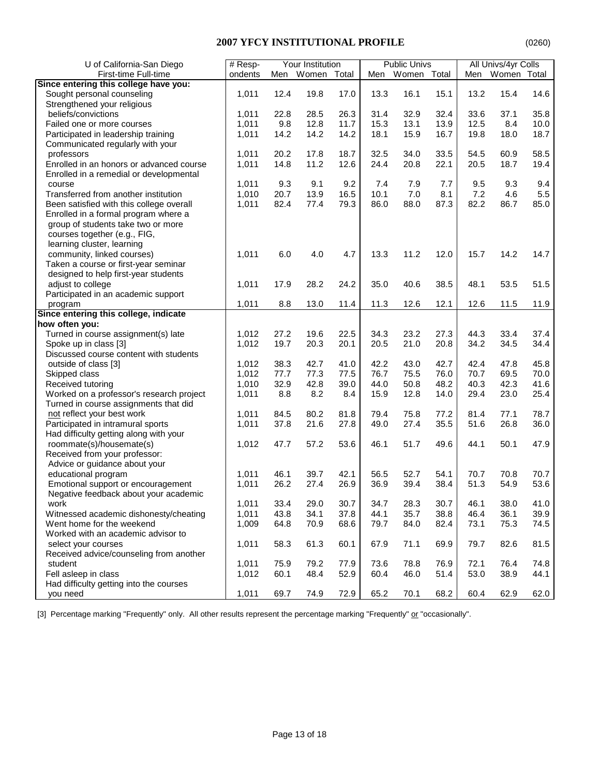| U of California-San Diego                | Your Institution<br># Resp- |      | <b>Public Univs</b> |       |      | All Univs/4yr Colls |      |      |             |      |
|------------------------------------------|-----------------------------|------|---------------------|-------|------|---------------------|------|------|-------------|------|
| First-time Full-time                     | ondents                     | Men  | Women               | Total | Men  | Women Total         |      | Men  | Women Total |      |
| Since entering this college have you:    |                             |      |                     |       |      |                     |      |      |             |      |
| Sought personal counseling               | 1,011                       | 12.4 | 19.8                | 17.0  | 13.3 | 16.1                | 15.1 | 13.2 | 15.4        | 14.6 |
| Strengthened your religious              |                             |      |                     |       |      |                     |      |      |             |      |
| beliefs/convictions                      | 1,011                       | 22.8 | 28.5                | 26.3  | 31.4 | 32.9                | 32.4 | 33.6 | 37.1        | 35.8 |
| Failed one or more courses               | 1,011                       | 9.8  | 12.8                | 11.7  | 15.3 | 13.1                | 13.9 | 12.5 | 8.4         | 10.0 |
|                                          | 1,011                       |      | 14.2                | 14.2  | 18.1 | 15.9                | 16.7 | 19.8 | 18.0        | 18.7 |
| Participated in leadership training      |                             | 14.2 |                     |       |      |                     |      |      |             |      |
| Communicated regularly with your         |                             |      |                     |       |      |                     |      |      |             |      |
| professors                               | 1,011                       | 20.2 | 17.8                | 18.7  | 32.5 | 34.0                | 33.5 | 54.5 | 60.9        | 58.5 |
| Enrolled in an honors or advanced course | 1,011                       | 14.8 | 11.2                | 12.6  | 24.4 | 20.8                | 22.1 | 20.5 | 18.7        | 19.4 |
| Enrolled in a remedial or developmental  |                             |      |                     |       |      |                     |      |      |             |      |
| course                                   | 1,011                       | 9.3  | 9.1                 | 9.2   | 7.4  | 7.9                 | 7.7  | 9.5  | 9.3         | 9.4  |
| Transferred from another institution     | 1,010                       | 20.7 | 13.9                | 16.5  | 10.1 | 7.0                 | 8.1  | 7.2  | 4.6         | 5.5  |
| Been satisfied with this college overall | 1,011                       | 82.4 | 77.4                | 79.3  | 86.0 | 88.0                | 87.3 | 82.2 | 86.7        | 85.0 |
| Enrolled in a formal program where a     |                             |      |                     |       |      |                     |      |      |             |      |
| group of students take two or more       |                             |      |                     |       |      |                     |      |      |             |      |
| courses together (e.g., FIG,             |                             |      |                     |       |      |                     |      |      |             |      |
| learning cluster, learning               |                             |      |                     |       |      |                     |      |      |             |      |
| community, linked courses)               | 1,011                       | 6.0  | 4.0                 | 4.7   | 13.3 | 11.2                | 12.0 | 15.7 | 14.2        | 14.7 |
| Taken a course or first-year seminar     |                             |      |                     |       |      |                     |      |      |             |      |
| designed to help first-year students     |                             |      |                     |       |      |                     |      |      |             |      |
| adjust to college                        | 1,011                       | 17.9 | 28.2                | 24.2  | 35.0 | 40.6                | 38.5 | 48.1 | 53.5        | 51.5 |
| Participated in an academic support      |                             |      |                     |       |      |                     |      |      |             |      |
| program                                  | 1,011                       | 8.8  | 13.0                | 11.4  | 11.3 | 12.6                | 12.1 | 12.6 | 11.5        | 11.9 |
| Since entering this college, indicate    |                             |      |                     |       |      |                     |      |      |             |      |
| how often you:                           |                             |      |                     |       |      |                     |      |      |             |      |
| Turned in course assignment(s) late      | 1,012                       | 27.2 | 19.6                | 22.5  | 34.3 | 23.2                | 27.3 | 44.3 | 33.4        | 37.4 |
| Spoke up in class [3]                    | 1,012                       | 19.7 | 20.3                | 20.1  | 20.5 | 21.0                | 20.8 | 34.2 | 34.5        | 34.4 |
| Discussed course content with students   |                             |      |                     |       |      |                     |      |      |             |      |
| outside of class [3]                     | 1,012                       | 38.3 | 42.7                | 41.0  | 42.2 | 43.0                | 42.7 | 42.4 | 47.8        | 45.8 |
| Skipped class                            | 1,012                       | 77.7 | 77.3                | 77.5  | 76.7 | 75.5                | 76.0 | 70.7 | 69.5        | 70.0 |
| Received tutoring                        | 1,010                       | 32.9 | 42.8                | 39.0  | 44.0 | 50.8                | 48.2 | 40.3 | 42.3        | 41.6 |
| Worked on a professor's research project | 1,011                       | 8.8  | 8.2                 | 8.4   | 15.9 | 12.8                | 14.0 | 29.4 | 23.0        | 25.4 |
| Turned in course assignments that did    |                             |      |                     |       |      |                     |      |      |             |      |
|                                          |                             |      |                     | 81.8  | 79.4 | 75.8                | 77.2 |      |             | 78.7 |
| not reflect your best work               | 1,011                       | 84.5 | 80.2                |       |      |                     |      | 81.4 | 77.1        |      |
| Participated in intramural sports        | 1,011                       | 37.8 | 21.6                | 27.8  | 49.0 | 27.4                | 35.5 | 51.6 | 26.8        | 36.0 |
| Had difficulty getting along with your   |                             |      |                     |       |      |                     |      |      |             |      |
| roommate(s)/housemate(s)                 | 1,012                       | 47.7 | 57.2                | 53.6  | 46.1 | 51.7                | 49.6 | 44.1 | 50.1        | 47.9 |
| Received from your professor:            |                             |      |                     |       |      |                     |      |      |             |      |
| Advice or guidance about your            |                             |      |                     |       |      |                     |      |      |             |      |
| educational program                      | 1,011                       | 46.1 | 39.7                | 42.1  | 56.5 | 52.7                | 54.1 | 70.7 | 70.8        | 70.7 |
| Emotional support or encouragement       | 1,011                       | 26.2 | 27.4                | 26.9  | 36.9 | 39.4                | 38.4 | 51.3 | 54.9        | 53.6 |
| Negative feedback about your academic    |                             |      |                     |       |      |                     |      |      |             |      |
| work                                     | 1,011                       | 33.4 | 29.0                | 30.7  | 34.7 | 28.3                | 30.7 | 46.1 | 38.0        | 41.0 |
| Witnessed academic dishonesty/cheating   | 1,011                       | 43.8 | 34.1                | 37.8  | 44.1 | 35.7                | 38.8 | 46.4 | 36.1        | 39.9 |
| Went home for the weekend                | 1,009                       | 64.8 | 70.9                | 68.6  | 79.7 | 84.0                | 82.4 | 73.1 | 75.3        | 74.5 |
| Worked with an academic advisor to       |                             |      |                     |       |      |                     |      |      |             |      |
| select your courses                      | 1,011                       | 58.3 | 61.3                | 60.1  | 67.9 | 71.1                | 69.9 | 79.7 | 82.6        | 81.5 |
| Received advice/counseling from another  |                             |      |                     |       |      |                     |      |      |             |      |
| student                                  | 1,011                       | 75.9 | 79.2                | 77.9  | 73.6 | 78.8                | 76.9 | 72.1 | 76.4        | 74.8 |
| Fell asleep in class                     | 1,012                       | 60.1 | 48.4                | 52.9  | 60.4 | 46.0                | 51.4 | 53.0 | 38.9        | 44.1 |
| Had difficulty getting into the courses  |                             |      |                     |       |      |                     |      |      |             |      |
| you need                                 | 1,011                       | 69.7 | 74.9                | 72.9  | 65.2 | 70.1                | 68.2 | 60.4 | 62.9        | 62.0 |
|                                          |                             |      |                     |       |      |                     |      |      |             |      |

[3] Percentage marking "Frequently" only. All other results represent the percentage marking "Frequently" or "occasionally".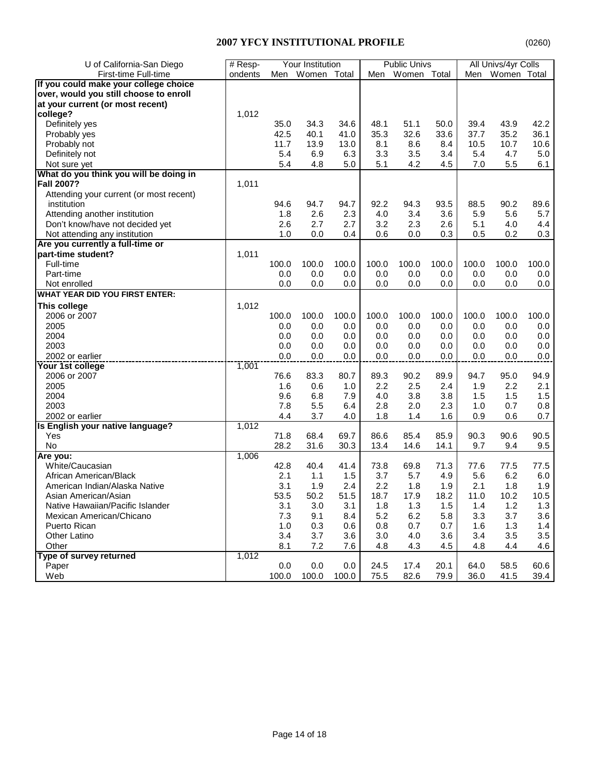| U of California-San Diego               | # Resp- | Your Institution |             |       | <b>Public Univs</b> |             |       | All Univs/4yr Colls |                 |       |
|-----------------------------------------|---------|------------------|-------------|-------|---------------------|-------------|-------|---------------------|-----------------|-------|
| First-time Full-time                    | ondents | Men              | Women Total |       | Men                 | Women Total |       |                     | Men Women Total |       |
| If you could make your college choice   |         |                  |             |       |                     |             |       |                     |                 |       |
| over, would you still choose to enroll  |         |                  |             |       |                     |             |       |                     |                 |       |
| at your current (or most recent)        |         |                  |             |       |                     |             |       |                     |                 |       |
| college?                                | 1,012   |                  |             |       |                     |             |       |                     |                 |       |
| Definitely yes                          |         | 35.0             | 34.3        | 34.6  | 48.1                | 51.1        | 50.0  | 39.4                | 43.9            | 42.2  |
| Probably yes                            |         | 42.5             | 40.1        | 41.0  | 35.3                | 32.6        | 33.6  | 37.7                | 35.2            | 36.1  |
| Probably not                            |         | 11.7             | 13.9        | 13.0  | 8.1                 | 8.6         | 8.4   | 10.5                | 10.7            | 10.6  |
| Definitely not                          |         | 5.4              | 6.9         | 6.3   | 3.3                 | 3.5         | 3.4   | 5.4                 | 4.7             | 5.0   |
| Not sure yet                            |         | 5.4              | 4.8         | 5.0   | 5.1                 | 4.2         | 4.5   | 7.0                 | 5.5             | 6.1   |
| What do you think you will be doing in  |         |                  |             |       |                     |             |       |                     |                 |       |
| <b>Fall 2007?</b>                       | 1,011   |                  |             |       |                     |             |       |                     |                 |       |
| Attending your current (or most recent) |         |                  |             |       |                     |             |       |                     |                 |       |
| institution                             |         | 94.6             | 94.7        | 94.7  | 92.2                | 94.3        | 93.5  | 88.5                | 90.2            | 89.6  |
| Attending another institution           |         | 1.8              | 2.6         | 2.3   | 4.0                 | 3.4         | 3.6   | 5.9                 | 5.6             | 5.7   |
| Don't know/have not decided yet         |         | 2.6              | 2.7         | 2.7   | 3.2                 | 2.3         | 2.6   | 5.1                 | 4.0             | 4.4   |
| Not attending any institution           |         | 1.0              | 0.0         | 0.4   | 0.6                 | 0.0         | 0.3   | 0.5                 | 0.2             | 0.3   |
| Are you currently a full-time or        |         |                  |             |       |                     |             |       |                     |                 |       |
| part-time student?                      | 1,011   |                  |             |       |                     |             |       |                     |                 |       |
| Full-time                               |         | 100.0            | 100.0       | 100.0 | 100.0               | 100.0       | 100.0 | 100.0               | 100.0           | 100.0 |
| Part-time                               |         | 0.0              | 0.0         | 0.0   | 0.0                 | 0.0         | 0.0   | 0.0                 | 0.0             | 0.0   |
| Not enrolled                            |         | 0.0              | 0.0         | 0.0   | 0.0                 | 0.0         | 0.0   | 0.0                 | 0.0             | 0.0   |
| <b>WHAT YEAR DID YOU FIRST ENTER:</b>   |         |                  |             |       |                     |             |       |                     |                 |       |
| This college                            | 1,012   |                  |             |       |                     |             |       |                     |                 |       |
| 2006 or 2007                            |         | 100.0            | 100.0       | 100.0 | 100.0               | 100.0       | 100.0 | 100.0               | 100.0           | 100.0 |
| 2005                                    |         | 0.0              | 0.0         | 0.0   | 0.0                 | 0.0         | 0.0   | 0.0                 | 0.0             | 0.0   |
| 2004                                    |         | 0.0              | 0.0         | 0.0   | 0.0                 | 0.0         | 0.0   | 0.0                 | 0.0             | 0.0   |
| 2003                                    |         | 0.0              | 0.0         | 0.0   | 0.0                 | 0.0         | 0.0   | 0.0                 | 0.0             | 0.0   |
| 2002 or earlier                         |         | 0.0              | 0.0         | 0.0   | 0.0                 | 0.0         | 0.0   | 0.0                 | 0.0             | 0.0   |
| Your 1st college                        | 1,001   |                  |             |       |                     |             |       |                     |                 |       |
| 2006 or 2007                            |         | 76.6             | 83.3        | 80.7  | 89.3                | 90.2        | 89.9  | 94.7                | 95.0            | 94.9  |
| 2005                                    |         | 1.6              | 0.6         | 1.0   | 2.2                 | 2.5         | 2.4   | 1.9                 | 2.2             | 2.1   |
| 2004                                    |         | 9.6              | 6.8         | 7.9   | 4.0                 | 3.8         | 3.8   | 1.5                 | 1.5             | 1.5   |
| 2003                                    |         | 7.8              | 5.5         | 6.4   | 2.8                 | 2.0         | 2.3   | 1.0                 | 0.7             | 0.8   |
| 2002 or earlier                         |         | 4.4              | 3.7         | 4.0   | 1.8                 | 1.4         | 1.6   | 0.9                 | 0.6             | 0.7   |
| Is English your native language?        | 1,012   |                  |             |       |                     |             |       |                     |                 |       |
| Yes                                     |         | 71.8             | 68.4        | 69.7  | 86.6                | 85.4        | 85.9  | 90.3                | 90.6            | 90.5  |
| No                                      |         | 28.2             | 31.6        | 30.3  | 13.4                | 14.6        | 14.1  | 9.7                 | 9.4             | 9.5   |
| Are you:                                | 1,006   |                  |             |       |                     |             |       |                     |                 |       |
| White/Caucasian                         |         | 42.8             | 40.4        | 41.4  | 73.8                | 69.8        | 71.3  | 77.6                | 77.5            | 77.5  |
| African American/Black                  |         | 2.1              | 1.1         | 1.5   | 3.7                 | 5.7         | 4.9   | 5.6                 | 6.2             | 6.0   |
| American Indian/Alaska Native           |         | 3.1              | 1.9         | 2.4   | 2.2                 | 1.8         | 1.9   | 2.1                 | 1.8             | 1.9   |
| Asian American/Asian                    |         | 53.5             | 50.2        | 51.5  | 18.7                | 17.9        | 18.2  | 11.0                | 10.2            | 10.5  |
| Native Hawaiian/Pacific Islander        |         | 3.1              | 3.0         | 3.1   | 1.8                 | 1.3         | 1.5   | 1.4                 | 1.2             | 1.3   |
| Mexican American/Chicano                |         | 7.3              | 9.1         | 8.4   | 5.2                 | 6.2         | 5.8   | 3.3                 | 3.7             | 3.6   |
| Puerto Rican                            |         | 1.0              | 0.3         | 0.6   | 0.8                 | 0.7         | 0.7   | 1.6                 | 1.3             | 1.4   |
| Other Latino                            |         | 3.4              | 3.7         | 3.6   | 3.0                 | 4.0         | 3.6   | 3.4                 | 3.5             | 3.5   |
| Other                                   |         | 8.1              | 7.2         | 7.6   | 4.8                 | 4.3         | 4.5   | 4.8                 | 4.4             | 4.6   |
| Type of survey returned                 | 1,012   |                  |             |       |                     |             |       |                     |                 |       |
| Paper                                   |         | 0.0              | 0.0         | 0.0   | 24.5                | 17.4        | 20.1  | 64.0                | 58.5            | 60.6  |
| Web                                     |         | 100.0            | 100.0       | 100.0 | 75.5                | 82.6        | 79.9  | 36.0                | 41.5            | 39.4  |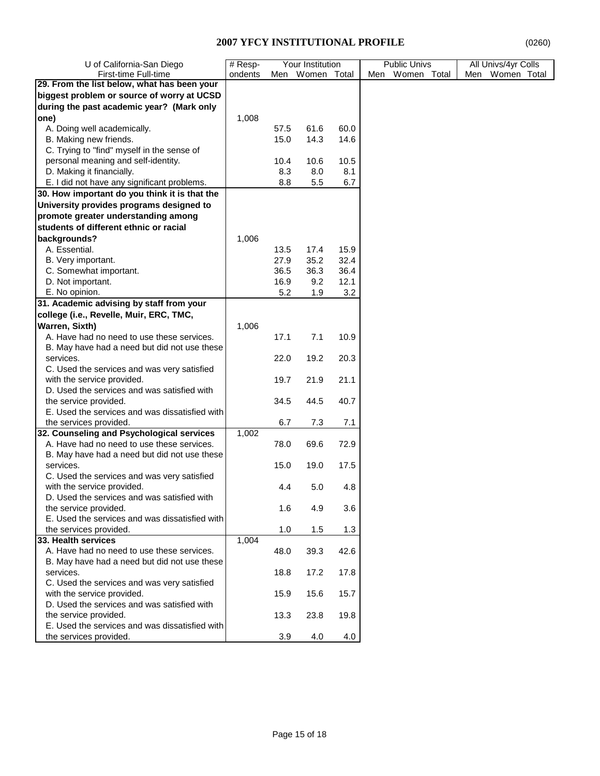| U of California-San Diego                      | # Resp-<br>Your Institution |      | <b>Public Univs</b> | All Univs/4yr Colls |                 |                 |  |  |
|------------------------------------------------|-----------------------------|------|---------------------|---------------------|-----------------|-----------------|--|--|
| First-time Full-time                           | ondents                     | Men  | Women Total         |                     | Men Women Total | Men Women Total |  |  |
| 29. From the list below, what has been your    |                             |      |                     |                     |                 |                 |  |  |
| biggest problem or source of worry at UCSD     |                             |      |                     |                     |                 |                 |  |  |
| during the past academic year? (Mark only      |                             |      |                     |                     |                 |                 |  |  |
| one)                                           | 1,008                       |      |                     |                     |                 |                 |  |  |
| A. Doing well academically.                    |                             | 57.5 | 61.6                | 60.0                |                 |                 |  |  |
| B. Making new friends.                         |                             | 15.0 | 14.3                | 14.6                |                 |                 |  |  |
| C. Trying to "find" myself in the sense of     |                             |      |                     |                     |                 |                 |  |  |
| personal meaning and self-identity.            |                             | 10.4 | 10.6                | 10.5                |                 |                 |  |  |
| D. Making it financially.                      |                             |      |                     |                     |                 |                 |  |  |
| E. I did not have any significant problems.    |                             | 8.3  | 8.0                 | 8.1                 |                 |                 |  |  |
|                                                |                             | 8.8  | 5.5                 | 6.7                 |                 |                 |  |  |
| 30. How important do you think it is that the  |                             |      |                     |                     |                 |                 |  |  |
| University provides programs designed to       |                             |      |                     |                     |                 |                 |  |  |
| promote greater understanding among            |                             |      |                     |                     |                 |                 |  |  |
| students of different ethnic or racial         |                             |      |                     |                     |                 |                 |  |  |
| backgrounds?                                   | 1,006                       |      |                     |                     |                 |                 |  |  |
| A. Essential.                                  |                             | 13.5 | 17.4                | 15.9                |                 |                 |  |  |
| B. Very important.                             |                             | 27.9 | 35.2                | 32.4                |                 |                 |  |  |
| C. Somewhat important.                         |                             | 36.5 | 36.3                | 36.4                |                 |                 |  |  |
| D. Not important.                              |                             | 16.9 | 9.2                 | 12.1                |                 |                 |  |  |
| E. No opinion.                                 |                             | 5.2  | 1.9                 | 3.2                 |                 |                 |  |  |
| 31. Academic advising by staff from your       |                             |      |                     |                     |                 |                 |  |  |
| college (i.e., Revelle, Muir, ERC, TMC,        |                             |      |                     |                     |                 |                 |  |  |
| Warren, Sixth)                                 | 1,006                       |      |                     |                     |                 |                 |  |  |
| A. Have had no need to use these services.     |                             | 17.1 | 7.1                 | 10.9                |                 |                 |  |  |
| B. May have had a need but did not use these   |                             |      |                     |                     |                 |                 |  |  |
| services.                                      |                             |      | 19.2                |                     |                 |                 |  |  |
|                                                |                             | 22.0 |                     | 20.3                |                 |                 |  |  |
| C. Used the services and was very satisfied    |                             |      |                     |                     |                 |                 |  |  |
| with the service provided.                     |                             | 19.7 | 21.9                | 21.1                |                 |                 |  |  |
| D. Used the services and was satisfied with    |                             |      |                     |                     |                 |                 |  |  |
| the service provided.                          |                             | 34.5 | 44.5                | 40.7                |                 |                 |  |  |
| E. Used the services and was dissatisfied with |                             |      |                     |                     |                 |                 |  |  |
| the services provided.                         |                             | 6.7  | 7.3                 | 7.1                 |                 |                 |  |  |
| 32. Counseling and Psychological services      | 1,002                       |      |                     |                     |                 |                 |  |  |
| A. Have had no need to use these services.     |                             | 78.0 | 69.6                | 72.9                |                 |                 |  |  |
| B. May have had a need but did not use these   |                             |      |                     |                     |                 |                 |  |  |
| services.                                      |                             | 15.0 | 19.0                | 17.5                |                 |                 |  |  |
| C. Used the services and was very satisfied    |                             |      |                     |                     |                 |                 |  |  |
| with the service provided.                     |                             | 4.4  | 5.0                 | 4.8                 |                 |                 |  |  |
| D. Used the services and was satisfied with    |                             |      |                     |                     |                 |                 |  |  |
| the service provided.                          |                             | 1.6  | 4.9                 | 3.6                 |                 |                 |  |  |
| E. Used the services and was dissatisfied with |                             |      |                     |                     |                 |                 |  |  |
| the services provided.                         |                             | 1.0  | 1.5                 | 1.3                 |                 |                 |  |  |
| 33. Health services                            | 1,004                       |      |                     |                     |                 |                 |  |  |
| A. Have had no need to use these services.     |                             | 48.0 | 39.3                | 42.6                |                 |                 |  |  |
| B. May have had a need but did not use these   |                             |      |                     |                     |                 |                 |  |  |
| services.                                      |                             | 18.8 | 17.2                | 17.8                |                 |                 |  |  |
| C. Used the services and was very satisfied    |                             |      |                     |                     |                 |                 |  |  |
| with the service provided.                     |                             | 15.9 | 15.6                | 15.7                |                 |                 |  |  |
| D. Used the services and was satisfied with    |                             |      |                     |                     |                 |                 |  |  |
| the service provided.                          |                             | 13.3 | 23.8                | 19.8                |                 |                 |  |  |
| E. Used the services and was dissatisfied with |                             |      |                     |                     |                 |                 |  |  |
| the services provided.                         |                             | 3.9  | 4.0                 | 4.0                 |                 |                 |  |  |
|                                                |                             |      |                     |                     |                 |                 |  |  |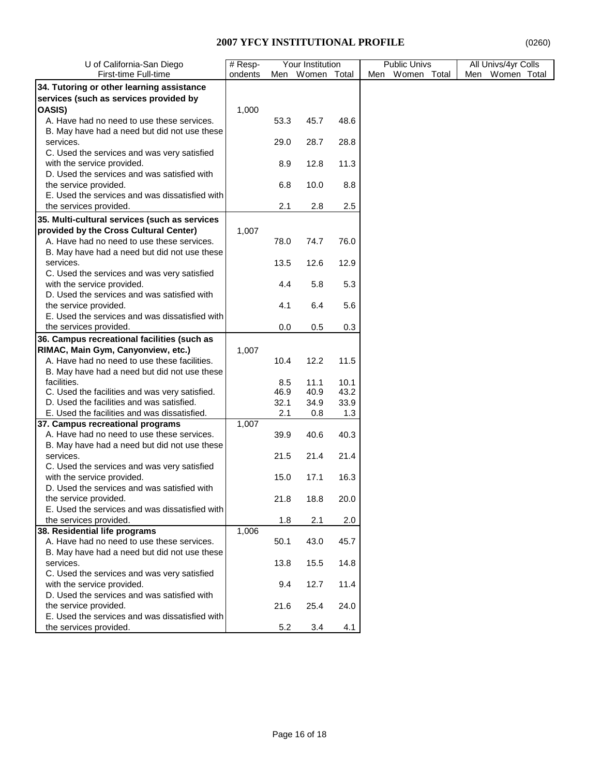| First-time Full-time<br>ondents<br>Men<br>Women Total<br>Men<br>Women Total<br>Women Total<br>Men<br>34. Tutoring or other learning assistance<br>services (such as services provided by<br>1,000<br><b>OASIS)</b><br>45.7<br>A. Have had no need to use these services.<br>53.3<br>48.6<br>B. May have had a need but did not use these<br>28.7<br>services.<br>29.0<br>28.8<br>C. Used the services and was very satisfied<br>8.9<br>12.8<br>11.3<br>with the service provided.<br>D. Used the services and was satisfied with<br>the service provided.<br>6.8<br>10.0<br>8.8<br>E. Used the services and was dissatisfied with<br>2.1<br>2.8<br>2.5<br>the services provided.<br>35. Multi-cultural services (such as services<br>provided by the Cross Cultural Center)<br>1,007<br>A. Have had no need to use these services.<br>78.0<br>74.7<br>76.0<br>B. May have had a need but did not use these<br>12.6<br>services.<br>13.5<br>12.9<br>C. Used the services and was very satisfied<br>5.8<br>5.3<br>with the service provided.<br>4.4<br>D. Used the services and was satisfied with<br>4.1<br>5.6<br>the service provided.<br>6.4<br>E. Used the services and was dissatisfied with<br>the services provided.<br>0.0<br>0.5<br>0.3<br>36. Campus recreational facilities (such as<br>RIMAC, Main Gym, Canyonview, etc.)<br>1,007<br>A. Have had no need to use these facilities.<br>12.2<br>10.4<br>11.5<br>B. May have had a need but did not use these<br>facilities.<br>8.5<br>11.1<br>10.1<br>C. Used the facilities and was very satisfied.<br>46.9<br>40.9<br>43.2<br>D. Used the facilities and was satisfied.<br>32.1<br>34.9<br>33.9<br>2.1<br>1.3<br>E. Used the facilities and was dissatisfied.<br>0.8<br>37. Campus recreational programs<br>1,007<br>A. Have had no need to use these services.<br>40.6<br>39.9<br>40.3<br>B. May have had a need but did not use these<br>services.<br>21.5<br>21.4<br>21.4<br>C. Used the services and was very satisfied<br>with the service provided.<br>15.0<br>17.1<br>16.3<br>D. Used the services and was satisfied with<br>21.8<br>18.8<br>the service provided.<br>20.0<br>E. Used the services and was dissatisfied with<br>the services provided.<br>1.8<br>2.1<br>2.0<br>1,006<br>A. Have had no need to use these services.<br>50.1<br>43.0<br>45.7<br>B. May have had a need but did not use these<br>services.<br>15.5<br>13.8<br>14.8<br>C. Used the services and was very satisfied<br>12.7<br>11.4<br>with the service provided.<br>9.4<br>D. Used the services and was satisfied with<br>21.6<br>25.4<br>24.0<br>the service provided.<br>E. Used the services and was dissatisfied with<br>the services provided.<br>5.2<br>3.4<br>4.1 | U of California-San Diego     | # Resp- | Your Institution |  | <b>Public Univs</b> | All Univs/4yr Colls |  |  |  |  |
|------------------------------------------------------------------------------------------------------------------------------------------------------------------------------------------------------------------------------------------------------------------------------------------------------------------------------------------------------------------------------------------------------------------------------------------------------------------------------------------------------------------------------------------------------------------------------------------------------------------------------------------------------------------------------------------------------------------------------------------------------------------------------------------------------------------------------------------------------------------------------------------------------------------------------------------------------------------------------------------------------------------------------------------------------------------------------------------------------------------------------------------------------------------------------------------------------------------------------------------------------------------------------------------------------------------------------------------------------------------------------------------------------------------------------------------------------------------------------------------------------------------------------------------------------------------------------------------------------------------------------------------------------------------------------------------------------------------------------------------------------------------------------------------------------------------------------------------------------------------------------------------------------------------------------------------------------------------------------------------------------------------------------------------------------------------------------------------------------------------------------------------------------------------------------------------------------------------------------------------------------------------------------------------------------------------------------------------------------------------------------------------------------------------------------------------------------------------------------------------------------------------------------------------------------------------------------------------------------------------------------------------------------------------------------------------------------------------------|-------------------------------|---------|------------------|--|---------------------|---------------------|--|--|--|--|
|                                                                                                                                                                                                                                                                                                                                                                                                                                                                                                                                                                                                                                                                                                                                                                                                                                                                                                                                                                                                                                                                                                                                                                                                                                                                                                                                                                                                                                                                                                                                                                                                                                                                                                                                                                                                                                                                                                                                                                                                                                                                                                                                                                                                                                                                                                                                                                                                                                                                                                                                                                                                                                                                                                                        |                               |         |                  |  |                     |                     |  |  |  |  |
|                                                                                                                                                                                                                                                                                                                                                                                                                                                                                                                                                                                                                                                                                                                                                                                                                                                                                                                                                                                                                                                                                                                                                                                                                                                                                                                                                                                                                                                                                                                                                                                                                                                                                                                                                                                                                                                                                                                                                                                                                                                                                                                                                                                                                                                                                                                                                                                                                                                                                                                                                                                                                                                                                                                        |                               |         |                  |  |                     |                     |  |  |  |  |
|                                                                                                                                                                                                                                                                                                                                                                                                                                                                                                                                                                                                                                                                                                                                                                                                                                                                                                                                                                                                                                                                                                                                                                                                                                                                                                                                                                                                                                                                                                                                                                                                                                                                                                                                                                                                                                                                                                                                                                                                                                                                                                                                                                                                                                                                                                                                                                                                                                                                                                                                                                                                                                                                                                                        |                               |         |                  |  |                     |                     |  |  |  |  |
|                                                                                                                                                                                                                                                                                                                                                                                                                                                                                                                                                                                                                                                                                                                                                                                                                                                                                                                                                                                                                                                                                                                                                                                                                                                                                                                                                                                                                                                                                                                                                                                                                                                                                                                                                                                                                                                                                                                                                                                                                                                                                                                                                                                                                                                                                                                                                                                                                                                                                                                                                                                                                                                                                                                        |                               |         |                  |  |                     |                     |  |  |  |  |
|                                                                                                                                                                                                                                                                                                                                                                                                                                                                                                                                                                                                                                                                                                                                                                                                                                                                                                                                                                                                                                                                                                                                                                                                                                                                                                                                                                                                                                                                                                                                                                                                                                                                                                                                                                                                                                                                                                                                                                                                                                                                                                                                                                                                                                                                                                                                                                                                                                                                                                                                                                                                                                                                                                                        |                               |         |                  |  |                     |                     |  |  |  |  |
|                                                                                                                                                                                                                                                                                                                                                                                                                                                                                                                                                                                                                                                                                                                                                                                                                                                                                                                                                                                                                                                                                                                                                                                                                                                                                                                                                                                                                                                                                                                                                                                                                                                                                                                                                                                                                                                                                                                                                                                                                                                                                                                                                                                                                                                                                                                                                                                                                                                                                                                                                                                                                                                                                                                        |                               |         |                  |  |                     |                     |  |  |  |  |
|                                                                                                                                                                                                                                                                                                                                                                                                                                                                                                                                                                                                                                                                                                                                                                                                                                                                                                                                                                                                                                                                                                                                                                                                                                                                                                                                                                                                                                                                                                                                                                                                                                                                                                                                                                                                                                                                                                                                                                                                                                                                                                                                                                                                                                                                                                                                                                                                                                                                                                                                                                                                                                                                                                                        |                               |         |                  |  |                     |                     |  |  |  |  |
|                                                                                                                                                                                                                                                                                                                                                                                                                                                                                                                                                                                                                                                                                                                                                                                                                                                                                                                                                                                                                                                                                                                                                                                                                                                                                                                                                                                                                                                                                                                                                                                                                                                                                                                                                                                                                                                                                                                                                                                                                                                                                                                                                                                                                                                                                                                                                                                                                                                                                                                                                                                                                                                                                                                        |                               |         |                  |  |                     |                     |  |  |  |  |
|                                                                                                                                                                                                                                                                                                                                                                                                                                                                                                                                                                                                                                                                                                                                                                                                                                                                                                                                                                                                                                                                                                                                                                                                                                                                                                                                                                                                                                                                                                                                                                                                                                                                                                                                                                                                                                                                                                                                                                                                                                                                                                                                                                                                                                                                                                                                                                                                                                                                                                                                                                                                                                                                                                                        |                               |         |                  |  |                     |                     |  |  |  |  |
|                                                                                                                                                                                                                                                                                                                                                                                                                                                                                                                                                                                                                                                                                                                                                                                                                                                                                                                                                                                                                                                                                                                                                                                                                                                                                                                                                                                                                                                                                                                                                                                                                                                                                                                                                                                                                                                                                                                                                                                                                                                                                                                                                                                                                                                                                                                                                                                                                                                                                                                                                                                                                                                                                                                        |                               |         |                  |  |                     |                     |  |  |  |  |
|                                                                                                                                                                                                                                                                                                                                                                                                                                                                                                                                                                                                                                                                                                                                                                                                                                                                                                                                                                                                                                                                                                                                                                                                                                                                                                                                                                                                                                                                                                                                                                                                                                                                                                                                                                                                                                                                                                                                                                                                                                                                                                                                                                                                                                                                                                                                                                                                                                                                                                                                                                                                                                                                                                                        |                               |         |                  |  |                     |                     |  |  |  |  |
|                                                                                                                                                                                                                                                                                                                                                                                                                                                                                                                                                                                                                                                                                                                                                                                                                                                                                                                                                                                                                                                                                                                                                                                                                                                                                                                                                                                                                                                                                                                                                                                                                                                                                                                                                                                                                                                                                                                                                                                                                                                                                                                                                                                                                                                                                                                                                                                                                                                                                                                                                                                                                                                                                                                        |                               |         |                  |  |                     |                     |  |  |  |  |
|                                                                                                                                                                                                                                                                                                                                                                                                                                                                                                                                                                                                                                                                                                                                                                                                                                                                                                                                                                                                                                                                                                                                                                                                                                                                                                                                                                                                                                                                                                                                                                                                                                                                                                                                                                                                                                                                                                                                                                                                                                                                                                                                                                                                                                                                                                                                                                                                                                                                                                                                                                                                                                                                                                                        |                               |         |                  |  |                     |                     |  |  |  |  |
|                                                                                                                                                                                                                                                                                                                                                                                                                                                                                                                                                                                                                                                                                                                                                                                                                                                                                                                                                                                                                                                                                                                                                                                                                                                                                                                                                                                                                                                                                                                                                                                                                                                                                                                                                                                                                                                                                                                                                                                                                                                                                                                                                                                                                                                                                                                                                                                                                                                                                                                                                                                                                                                                                                                        |                               |         |                  |  |                     |                     |  |  |  |  |
|                                                                                                                                                                                                                                                                                                                                                                                                                                                                                                                                                                                                                                                                                                                                                                                                                                                                                                                                                                                                                                                                                                                                                                                                                                                                                                                                                                                                                                                                                                                                                                                                                                                                                                                                                                                                                                                                                                                                                                                                                                                                                                                                                                                                                                                                                                                                                                                                                                                                                                                                                                                                                                                                                                                        |                               |         |                  |  |                     |                     |  |  |  |  |
|                                                                                                                                                                                                                                                                                                                                                                                                                                                                                                                                                                                                                                                                                                                                                                                                                                                                                                                                                                                                                                                                                                                                                                                                                                                                                                                                                                                                                                                                                                                                                                                                                                                                                                                                                                                                                                                                                                                                                                                                                                                                                                                                                                                                                                                                                                                                                                                                                                                                                                                                                                                                                                                                                                                        |                               |         |                  |  |                     |                     |  |  |  |  |
|                                                                                                                                                                                                                                                                                                                                                                                                                                                                                                                                                                                                                                                                                                                                                                                                                                                                                                                                                                                                                                                                                                                                                                                                                                                                                                                                                                                                                                                                                                                                                                                                                                                                                                                                                                                                                                                                                                                                                                                                                                                                                                                                                                                                                                                                                                                                                                                                                                                                                                                                                                                                                                                                                                                        |                               |         |                  |  |                     |                     |  |  |  |  |
|                                                                                                                                                                                                                                                                                                                                                                                                                                                                                                                                                                                                                                                                                                                                                                                                                                                                                                                                                                                                                                                                                                                                                                                                                                                                                                                                                                                                                                                                                                                                                                                                                                                                                                                                                                                                                                                                                                                                                                                                                                                                                                                                                                                                                                                                                                                                                                                                                                                                                                                                                                                                                                                                                                                        |                               |         |                  |  |                     |                     |  |  |  |  |
|                                                                                                                                                                                                                                                                                                                                                                                                                                                                                                                                                                                                                                                                                                                                                                                                                                                                                                                                                                                                                                                                                                                                                                                                                                                                                                                                                                                                                                                                                                                                                                                                                                                                                                                                                                                                                                                                                                                                                                                                                                                                                                                                                                                                                                                                                                                                                                                                                                                                                                                                                                                                                                                                                                                        |                               |         |                  |  |                     |                     |  |  |  |  |
|                                                                                                                                                                                                                                                                                                                                                                                                                                                                                                                                                                                                                                                                                                                                                                                                                                                                                                                                                                                                                                                                                                                                                                                                                                                                                                                                                                                                                                                                                                                                                                                                                                                                                                                                                                                                                                                                                                                                                                                                                                                                                                                                                                                                                                                                                                                                                                                                                                                                                                                                                                                                                                                                                                                        |                               |         |                  |  |                     |                     |  |  |  |  |
|                                                                                                                                                                                                                                                                                                                                                                                                                                                                                                                                                                                                                                                                                                                                                                                                                                                                                                                                                                                                                                                                                                                                                                                                                                                                                                                                                                                                                                                                                                                                                                                                                                                                                                                                                                                                                                                                                                                                                                                                                                                                                                                                                                                                                                                                                                                                                                                                                                                                                                                                                                                                                                                                                                                        |                               |         |                  |  |                     |                     |  |  |  |  |
|                                                                                                                                                                                                                                                                                                                                                                                                                                                                                                                                                                                                                                                                                                                                                                                                                                                                                                                                                                                                                                                                                                                                                                                                                                                                                                                                                                                                                                                                                                                                                                                                                                                                                                                                                                                                                                                                                                                                                                                                                                                                                                                                                                                                                                                                                                                                                                                                                                                                                                                                                                                                                                                                                                                        |                               |         |                  |  |                     |                     |  |  |  |  |
|                                                                                                                                                                                                                                                                                                                                                                                                                                                                                                                                                                                                                                                                                                                                                                                                                                                                                                                                                                                                                                                                                                                                                                                                                                                                                                                                                                                                                                                                                                                                                                                                                                                                                                                                                                                                                                                                                                                                                                                                                                                                                                                                                                                                                                                                                                                                                                                                                                                                                                                                                                                                                                                                                                                        |                               |         |                  |  |                     |                     |  |  |  |  |
|                                                                                                                                                                                                                                                                                                                                                                                                                                                                                                                                                                                                                                                                                                                                                                                                                                                                                                                                                                                                                                                                                                                                                                                                                                                                                                                                                                                                                                                                                                                                                                                                                                                                                                                                                                                                                                                                                                                                                                                                                                                                                                                                                                                                                                                                                                                                                                                                                                                                                                                                                                                                                                                                                                                        |                               |         |                  |  |                     |                     |  |  |  |  |
|                                                                                                                                                                                                                                                                                                                                                                                                                                                                                                                                                                                                                                                                                                                                                                                                                                                                                                                                                                                                                                                                                                                                                                                                                                                                                                                                                                                                                                                                                                                                                                                                                                                                                                                                                                                                                                                                                                                                                                                                                                                                                                                                                                                                                                                                                                                                                                                                                                                                                                                                                                                                                                                                                                                        |                               |         |                  |  |                     |                     |  |  |  |  |
|                                                                                                                                                                                                                                                                                                                                                                                                                                                                                                                                                                                                                                                                                                                                                                                                                                                                                                                                                                                                                                                                                                                                                                                                                                                                                                                                                                                                                                                                                                                                                                                                                                                                                                                                                                                                                                                                                                                                                                                                                                                                                                                                                                                                                                                                                                                                                                                                                                                                                                                                                                                                                                                                                                                        |                               |         |                  |  |                     |                     |  |  |  |  |
|                                                                                                                                                                                                                                                                                                                                                                                                                                                                                                                                                                                                                                                                                                                                                                                                                                                                                                                                                                                                                                                                                                                                                                                                                                                                                                                                                                                                                                                                                                                                                                                                                                                                                                                                                                                                                                                                                                                                                                                                                                                                                                                                                                                                                                                                                                                                                                                                                                                                                                                                                                                                                                                                                                                        |                               |         |                  |  |                     |                     |  |  |  |  |
|                                                                                                                                                                                                                                                                                                                                                                                                                                                                                                                                                                                                                                                                                                                                                                                                                                                                                                                                                                                                                                                                                                                                                                                                                                                                                                                                                                                                                                                                                                                                                                                                                                                                                                                                                                                                                                                                                                                                                                                                                                                                                                                                                                                                                                                                                                                                                                                                                                                                                                                                                                                                                                                                                                                        |                               |         |                  |  |                     |                     |  |  |  |  |
|                                                                                                                                                                                                                                                                                                                                                                                                                                                                                                                                                                                                                                                                                                                                                                                                                                                                                                                                                                                                                                                                                                                                                                                                                                                                                                                                                                                                                                                                                                                                                                                                                                                                                                                                                                                                                                                                                                                                                                                                                                                                                                                                                                                                                                                                                                                                                                                                                                                                                                                                                                                                                                                                                                                        |                               |         |                  |  |                     |                     |  |  |  |  |
|                                                                                                                                                                                                                                                                                                                                                                                                                                                                                                                                                                                                                                                                                                                                                                                                                                                                                                                                                                                                                                                                                                                                                                                                                                                                                                                                                                                                                                                                                                                                                                                                                                                                                                                                                                                                                                                                                                                                                                                                                                                                                                                                                                                                                                                                                                                                                                                                                                                                                                                                                                                                                                                                                                                        |                               |         |                  |  |                     |                     |  |  |  |  |
|                                                                                                                                                                                                                                                                                                                                                                                                                                                                                                                                                                                                                                                                                                                                                                                                                                                                                                                                                                                                                                                                                                                                                                                                                                                                                                                                                                                                                                                                                                                                                                                                                                                                                                                                                                                                                                                                                                                                                                                                                                                                                                                                                                                                                                                                                                                                                                                                                                                                                                                                                                                                                                                                                                                        |                               |         |                  |  |                     |                     |  |  |  |  |
|                                                                                                                                                                                                                                                                                                                                                                                                                                                                                                                                                                                                                                                                                                                                                                                                                                                                                                                                                                                                                                                                                                                                                                                                                                                                                                                                                                                                                                                                                                                                                                                                                                                                                                                                                                                                                                                                                                                                                                                                                                                                                                                                                                                                                                                                                                                                                                                                                                                                                                                                                                                                                                                                                                                        |                               |         |                  |  |                     |                     |  |  |  |  |
|                                                                                                                                                                                                                                                                                                                                                                                                                                                                                                                                                                                                                                                                                                                                                                                                                                                                                                                                                                                                                                                                                                                                                                                                                                                                                                                                                                                                                                                                                                                                                                                                                                                                                                                                                                                                                                                                                                                                                                                                                                                                                                                                                                                                                                                                                                                                                                                                                                                                                                                                                                                                                                                                                                                        |                               |         |                  |  |                     |                     |  |  |  |  |
|                                                                                                                                                                                                                                                                                                                                                                                                                                                                                                                                                                                                                                                                                                                                                                                                                                                                                                                                                                                                                                                                                                                                                                                                                                                                                                                                                                                                                                                                                                                                                                                                                                                                                                                                                                                                                                                                                                                                                                                                                                                                                                                                                                                                                                                                                                                                                                                                                                                                                                                                                                                                                                                                                                                        |                               |         |                  |  |                     |                     |  |  |  |  |
|                                                                                                                                                                                                                                                                                                                                                                                                                                                                                                                                                                                                                                                                                                                                                                                                                                                                                                                                                                                                                                                                                                                                                                                                                                                                                                                                                                                                                                                                                                                                                                                                                                                                                                                                                                                                                                                                                                                                                                                                                                                                                                                                                                                                                                                                                                                                                                                                                                                                                                                                                                                                                                                                                                                        |                               |         |                  |  |                     |                     |  |  |  |  |
|                                                                                                                                                                                                                                                                                                                                                                                                                                                                                                                                                                                                                                                                                                                                                                                                                                                                                                                                                                                                                                                                                                                                                                                                                                                                                                                                                                                                                                                                                                                                                                                                                                                                                                                                                                                                                                                                                                                                                                                                                                                                                                                                                                                                                                                                                                                                                                                                                                                                                                                                                                                                                                                                                                                        |                               |         |                  |  |                     |                     |  |  |  |  |
|                                                                                                                                                                                                                                                                                                                                                                                                                                                                                                                                                                                                                                                                                                                                                                                                                                                                                                                                                                                                                                                                                                                                                                                                                                                                                                                                                                                                                                                                                                                                                                                                                                                                                                                                                                                                                                                                                                                                                                                                                                                                                                                                                                                                                                                                                                                                                                                                                                                                                                                                                                                                                                                                                                                        |                               |         |                  |  |                     |                     |  |  |  |  |
|                                                                                                                                                                                                                                                                                                                                                                                                                                                                                                                                                                                                                                                                                                                                                                                                                                                                                                                                                                                                                                                                                                                                                                                                                                                                                                                                                                                                                                                                                                                                                                                                                                                                                                                                                                                                                                                                                                                                                                                                                                                                                                                                                                                                                                                                                                                                                                                                                                                                                                                                                                                                                                                                                                                        |                               |         |                  |  |                     |                     |  |  |  |  |
|                                                                                                                                                                                                                                                                                                                                                                                                                                                                                                                                                                                                                                                                                                                                                                                                                                                                                                                                                                                                                                                                                                                                                                                                                                                                                                                                                                                                                                                                                                                                                                                                                                                                                                                                                                                                                                                                                                                                                                                                                                                                                                                                                                                                                                                                                                                                                                                                                                                                                                                                                                                                                                                                                                                        |                               |         |                  |  |                     |                     |  |  |  |  |
|                                                                                                                                                                                                                                                                                                                                                                                                                                                                                                                                                                                                                                                                                                                                                                                                                                                                                                                                                                                                                                                                                                                                                                                                                                                                                                                                                                                                                                                                                                                                                                                                                                                                                                                                                                                                                                                                                                                                                                                                                                                                                                                                                                                                                                                                                                                                                                                                                                                                                                                                                                                                                                                                                                                        |                               |         |                  |  |                     |                     |  |  |  |  |
|                                                                                                                                                                                                                                                                                                                                                                                                                                                                                                                                                                                                                                                                                                                                                                                                                                                                                                                                                                                                                                                                                                                                                                                                                                                                                                                                                                                                                                                                                                                                                                                                                                                                                                                                                                                                                                                                                                                                                                                                                                                                                                                                                                                                                                                                                                                                                                                                                                                                                                                                                                                                                                                                                                                        |                               |         |                  |  |                     |                     |  |  |  |  |
|                                                                                                                                                                                                                                                                                                                                                                                                                                                                                                                                                                                                                                                                                                                                                                                                                                                                                                                                                                                                                                                                                                                                                                                                                                                                                                                                                                                                                                                                                                                                                                                                                                                                                                                                                                                                                                                                                                                                                                                                                                                                                                                                                                                                                                                                                                                                                                                                                                                                                                                                                                                                                                                                                                                        |                               |         |                  |  |                     |                     |  |  |  |  |
|                                                                                                                                                                                                                                                                                                                                                                                                                                                                                                                                                                                                                                                                                                                                                                                                                                                                                                                                                                                                                                                                                                                                                                                                                                                                                                                                                                                                                                                                                                                                                                                                                                                                                                                                                                                                                                                                                                                                                                                                                                                                                                                                                                                                                                                                                                                                                                                                                                                                                                                                                                                                                                                                                                                        | 38. Residential life programs |         |                  |  |                     |                     |  |  |  |  |
|                                                                                                                                                                                                                                                                                                                                                                                                                                                                                                                                                                                                                                                                                                                                                                                                                                                                                                                                                                                                                                                                                                                                                                                                                                                                                                                                                                                                                                                                                                                                                                                                                                                                                                                                                                                                                                                                                                                                                                                                                                                                                                                                                                                                                                                                                                                                                                                                                                                                                                                                                                                                                                                                                                                        |                               |         |                  |  |                     |                     |  |  |  |  |
|                                                                                                                                                                                                                                                                                                                                                                                                                                                                                                                                                                                                                                                                                                                                                                                                                                                                                                                                                                                                                                                                                                                                                                                                                                                                                                                                                                                                                                                                                                                                                                                                                                                                                                                                                                                                                                                                                                                                                                                                                                                                                                                                                                                                                                                                                                                                                                                                                                                                                                                                                                                                                                                                                                                        |                               |         |                  |  |                     |                     |  |  |  |  |
|                                                                                                                                                                                                                                                                                                                                                                                                                                                                                                                                                                                                                                                                                                                                                                                                                                                                                                                                                                                                                                                                                                                                                                                                                                                                                                                                                                                                                                                                                                                                                                                                                                                                                                                                                                                                                                                                                                                                                                                                                                                                                                                                                                                                                                                                                                                                                                                                                                                                                                                                                                                                                                                                                                                        |                               |         |                  |  |                     |                     |  |  |  |  |
|                                                                                                                                                                                                                                                                                                                                                                                                                                                                                                                                                                                                                                                                                                                                                                                                                                                                                                                                                                                                                                                                                                                                                                                                                                                                                                                                                                                                                                                                                                                                                                                                                                                                                                                                                                                                                                                                                                                                                                                                                                                                                                                                                                                                                                                                                                                                                                                                                                                                                                                                                                                                                                                                                                                        |                               |         |                  |  |                     |                     |  |  |  |  |
|                                                                                                                                                                                                                                                                                                                                                                                                                                                                                                                                                                                                                                                                                                                                                                                                                                                                                                                                                                                                                                                                                                                                                                                                                                                                                                                                                                                                                                                                                                                                                                                                                                                                                                                                                                                                                                                                                                                                                                                                                                                                                                                                                                                                                                                                                                                                                                                                                                                                                                                                                                                                                                                                                                                        |                               |         |                  |  |                     |                     |  |  |  |  |
|                                                                                                                                                                                                                                                                                                                                                                                                                                                                                                                                                                                                                                                                                                                                                                                                                                                                                                                                                                                                                                                                                                                                                                                                                                                                                                                                                                                                                                                                                                                                                                                                                                                                                                                                                                                                                                                                                                                                                                                                                                                                                                                                                                                                                                                                                                                                                                                                                                                                                                                                                                                                                                                                                                                        |                               |         |                  |  |                     |                     |  |  |  |  |
|                                                                                                                                                                                                                                                                                                                                                                                                                                                                                                                                                                                                                                                                                                                                                                                                                                                                                                                                                                                                                                                                                                                                                                                                                                                                                                                                                                                                                                                                                                                                                                                                                                                                                                                                                                                                                                                                                                                                                                                                                                                                                                                                                                                                                                                                                                                                                                                                                                                                                                                                                                                                                                                                                                                        |                               |         |                  |  |                     |                     |  |  |  |  |
|                                                                                                                                                                                                                                                                                                                                                                                                                                                                                                                                                                                                                                                                                                                                                                                                                                                                                                                                                                                                                                                                                                                                                                                                                                                                                                                                                                                                                                                                                                                                                                                                                                                                                                                                                                                                                                                                                                                                                                                                                                                                                                                                                                                                                                                                                                                                                                                                                                                                                                                                                                                                                                                                                                                        |                               |         |                  |  |                     |                     |  |  |  |  |
|                                                                                                                                                                                                                                                                                                                                                                                                                                                                                                                                                                                                                                                                                                                                                                                                                                                                                                                                                                                                                                                                                                                                                                                                                                                                                                                                                                                                                                                                                                                                                                                                                                                                                                                                                                                                                                                                                                                                                                                                                                                                                                                                                                                                                                                                                                                                                                                                                                                                                                                                                                                                                                                                                                                        |                               |         |                  |  |                     |                     |  |  |  |  |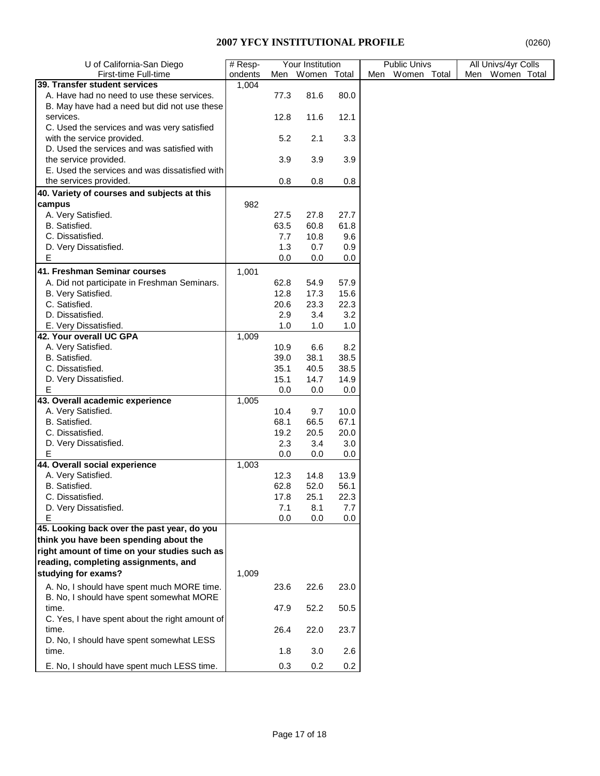| U of California-San Diego                      | # Resp- | Your Institution |         | <b>Public Univs</b> | All Univs/4yr Colls |                    |  |  |
|------------------------------------------------|---------|------------------|---------|---------------------|---------------------|--------------------|--|--|
| First-time Full-time                           | ondents | Men              | Women   | Total               | Women Total<br>Men  | Women Total<br>Men |  |  |
| 39. Transfer student services                  | 1,004   |                  |         |                     |                     |                    |  |  |
| A. Have had no need to use these services.     |         | 77.3             | 81.6    | 80.0                |                     |                    |  |  |
| B. May have had a need but did not use these   |         |                  |         |                     |                     |                    |  |  |
| services.                                      |         | 12.8             | 11.6    | 12.1                |                     |                    |  |  |
| C. Used the services and was very satisfied    |         |                  |         |                     |                     |                    |  |  |
|                                                |         |                  |         |                     |                     |                    |  |  |
| with the service provided.                     |         | 5.2              | 2.1     | 3.3                 |                     |                    |  |  |
| D. Used the services and was satisfied with    |         |                  |         |                     |                     |                    |  |  |
| the service provided.                          |         | 3.9              | 3.9     | 3.9                 |                     |                    |  |  |
| E. Used the services and was dissatisfied with |         |                  |         |                     |                     |                    |  |  |
| the services provided.                         |         | 0.8              | 0.8     | 0.8                 |                     |                    |  |  |
| 40. Variety of courses and subjects at this    |         |                  |         |                     |                     |                    |  |  |
| campus                                         | 982     |                  |         |                     |                     |                    |  |  |
| A. Very Satisfied.                             |         | 27.5             | 27.8    | 27.7                |                     |                    |  |  |
| B. Satisfied.                                  |         | 63.5             | 60.8    | 61.8                |                     |                    |  |  |
| C. Dissatisfied.                               |         | 7.7              | 10.8    | 9.6                 |                     |                    |  |  |
| D. Very Dissatisfied.                          |         | 1.3              | 0.7     | 0.9                 |                     |                    |  |  |
| Е                                              |         | 0.0              | 0.0     | 0.0                 |                     |                    |  |  |
|                                                |         |                  |         |                     |                     |                    |  |  |
| 41. Freshman Seminar courses                   | 1,001   |                  |         |                     |                     |                    |  |  |
| A. Did not participate in Freshman Seminars.   |         | 62.8             | 54.9    | 57.9                |                     |                    |  |  |
| B. Very Satisfied.                             |         | 12.8             | 17.3    | 15.6                |                     |                    |  |  |
| C. Satisfied.                                  |         | 20.6             | 23.3    | 22.3                |                     |                    |  |  |
| D. Dissatisfied.                               |         | 2.9              | 3.4     | 3.2                 |                     |                    |  |  |
| E. Very Dissatisfied.                          |         | 1.0              | 1.0     | 1.0                 |                     |                    |  |  |
| 42. Your overall UC GPA                        | 1,009   |                  |         |                     |                     |                    |  |  |
| A. Very Satisfied.                             |         | 10.9             | 6.6     | 8.2                 |                     |                    |  |  |
| B. Satisfied.                                  |         | 39.0             | 38.1    | 38.5                |                     |                    |  |  |
| C. Dissatisfied.                               |         | 35.1             | 40.5    | 38.5                |                     |                    |  |  |
| D. Very Dissatisfied.                          |         | 15.1             | 14.7    | 14.9                |                     |                    |  |  |
| E                                              |         | 0.0              | 0.0     | 0.0                 |                     |                    |  |  |
| 43. Overall academic experience                | 1,005   |                  |         |                     |                     |                    |  |  |
| A. Very Satisfied.                             |         | 10.4             | 9.7     | 10.0                |                     |                    |  |  |
| B. Satisfied.                                  |         | 68.1             | 66.5    | 67.1                |                     |                    |  |  |
| C. Dissatisfied.                               |         | 19.2             | 20.5    | 20.0                |                     |                    |  |  |
|                                                |         |                  | 3.4     |                     |                     |                    |  |  |
| D. Very Dissatisfied.<br>Е                     |         | 2.3              |         | 3.0                 |                     |                    |  |  |
| 44. Overall social experience                  |         | 0.0              | 0.0     | 0.0                 |                     |                    |  |  |
| A. Very Satisfied.                             | 1,003   |                  |         |                     |                     |                    |  |  |
|                                                |         | 12.3             | 14.8    | 13.9                |                     |                    |  |  |
| B. Satisfied.                                  |         | 62.8             | 52.0    | 56.1                |                     |                    |  |  |
| C. Dissatisfied.                               |         | 17.8             | 25.1    | 22.3                |                     |                    |  |  |
| D. Very Dissatisfied.                          |         | 7.1              | 8.1     | 7.7                 |                     |                    |  |  |
| Е                                              |         | 0.0              | 0.0     | 0.0                 |                     |                    |  |  |
| 45. Looking back over the past year, do you    |         |                  |         |                     |                     |                    |  |  |
| think you have been spending about the         |         |                  |         |                     |                     |                    |  |  |
| right amount of time on your studies such as   |         |                  |         |                     |                     |                    |  |  |
| reading, completing assignments, and           |         |                  |         |                     |                     |                    |  |  |
| studying for exams?                            | 1,009   |                  |         |                     |                     |                    |  |  |
| A. No, I should have spent much MORE time.     |         | 23.6             | 22.6    | 23.0                |                     |                    |  |  |
| B. No, I should have spent somewhat MORE       |         |                  |         |                     |                     |                    |  |  |
| time.                                          |         | 47.9             | 52.2    | 50.5                |                     |                    |  |  |
| C. Yes, I have spent about the right amount of |         |                  |         |                     |                     |                    |  |  |
| time.                                          |         | 26.4             | 22.0    | 23.7                |                     |                    |  |  |
| D. No, I should have spent somewhat LESS       |         |                  |         |                     |                     |                    |  |  |
| time.                                          |         | 1.8              | 3.0     | 2.6                 |                     |                    |  |  |
|                                                |         |                  |         |                     |                     |                    |  |  |
| E. No, I should have spent much LESS time.     |         | 0.3              | $0.2\,$ | 0.2                 |                     |                    |  |  |